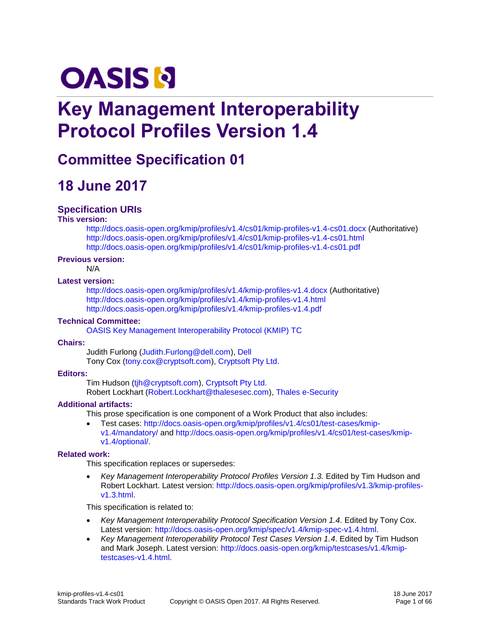# **OASIS N**

## **Key Management Interoperability Protocol Profiles Version 1.4**

## **Committee Specification 01**

## **18 June 2017**

#### **Specification URIs**

#### **This version:**

<http://docs.oasis-open.org/kmip/profiles/v1.4/cs01/kmip-profiles-v1.4-cs01.docx> (Authoritative) <http://docs.oasis-open.org/kmip/profiles/v1.4/cs01/kmip-profiles-v1.4-cs01.html> <http://docs.oasis-open.org/kmip/profiles/v1.4/cs01/kmip-profiles-v1.4-cs01.pdf>

#### **Previous version:**

N/A

#### **Latest version:**

<http://docs.oasis-open.org/kmip/profiles/v1.4/kmip-profiles-v1.4.docx> (Authoritative) <http://docs.oasis-open.org/kmip/profiles/v1.4/kmip-profiles-v1.4.html> <http://docs.oasis-open.org/kmip/profiles/v1.4/kmip-profiles-v1.4.pdf>

#### **Technical Committee:**

[OASIS Key Management Interoperability Protocol \(KMIP\) TC](https://www.oasis-open.org/committees/kmip/)

#### **Chairs:**

Judith Furlong [\(Judith.Furlong@dell.com\)](mailto:Judith.Furlong@dell.com), [Dell](http://www.dell.com/) Tony Cox [\(tony.cox@cryptsoft.com\)](mailto:tony.cox@cryptsoft.com)[, Cryptsoft Pty Ltd.](http://www.cryptsoft.com/)

#### **Editors:**

Tim Hudson [\(tjh@cryptsoft.com\)](mailto:tjh@cryptsoft.com), [Cryptsoft Pty Ltd.](http://cryptsoft.com/) Robert Lockhart [\(Robert.Lockhart@thalesesec.com\)](mailto:Robert.Lockhart@thalesesec.com), [Thales e-Security](https://www.thales-esecurity.com/)

#### **Additional artifacts:**

This prose specification is one component of a Work Product that also includes:

 Test cases: [http://docs.oasis-open.org/kmip/profiles/v1.4/cs01/test-cases/kmip](http://docs.oasis-open.org/kmip/profiles/v1.4/cs01/test-cases/kmip-v1.4/mandatory/)[v1.4/mandatory/](http://docs.oasis-open.org/kmip/profiles/v1.4/cs01/test-cases/kmip-v1.4/mandatory/) and [http://docs.oasis-open.org/kmip/profiles/v1.4/cs01/test-cases/kmip](http://docs.oasis-open.org/kmip/profiles/v1.4/cs01/test-cases/kmip-v1.4/optional/)[v1.4/optional/.](http://docs.oasis-open.org/kmip/profiles/v1.4/cs01/test-cases/kmip-v1.4/optional/)

#### **Related work:**

This specification replaces or supersedes:

• Key Management Interoperability Protocol Profiles Version 1.3. Edited by Tim Hudson and Robert Lockhart. Latest version: [http://docs.oasis-open.org/kmip/profiles/v1.3/kmip-profiles](http://docs.oasis-open.org/kmip/profiles/v1.3/kmip-profiles-v1.3.html)[v1.3.html.](http://docs.oasis-open.org/kmip/profiles/v1.3/kmip-profiles-v1.3.html)

This specification is related to:

- *Key Management Interoperability Protocol Specification Version 1.4*. Edited by Tony Cox. Latest version: [http://docs.oasis-open.org/kmip/spec/v1.4/kmip-spec-v1.4.html.](http://docs.oasis-open.org/kmip/spec/v1.4/kmip-spec-v1.4.html)
- *Key Management Interoperability Protocol Test Cases Version 1.4*. Edited by Tim Hudson and Mark Joseph. Latest version: [http://docs.oasis-open.org/kmip/testcases/v1.4/kmip](http://docs.oasis-open.org/kmip/testcases/v1.4/kmip-testcases-v1.4.html)[testcases-v1.4.html.](http://docs.oasis-open.org/kmip/testcases/v1.4/kmip-testcases-v1.4.html)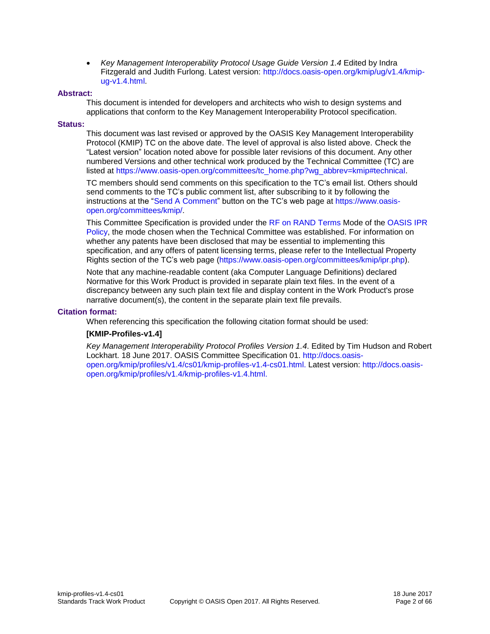*Key Management Interoperability Protocol Usage Guide Version 1.4* Edited by Indra Fitzgerald and Judith Furlong. Latest version: [http://docs.oasis-open.org/kmip/ug/v1.4/kmip](http://docs.oasis-open.org/kmip/ug/v1.4/kmip-ug-v1.4.html)[ug-v1.4.html.](http://docs.oasis-open.org/kmip/ug/v1.4/kmip-ug-v1.4.html)

#### **Abstract:**

This document is intended for developers and architects who wish to design systems and applications that conform to the Key Management Interoperability Protocol specification.

#### **Status:**

This document was last revised or approved by the OASIS Key Management Interoperability Protocol (KMIP) TC on the above date. The level of approval is also listed above. Check the "Latest version" location noted above for possible later revisions of this document. Any other numbered Versions and other technical work produced by the Technical Committee (TC) are listed at [https://www.oasis-open.org/committees/tc\\_home.php?wg\\_abbrev=kmip#technical.](https://www.oasis-open.org/committees/tc_home.php?wg_abbrev=kmip#technical)

TC members should send comments on this specification to the TC's email list. Others should send comments to the TC's public comment list, after subscribing to it by following the instructions at the ["Send A Comment"](https://www.oasis-open.org/committees/comments/index.php?wg_abbrev=kmip) button on the TC's web page at [https://www.oasis](https://www.oasis-open.org/committees/kmip/)[open.org/committees/kmip/.](https://www.oasis-open.org/committees/kmip/)

This Committee Specification is provided under the [RF on RAND Terms](https://www.oasis-open.org/policies-guidelines/ipr#RF-on-RAND-Mode) Mode of the [OASIS IPR](https://www.oasis-open.org/policies-guidelines/ipr)  [Policy,](https://www.oasis-open.org/policies-guidelines/ipr) the mode chosen when the Technical Committee was established. For information on whether any patents have been disclosed that may be essential to implementing this specification, and any offers of patent licensing terms, please refer to the Intellectual Property Rights section of the TC's web page [\(https://www.oasis-open.org/committees/kmip/ipr.php\)](https://www.oasis-open.org/committees/kmip/ipr.php).

Note that any machine-readable content (aka Computer Language Definitions) declared Normative for this Work Product is provided in separate plain text files. In the event of a discrepancy between any such plain text file and display content in the Work Product's prose narrative document(s), the content in the separate plain text file prevails.

#### **Citation format:**

When referencing this specification the following citation format should be used:

#### **[KMIP-Profiles-v1.4]**

*Key Management Interoperability Protocol Profiles Version 1.4*. Edited by Tim Hudson and Robert Lockhart. 18 June 2017. OASIS Committee Specification 01. [http://docs.oasis](http://docs.oasis-open.org/kmip/profiles/v1.4/cs01/kmip-profiles-v1.4-cs01.html)[open.org/kmip/profiles/v1.4/cs01/kmip-profiles-v1.4-cs01.html.](http://docs.oasis-open.org/kmip/profiles/v1.4/cs01/kmip-profiles-v1.4-cs01.html) Latest version: [http://docs.oasis](http://docs.oasis-open.org/kmip/profiles/v1.4/kmip-profiles-v1.4.html)[open.org/kmip/profiles/v1.4/kmip-profiles-v1.4.html.](http://docs.oasis-open.org/kmip/profiles/v1.4/kmip-profiles-v1.4.html)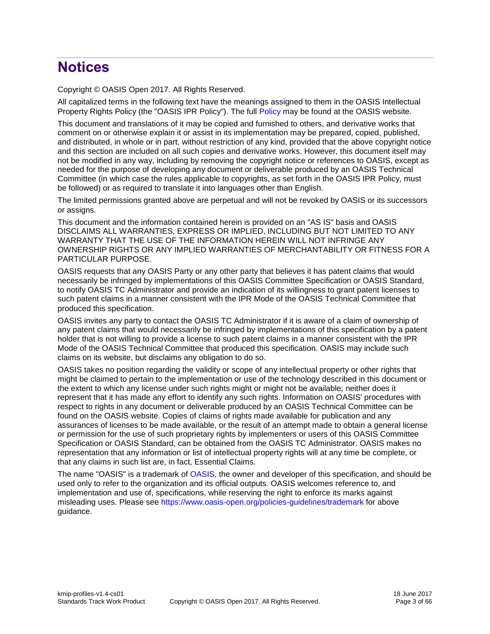## **Notices**

Copyright © OASIS Open 2017. All Rights Reserved.

All capitalized terms in the following text have the meanings assigned to them in the OASIS Intellectual Property Rights Policy (the "OASIS IPR Policy"). The full [Policy](https://www.oasis-open.org/policies-guidelines/ipr) may be found at the OASIS website.

This document and translations of it may be copied and furnished to others, and derivative works that comment on or otherwise explain it or assist in its implementation may be prepared, copied, published, and distributed, in whole or in part, without restriction of any kind, provided that the above copyright notice and this section are included on all such copies and derivative works. However, this document itself may not be modified in any way, including by removing the copyright notice or references to OASIS, except as needed for the purpose of developing any document or deliverable produced by an OASIS Technical Committee (in which case the rules applicable to copyrights, as set forth in the OASIS IPR Policy, must be followed) or as required to translate it into languages other than English.

The limited permissions granted above are perpetual and will not be revoked by OASIS or its successors or assigns.

This document and the information contained herein is provided on an "AS IS" basis and OASIS DISCLAIMS ALL WARRANTIES, EXPRESS OR IMPLIED, INCLUDING BUT NOT LIMITED TO ANY WARRANTY THAT THE USE OF THE INFORMATION HEREIN WILL NOT INFRINGE ANY OWNERSHIP RIGHTS OR ANY IMPLIED WARRANTIES OF MERCHANTABILITY OR FITNESS FOR A PARTICULAR PURPOSE.

OASIS requests that any OASIS Party or any other party that believes it has patent claims that would necessarily be infringed by implementations of this OASIS Committee Specification or OASIS Standard, to notify OASIS TC Administrator and provide an indication of its willingness to grant patent licenses to such patent claims in a manner consistent with the IPR Mode of the OASIS Technical Committee that produced this specification.

OASIS invites any party to contact the OASIS TC Administrator if it is aware of a claim of ownership of any patent claims that would necessarily be infringed by implementations of this specification by a patent holder that is not willing to provide a license to such patent claims in a manner consistent with the IPR Mode of the OASIS Technical Committee that produced this specification. OASIS may include such claims on its website, but disclaims any obligation to do so.

OASIS takes no position regarding the validity or scope of any intellectual property or other rights that might be claimed to pertain to the implementation or use of the technology described in this document or the extent to which any license under such rights might or might not be available; neither does it represent that it has made any effort to identify any such rights. Information on OASIS' procedures with respect to rights in any document or deliverable produced by an OASIS Technical Committee can be found on the OASIS website. Copies of claims of rights made available for publication and any assurances of licenses to be made available, or the result of an attempt made to obtain a general license or permission for the use of such proprietary rights by implementers or users of this OASIS Committee Specification or OASIS Standard, can be obtained from the OASIS TC Administrator. OASIS makes no representation that any information or list of intellectual property rights will at any time be complete, or that any claims in such list are, in fact, Essential Claims.

The name "OASIS" is a trademark of [OASIS,](https://www.oasis-open.org/) the owner and developer of this specification, and should be used only to refer to the organization and its official outputs. OASIS welcomes reference to, and implementation and use of, specifications, while reserving the right to enforce its marks against misleading uses. Please see<https://www.oasis-open.org/policies-guidelines/trademark> for above guidance.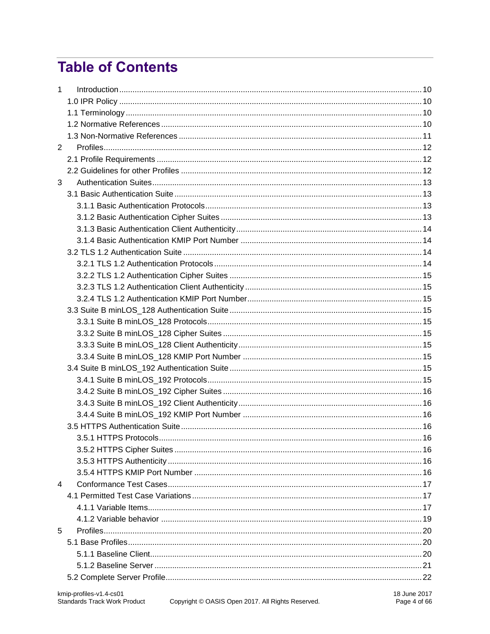## **Table of Contents**

| $\mathbf{1}$   |  |
|----------------|--|
|                |  |
|                |  |
|                |  |
|                |  |
| $\overline{2}$ |  |
|                |  |
|                |  |
| 3              |  |
|                |  |
|                |  |
|                |  |
|                |  |
|                |  |
|                |  |
|                |  |
|                |  |
|                |  |
|                |  |
|                |  |
|                |  |
|                |  |
|                |  |
|                |  |
|                |  |
|                |  |
|                |  |
|                |  |
|                |  |
|                |  |
|                |  |
|                |  |
|                |  |
|                |  |
| $\overline{4}$ |  |
|                |  |
|                |  |
|                |  |
| 5              |  |
|                |  |
|                |  |
|                |  |
|                |  |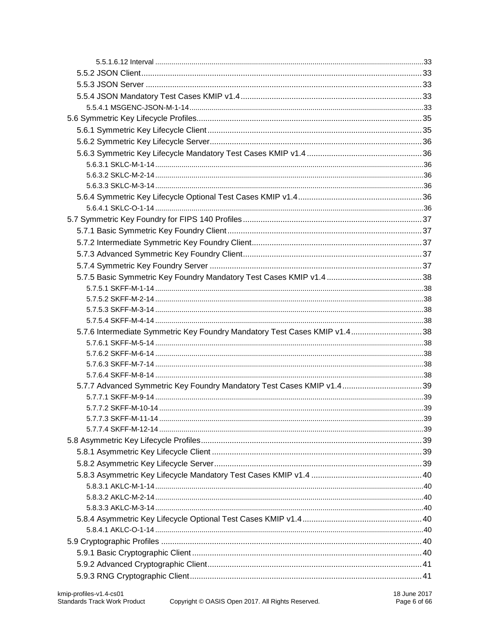| 5.7.6 Intermediate Symmetric Key Foundry Mandatory Test Cases KMIP v1.4 38 |  |
|----------------------------------------------------------------------------|--|
|                                                                            |  |
|                                                                            |  |
|                                                                            |  |
|                                                                            |  |
| 5.7.7 Advanced Symmetric Key Foundry Mandatory Test Cases KMIP v1.4 39     |  |
|                                                                            |  |
|                                                                            |  |
|                                                                            |  |
|                                                                            |  |
|                                                                            |  |
|                                                                            |  |
|                                                                            |  |
|                                                                            |  |
|                                                                            |  |
|                                                                            |  |
|                                                                            |  |
|                                                                            |  |
|                                                                            |  |
|                                                                            |  |
|                                                                            |  |
|                                                                            |  |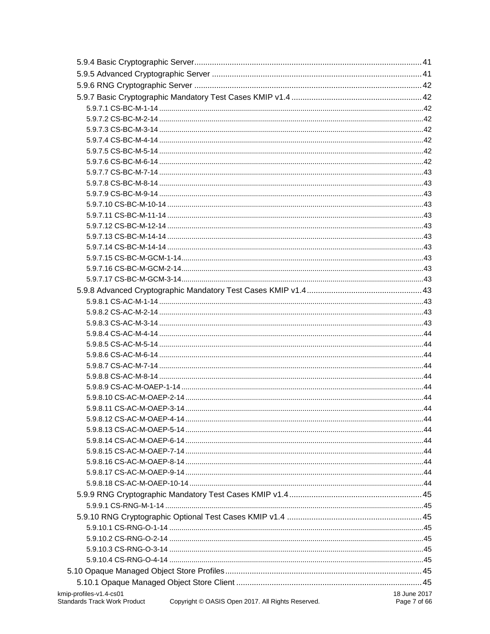| kmip-profiles-v1.4-cs01             |                                                   | 18 June 2017 |
|-------------------------------------|---------------------------------------------------|--------------|
| <b>Standards Track Work Product</b> | Copyright © OASIS Open 2017. All Rights Reserved. | Page 7 of 66 |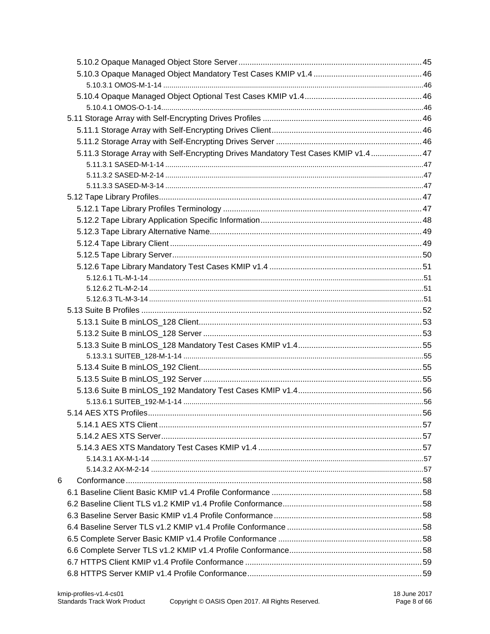|   | 5.11.3 Storage Array with Self-Encrypting Drives Mandatory Test Cases KMIP v1.4 47 |  |
|---|------------------------------------------------------------------------------------|--|
|   |                                                                                    |  |
|   |                                                                                    |  |
|   |                                                                                    |  |
|   |                                                                                    |  |
|   |                                                                                    |  |
|   |                                                                                    |  |
|   |                                                                                    |  |
|   |                                                                                    |  |
|   |                                                                                    |  |
|   |                                                                                    |  |
|   |                                                                                    |  |
|   |                                                                                    |  |
|   |                                                                                    |  |
|   |                                                                                    |  |
|   |                                                                                    |  |
|   |                                                                                    |  |
|   |                                                                                    |  |
|   |                                                                                    |  |
|   |                                                                                    |  |
|   |                                                                                    |  |
|   |                                                                                    |  |
|   |                                                                                    |  |
|   |                                                                                    |  |
|   |                                                                                    |  |
|   |                                                                                    |  |
|   |                                                                                    |  |
|   |                                                                                    |  |
|   |                                                                                    |  |
| 6 |                                                                                    |  |
|   |                                                                                    |  |
|   |                                                                                    |  |
|   |                                                                                    |  |
|   |                                                                                    |  |
|   |                                                                                    |  |
|   |                                                                                    |  |
|   |                                                                                    |  |
|   |                                                                                    |  |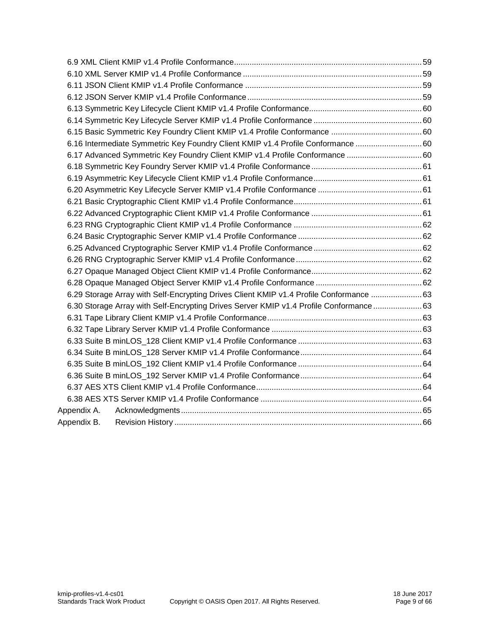|             | 6.16 Intermediate Symmetric Key Foundry Client KMIP v1.4 Profile Conformance 60             |  |
|-------------|---------------------------------------------------------------------------------------------|--|
|             | 6.17 Advanced Symmetric Key Foundry Client KMIP v1.4 Profile Conformance 60                 |  |
|             |                                                                                             |  |
|             |                                                                                             |  |
|             |                                                                                             |  |
|             |                                                                                             |  |
|             |                                                                                             |  |
|             |                                                                                             |  |
|             |                                                                                             |  |
|             |                                                                                             |  |
|             |                                                                                             |  |
|             |                                                                                             |  |
|             |                                                                                             |  |
|             | 63. 6.29 Storage Array with Self-Encrypting Drives Client KMIP v1.4 Profile Conformance  63 |  |
|             | 6.30 Storage Array with Self-Encrypting Drives Server KMIP v1.4 Profile Conformance 63      |  |
|             |                                                                                             |  |
|             |                                                                                             |  |
|             |                                                                                             |  |
|             |                                                                                             |  |
|             |                                                                                             |  |
|             |                                                                                             |  |
|             |                                                                                             |  |
|             |                                                                                             |  |
| Appendix A. |                                                                                             |  |
| Appendix B. |                                                                                             |  |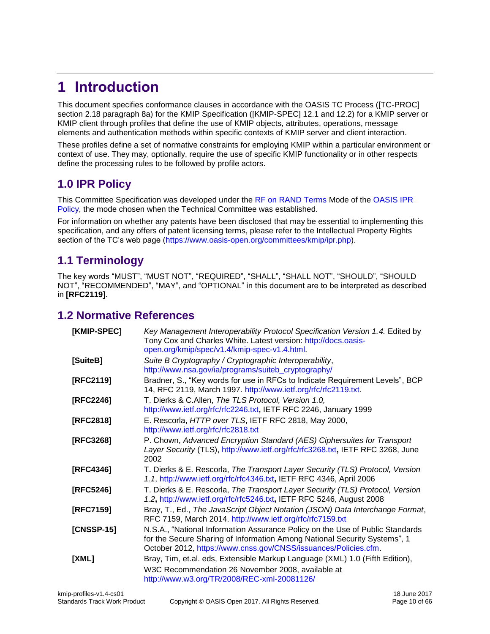## <span id="page-9-0"></span>**1 Introduction**

This document specifies conformance clauses in accordance with the OASIS TC Process ([TC-PROC] section 2.18 paragraph 8a) for the KMIP Specification ([KMIP-SPEC] 12.1 and 12.2) for a KMIP server or KMIP client through profiles that define the use of KMIP objects, attributes, operations, message elements and authentication methods within specific contexts of KMIP server and client interaction.

These profiles define a set of normative constraints for employing KMIP within a particular environment or context of use. They may, optionally, require the use of specific KMIP functionality or in other respects define the processing rules to be followed by profile actors.

## <span id="page-9-1"></span>**1.0 IPR Policy**

This Committee Specification was developed under the [RF on RAND Terms](https://www.oasis-open.org/policies-guidelines/ipr#RF-on-RAND-Mode) Mode of the [OASIS IPR](https://www.oasis-open.org/policies-guidelines/ipr)  [Policy,](https://www.oasis-open.org/policies-guidelines/ipr) the mode chosen when the Technical Committee was established.

For information on whether any patents have been disclosed that may be essential to implementing this specification, and any offers of patent licensing terms, please refer to the Intellectual Property Rights section of the TC's web page [\(https://www.oasis-open.org/committees/kmip/ipr.php\)](https://www.oasis-open.org/committees/kmip/ipr.php).

## <span id="page-9-2"></span>**1.1 Terminology**

The key words "MUST", "MUST NOT", "REQUIRED", "SHALL", "SHALL NOT", "SHOULD", "SHOULD NOT", "RECOMMENDED", "MAY", and "OPTIONAL" in this document are to be interpreted as described in **[RFC2119]**.

## <span id="page-9-3"></span>**1.2 Normative References**

| [KMIP-SPEC]  | Key Management Interoperability Protocol Specification Version 1.4. Edited by<br>Tony Cox and Charles White. Latest version: http://docs.oasis-<br>open.org/kmip/spec/v1.4/kmip-spec-v1.4.html.                               |
|--------------|-------------------------------------------------------------------------------------------------------------------------------------------------------------------------------------------------------------------------------|
| [SuiteB]     | Suite B Cryptography / Cryptographic Interoperability,<br>http://www.nsa.gov/ia/programs/suiteb_cryptography/                                                                                                                 |
| [RFC2119]    | Bradner, S., "Key words for use in RFCs to Indicate Requirement Levels", BCP<br>14, RFC 2119, March 1997. http://www.ietf.org/rfc/rfc2119.txt.                                                                                |
| [RFC2246]    | T. Dierks & C.Allen, The TLS Protocol, Version 1.0,<br>http://www.ietf.org/rfc/rfc2246.txt, IETF RFC 2246, January 1999                                                                                                       |
| [RFC2818]    | E. Rescorla, HTTP over TLS, IETF RFC 2818, May 2000,<br>http://www.ietf.org/rfc/rfc2818.txt                                                                                                                                   |
| [RFC3268]    | P. Chown, Advanced Encryption Standard (AES) Ciphersuites for Transport<br>Layer Security (TLS), http://www.ietf.org/rfc/rfc3268.txt, IETF RFC 3268, June<br>2002                                                             |
| [RFC4346]    | T. Dierks & E. Rescorla, The Transport Layer Security (TLS) Protocol, Version<br>1.1, http://www.ietf.org/rfc/rfc4346.txt, IETF RFC 4346, April 2006                                                                          |
| [RFC5246]    | T. Dierks & E. Rescorla, The Transport Layer Security (TLS) Protocol, Version<br>1.2, http://www.ietf.org/rfc/rfc5246.txt, IETF RFC 5246, August 2008                                                                         |
| [RFC7159]    | Bray, T., Ed., The JavaScript Object Notation (JSON) Data Interchange Format,<br>RFC 7159, March 2014. http://www.ietf.org/rfc/rfc7159.txt                                                                                    |
| $[CNSSP-15]$ | N.S.A., "National Information Assurance Policy on the Use of Public Standards<br>for the Secure Sharing of Information Among National Security Systems", 1<br>October 2012, https://www.cnss.gov/CNSS/issuances/Policies.cfm. |
| [XML]        | Bray, Tim, et.al. eds, Extensible Markup Language (XML) 1.0 (Fifth Edition),<br>W3C Recommendation 26 November 2008, available at<br>http://www.w3.org/TR/2008/REC-xml-20081126/                                              |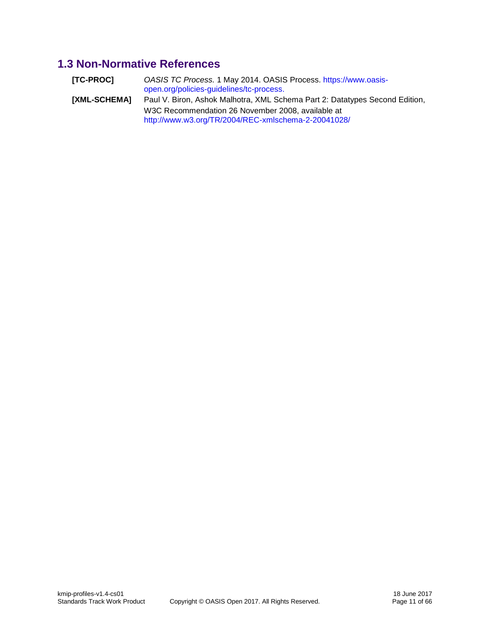## <span id="page-10-0"></span>**1.3 Non-Normative References**

| [TC-PROC]    | OASIS TC Process. 1 May 2014. OASIS Process. https://www.oasis-<br>open.org/policies-guidelines/tc-process. |
|--------------|-------------------------------------------------------------------------------------------------------------|
| [XML-SCHEMA] | Paul V. Biron, Ashok Malhotra, XML Schema Part 2: Datatypes Second Edition,                                 |
|              | W3C Recommendation 26 November 2008, available at                                                           |
|              | http://www.w3.org/TR/2004/REC-xmlschema-2-20041028/                                                         |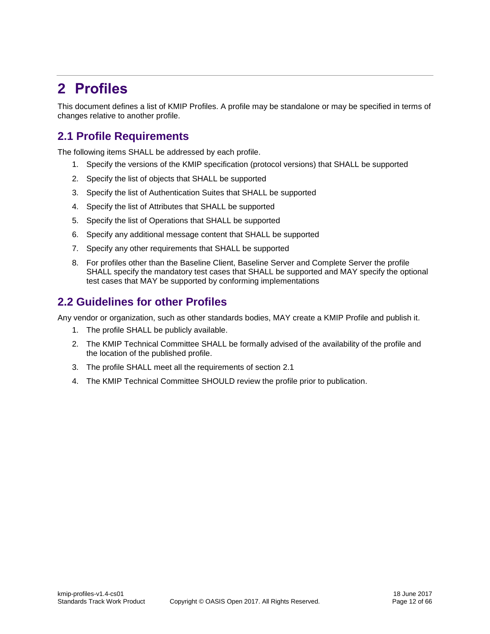## <span id="page-11-0"></span>**2 Profiles**

This document defines a list of KMIP Profiles. A profile may be standalone or may be specified in terms of changes relative to another profile.

## <span id="page-11-1"></span>**2.1 Profile Requirements**

The following items SHALL be addressed by each profile.

- 1. Specify the versions of the KMIP specification (protocol versions) that SHALL be supported
- 2. Specify the list of objects that SHALL be supported
- 3. Specify the list of Authentication Suites that SHALL be supported
- 4. Specify the list of Attributes that SHALL be supported
- 5. Specify the list of Operations that SHALL be supported
- 6. Specify any additional message content that SHALL be supported
- 7. Specify any other requirements that SHALL be supported
- 8. For profiles other than the Baseline Client, Baseline Server and Complete Server the profile SHALL specify the mandatory test cases that SHALL be supported and MAY specify the optional test cases that MAY be supported by conforming implementations

## <span id="page-11-2"></span>**2.2 Guidelines for other Profiles**

Any vendor or organization, such as other standards bodies, MAY create a KMIP Profile and publish it.

- 1. The profile SHALL be publicly available.
- 2. The KMIP Technical Committee SHALL be formally advised of the availability of the profile and the location of the published profile.
- 3. The profile SHALL meet all the requirements of section [2.1](#page-11-1)
- 4. The KMIP Technical Committee SHOULD review the profile prior to publication.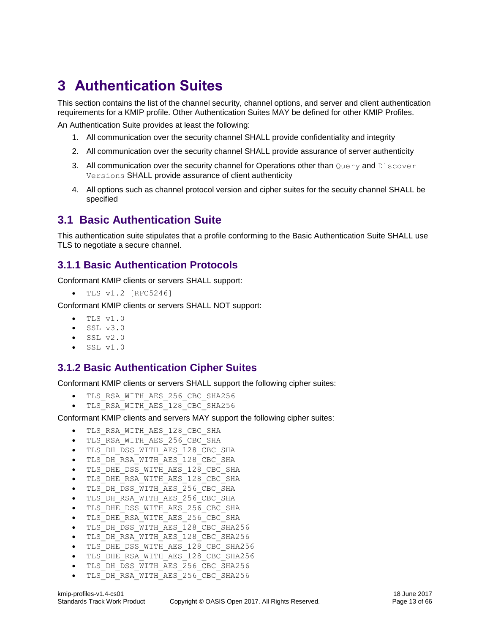## <span id="page-12-0"></span>**3 Authentication Suites**

This section contains the list of the channel security, channel options, and server and client authentication requirements for a KMIP profile. Other Authentication Suites MAY be defined for other KMIP Profiles.

An Authentication Suite provides at least the following:

- 1. All communication over the security channel SHALL provide confidentiality and integrity
- 2. All communication over the security channel SHALL provide assurance of server authenticity
- 3. All communication over the security channel for Operations other than  $\alpha_{\text{query}}$  and  $\beta_{\text{lscover}}$ Versions SHALL provide assurance of client authenticity
- 4. All options such as channel protocol version and cipher suites for the secuity channel SHALL be specified

## <span id="page-12-1"></span>**3.1 Basic Authentication Suite**

This authentication suite stipulates that a profile conforming to the Basic Authentication Suite SHALL use TLS to negotiate a secure channel.

## <span id="page-12-2"></span>**3.1.1 Basic Authentication Protocols**

Conformant KMIP clients or servers SHALL support:

 $\bullet$  TLS v1.2 [RFC5246]

Conformant KMIP clients or servers SHALL NOT support:

- $\bullet$  TLS v1.0
- SSL v3.0
- SSL v2.0
- SSL v1.0

## <span id="page-12-3"></span>**3.1.2 Basic Authentication Cipher Suites**

Conformant KMIP clients or servers SHALL support the following cipher suites:

- TLS\_RSA\_WITH\_AES\_256\_CBC\_SHA256
- TLS\_RSA\_WITH\_AES\_128\_CBC\_SHA256

Conformant KMIP clients and servers MAY support the following cipher suites:

- TLS\_RSA\_WITH\_AES\_128\_CBC\_SHA
- TLS\_RSA\_WITH\_AES\_256\_CBC\_SHA
- $\bullet$  TLS DH DSS WITH AES 128 CBC SHA
- $\bullet$  TLS DH\_RSA\_WITH\_AES\_128 CBC\_SHA
- TLS\_DHE\_DSS\_WITH\_AES\_128\_CBC\_SHA
- $\bullet$  TLS DHE RSA WITH AES 128 CBC SHA
- TLS\_DH\_DSS\_WITH\_AES\_256\_CBC\_SHA
- TLS DH RSA WITH AES 256 CBC SHA
- TLS\_DHE\_DSS\_WITH\_AES\_256\_CBC\_SHA
- $\bullet$  TLS DHE RSA WITH AES 256 CBC SHA
- TLS\_DH\_DSS\_WITH\_AES\_128\_CBC\_SHA256
- TLS\_DH\_RSA\_WITH\_AES\_128\_CBC\_SHA256
- $\bullet$  TLS DHE DSS WITH AES 128 CBC SHA256
- $\bullet$  TLS DHE RSA WITH AES 128 CBC SHA256
- TLS DH DSS WITH AES 256 CBC SHA256
- TLS\_DH\_RSA\_WITH\_AES\_256\_CBC\_SHA256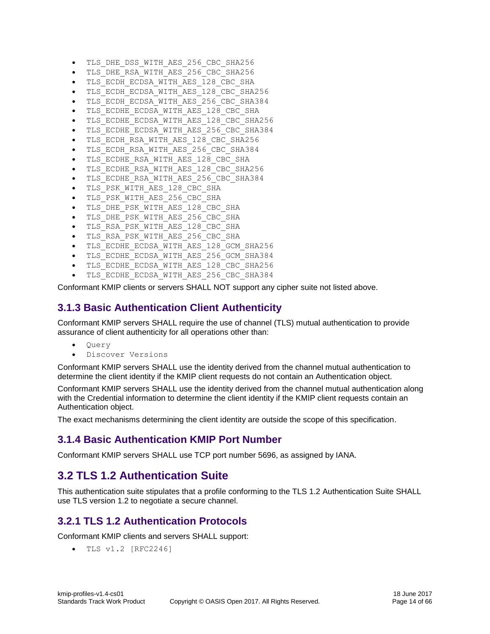- $\bullet$  TLS DHE DSS WITH AES 256 CBC SHA256
- TLS\_DHE\_RSA\_WITH\_AES\_256\_CBC\_SHA256
- $\bullet$  TLS ECDH ECDSA WITH AES 128 CBC SHA
- TLS\_ECDH\_ECDSA\_WITH\_AES\_128\_CBC\_SHA256
- TLS\_ECDH\_ECDSA\_WITH\_AES\_256\_CBC\_SHA384
- $\bullet$  TLS ECDHE ECDSA WITH AES 128 CBC SHA
- TLS\_ECDHE\_ECDSA\_WITH\_AES\_128\_CBC\_SHA256
- TLS\_ECDHE\_ECDSA\_WITH\_AES\_256\_CBC\_SHA384
- TLS\_ECDH\_RSA\_WITH\_AES\_128\_CBC\_SHA256
- TLS\_ECDH\_RSA\_WITH\_AES\_256\_CBC\_SHA384
- $\bullet$  TLS ECDHE RSA WITH AES 128 CBC SHA
- TLS ECDHE RSA WITH AES 128 CBC SHA256
- TLS\_ECDHE\_RSA\_WITH\_AES\_256\_CBC\_SHA384
- TLS\_PSK\_WITH\_AES\_128\_CBC\_SHA
- TLS PSK WITH AES 256 CBC SHA
- TLS DHE PSK WITH AES 128 CBC SHA
- $\bullet$  TLS DHE PSK WITH AES 256 CBC SHA
- $\bullet$  TLS RSA PSK WITH AES 128 CBC SHA
- TLS\_RSA\_PSK\_WITH\_AES\_256\_CBC\_SHA
- TLS\_ECDHE\_ECDSA\_WITH\_AES\_128\_GCM\_SHA256
- TLS\_ECDHE\_ECDSA\_WITH\_AES\_256\_GCM\_SHA384
- TLS\_ECDHE\_ECDSA\_WITH\_AES\_128\_CBC\_SHA256
- TLS\_ECDHE\_ECDSA\_WITH\_AES\_256\_CBC\_SHA384

Conformant KMIP clients or servers SHALL NOT support any cipher suite not listed above.

## <span id="page-13-0"></span>**3.1.3 Basic Authentication Client Authenticity**

Conformant KMIP servers SHALL require the use of channel (TLS) mutual authentication to provide assurance of client authenticity for all operations other than:

- Ouery
- Discover Versions

Conformant KMIP servers SHALL use the identity derived from the channel mutual authentication to determine the client identity if the KMIP client requests do not contain an Authentication object.

Conformant KMIP servers SHALL use the identity derived from the channel mutual authentication along with the Credential information to determine the client identity if the KMIP client requests contain an Authentication object.

The exact mechanisms determining the client identity are outside the scope of this specification.

## <span id="page-13-1"></span>**3.1.4 Basic Authentication KMIP Port Number**

Conformant KMIP servers SHALL use TCP port number 5696, as assigned by IANA.

## <span id="page-13-2"></span>**3.2 TLS 1.2 Authentication Suite**

This authentication suite stipulates that a profile conforming to the TLS 1.2 Authentication Suite SHALL use TLS version 1.2 to negotiate a secure channel.

## <span id="page-13-3"></span>**3.2.1 TLS 1.2 Authentication Protocols**

Conformant KMIP clients and servers SHALL support:

TLS v1.2 [RFC2246]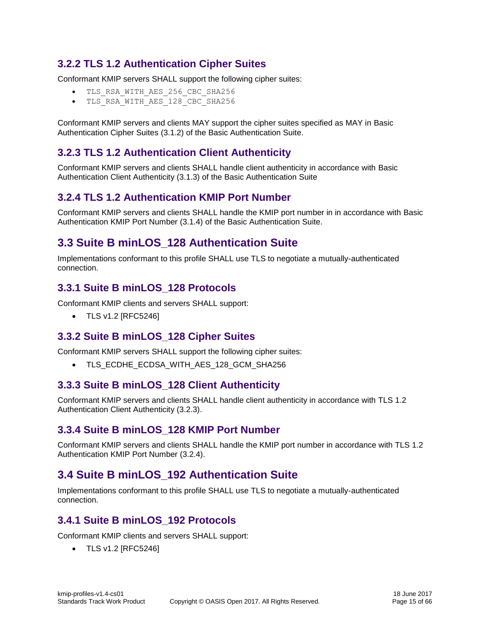## <span id="page-14-0"></span>**3.2.2 TLS 1.2 Authentication Cipher Suites**

Conformant KMIP servers SHALL support the following cipher suites:

- TLS\_RSA\_WITH\_AES\_256\_CBC\_SHA256
- TLS\_RSA\_WITH\_AES\_128\_CBC\_SHA256

Conformant KMIP servers and clients MAY support the cipher suites specified as MAY in [Basic](#page-12-3)  [Authentication Cipher Suites](#page-12-3) [\(3.1.2\)](#page-12-3) of the [Basic Authentication](#page-12-1) Suite.

## <span id="page-14-1"></span>**3.2.3 TLS 1.2 Authentication Client Authenticity**

Conformant KMIP servers and clients SHALL handle client authenticity in accordance with [Basic](#page-13-0)  [Authentication Client Authenticity](#page-13-0) [\(3.1.3\)](#page-13-0) of the [Basic Authentication](#page-12-1) Suite

## <span id="page-14-2"></span>**3.2.4 TLS 1.2 Authentication KMIP Port Number**

Conformant KMIP servers and clients SHALL handle the KMIP port number in in accordance with [Basic](#page-13-1)  [Authentication KMIP Port Number](#page-13-1) [\(3.1.4\)](#page-13-1) of the [Basic Authentication](#page-12-1) Suite.

## <span id="page-14-3"></span>**3.3 Suite B minLOS\_128 Authentication Suite**

Implementations conformant to this profile SHALL use TLS to negotiate a mutually-authenticated connection.

#### <span id="page-14-4"></span>**3.3.1 Suite B minLOS\_128 Protocols**

Conformant KMIP clients and servers SHALL support:

• TLS v1.2 [RFC5246]

#### <span id="page-14-5"></span>**3.3.2 Suite B minLOS\_128 Cipher Suites**

Conformant KMIP servers SHALL support the following cipher suites:

TLS\_ECDHE\_ECDSA\_WITH\_AES\_128\_GCM\_SHA256

## <span id="page-14-6"></span>**3.3.3 Suite B minLOS\_128 Client Authenticity**

Conformant KMIP servers and clients SHALL handle client authenticity in accordance with [TLS 1.2](#page-14-1)  Authentication [Client Authenticity](#page-14-1) [\(3.2.3\)](#page-14-1).

#### <span id="page-14-7"></span>**3.3.4 Suite B minLOS\_128 KMIP Port Number**

Conformant KMIP servers and clients SHALL handle the KMIP port number in accordance with [TLS 1.2](#page-14-2)  [Authentication KMIP Port Number](#page-14-2) [\(3.2.4\)](#page-14-2).

## <span id="page-14-8"></span>**3.4 Suite B minLOS\_192 Authentication Suite**

Implementations conformant to this profile SHALL use TLS to negotiate a mutually-authenticated connection.

## <span id="page-14-9"></span>**3.4.1 Suite B minLOS\_192 Protocols**

Conformant KMIP clients and servers SHALL support:

• TLS v1.2 [RFC5246]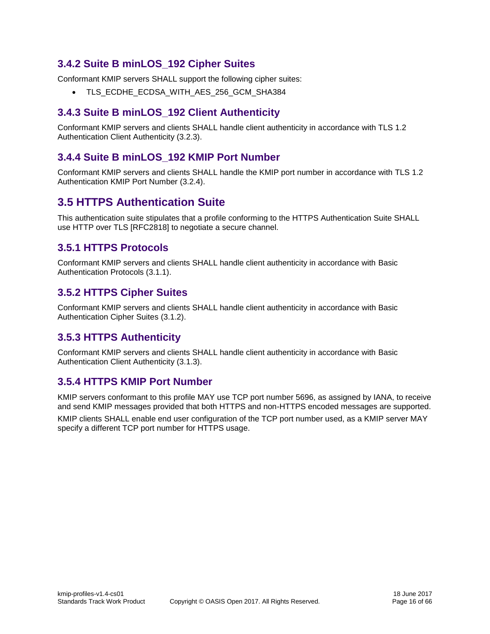## <span id="page-15-0"></span>**3.4.2 Suite B minLOS\_192 Cipher Suites**

Conformant KMIP servers SHALL support the following cipher suites:

TLS\_ECDHE\_ECDSA\_WITH\_AES\_256\_GCM\_SHA384

## <span id="page-15-1"></span>**3.4.3 Suite B minLOS\_192 Client Authenticity**

Conformant KMIP servers and clients SHALL handle client authenticity in accordance with [TLS 1.2](#page-14-1)  Authentication [Client Authenticity](#page-14-1) [\(3.2.3\)](#page-14-1).

## <span id="page-15-2"></span>**3.4.4 Suite B minLOS\_192 KMIP Port Number**

Conformant KMIP servers and clients SHALL handle the KMIP port number in accordance with [TLS 1.2](#page-14-2)  [Authentication KMIP Port Number](#page-14-2) [\(3.2.4\)](#page-14-2).

## <span id="page-15-3"></span>**3.5 HTTPS Authentication Suite**

This authentication suite stipulates that a profile conforming to the HTTPS Authentication Suite SHALL use HTTP over TLS [RFC2818] to negotiate a secure channel.

## <span id="page-15-4"></span>**3.5.1 HTTPS Protocols**

Conformant KMIP servers and clients SHALL handle client authenticity in accordance with [Basic](#page-12-2)  [Authentication Protocols](#page-12-2) [\(3.1.1\)](#page-12-2).

## <span id="page-15-5"></span>**3.5.2 HTTPS Cipher Suites**

Conformant KMIP servers and clients SHALL handle client authenticity in accordance with [Basic](#page-12-3)  [Authentication Cipher Suites](#page-12-3) [\(3.1.2\)](#page-12-3).

## <span id="page-15-6"></span>**3.5.3 HTTPS Authenticity**

Conformant KMIP servers and clients SHALL handle client authenticity in accordance with [Basic](#page-13-0)  [Authentication Client Authenticity](#page-13-0) [\(3.1.3\)](#page-13-0).

#### <span id="page-15-7"></span>**3.5.4 HTTPS KMIP Port Number**

KMIP servers conformant to this profile MAY use TCP port number 5696, as assigned by IANA, to receive and send KMIP messages provided that both HTTPS and non-HTTPS encoded messages are supported. KMIP clients SHALL enable end user configuration of the TCP port number used, as a KMIP server MAY specify a different TCP port number for HTTPS usage.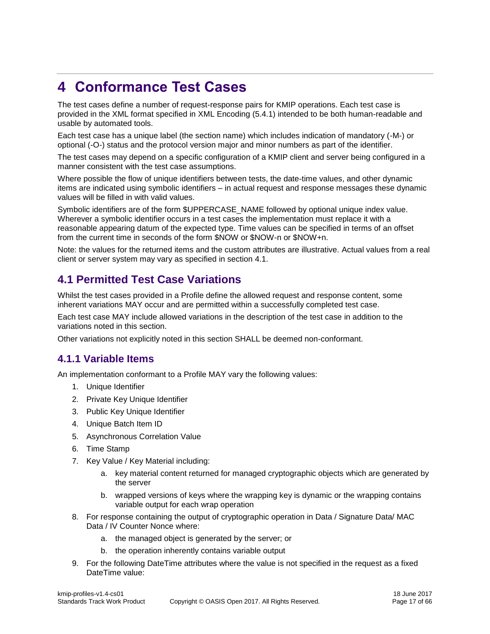## <span id="page-16-0"></span>**4 Conformance Test Cases**

The test cases define a number of request-response pairs for KMIP operations. Each test case is provided in the XML format specified in [XML Encoding](#page-25-1) [\(5.4.1\)](#page-25-1) intended to be both human-readable and usable by automated tools.

Each test case has a unique label (the section name) which includes indication of mandatory (-M-) or optional (-O-) status and the protocol version major and minor numbers as part of the identifier.

The test cases may depend on a specific configuration of a KMIP client and server being configured in a manner consistent with the test case assumptions.

Where possible the flow of unique identifiers between tests, the date-time values, and other dynamic items are indicated using symbolic identifiers – in actual request and response messages these dynamic values will be filled in with valid values.

Symbolic identifiers are of the form \$UPPERCASE\_NAME followed by optional unique index value. Wherever a symbolic identifier occurs in a test cases the implementation must replace it with a reasonable appearing datum of the expected type. Time values can be specified in terms of an offset from the current time in seconds of the form \$NOW or \$NOW-n or \$NOW+n.

Note: the values for the returned items and the custom attributes are illustrative. Actual values from a real client or server system may vary as specified in section [4.1.](#page-16-1)

## <span id="page-16-1"></span>**4.1 Permitted Test Case Variations**

Whilst the test cases provided in a Profile define the allowed request and response content, some inherent variations MAY occur and are permitted within a successfully completed test case.

Each test case MAY include allowed variations in the description of the test case in addition to the variations noted in this section.

Other variations not explicitly noted in this section SHALL be deemed non-conformant.

## <span id="page-16-2"></span>**4.1.1 Variable Items**

An implementation conformant to a Profile MAY vary the following values:

- 1. Unique Identifier
- 2. Private Key Unique Identifier
- 3. Public Key Unique Identifier
- 4. Unique Batch Item ID
- 5. Asynchronous Correlation Value
- 6. Time Stamp
- 7. Key Value / Key Material including:
	- a. key material content returned for managed cryptographic objects which are generated by the server
	- b. wrapped versions of keys where the wrapping key is dynamic or the wrapping contains variable output for each wrap operation
- 8. For response containing the output of cryptographic operation in Data / Signature Data/ MAC Data / IV Counter Nonce where:
	- a. the managed object is generated by the server; or
	- b. the operation inherently contains variable output
- 9. For the following DateTime attributes where the value is not specified in the request as a fixed DateTime value: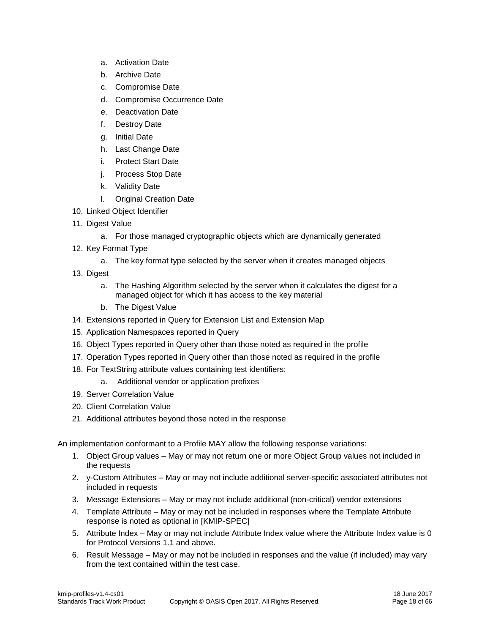- a. Activation Date
- b. Archive Date
- c. Compromise Date
- d. Compromise Occurrence Date
- e. Deactivation Date
- f. Destroy Date
- g. Initial Date
- h. Last Change Date
- i. Protect Start Date
- j. Process Stop Date
- k. Validity Date
- l. Original Creation Date
- 10. Linked Object Identifier
- 11. Digest Value
	- a. For those managed cryptographic objects which are dynamically generated
- 12. Key Format Type
	- a. The key format type selected by the server when it creates managed objects
- 13. Digest
	- a. The Hashing Algorithm selected by the server when it calculates the digest for a managed object for which it has access to the key material
	- b. The Digest Value
- 14. Extensions reported in Query for Extension List and Extension Map
- 15. Application Namespaces reported in Query
- 16. Object Types reported in Query other than those noted as required in the profile
- 17. Operation Types reported in Query other than those noted as required in the profile
- 18. For TextString attribute values containing test identifiers:
	- a. Additional vendor or application prefixes
- 19. Server Correlation Value
- 20. Client Correlation Value
- 21. Additional attributes beyond those noted in the response

An implementation conformant to a Profile MAY allow the following response variations:

- 1. Object Group values May or may not return one or more Object Group values not included in the requests
- 2. y-Custom Attributes May or may not include additional server-specific associated attributes not included in requests
- 3. Message Extensions May or may not include additional (non-critical) vendor extensions
- 4. Template Attribute May or may not be included in responses where the Template Attribute response is noted as optional in [KMIP-SPEC]
- 5. Attribute Index May or may not include Attribute Index value where the Attribute Index value is 0 for Protocol Versions 1.1 and above.
- 6. Result Message May or may not be included in responses and the value (if included) may vary from the text contained within the test case.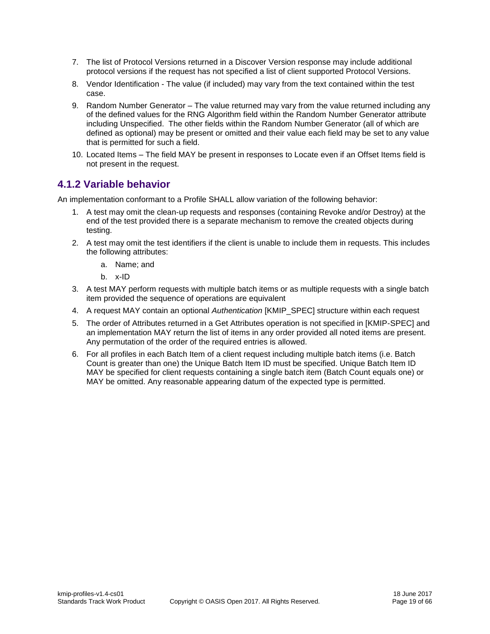- 7. The list of Protocol Versions returned in a Discover Version response may include additional protocol versions if the request has not specified a list of client supported Protocol Versions.
- 8. Vendor Identification The value (if included) may vary from the text contained within the test case.
- 9. Random Number Generator The value returned may vary from the value returned including any of the defined values for the RNG Algorithm field within the Random Number Generator attribute including Unspecified. The other fields within the Random Number Generator (all of which are defined as optional) may be present or omitted and their value each field may be set to any value that is permitted for such a field.
- 10. Located Items The field MAY be present in responses to Locate even if an Offset Items field is not present in the request.

## <span id="page-18-0"></span>**4.1.2 Variable behavior**

An implementation conformant to a Profile SHALL allow variation of the following behavior:

- 1. A test may omit the clean-up requests and responses (containing Revoke and/or Destroy) at the end of the test provided there is a separate mechanism to remove the created objects during testing.
- 2. A test may omit the test identifiers if the client is unable to include them in requests. This includes the following attributes:
	- a. Name; and
	- b. x-ID
- 3. A test MAY perform requests with multiple batch items or as multiple requests with a single batch item provided the sequence of operations are equivalent
- 4. A request MAY contain an optional *Authentication* [KMIP\_SPEC] structure within each request
- 5. The order of Attributes returned in a Get Attributes operation is not specified in [KMIP-SPEC] and an implementation MAY return the list of items in any order provided all noted items are present. Any permutation of the order of the required entries is allowed.
- 6. For all profiles in each Batch Item of a client request including multiple batch items (i.e. Batch Count is greater than one) the Unique Batch Item ID must be specified. Unique Batch Item ID MAY be specified for client requests containing a single batch item (Batch Count equals one) or MAY be omitted. Any reasonable appearing datum of the expected type is permitted.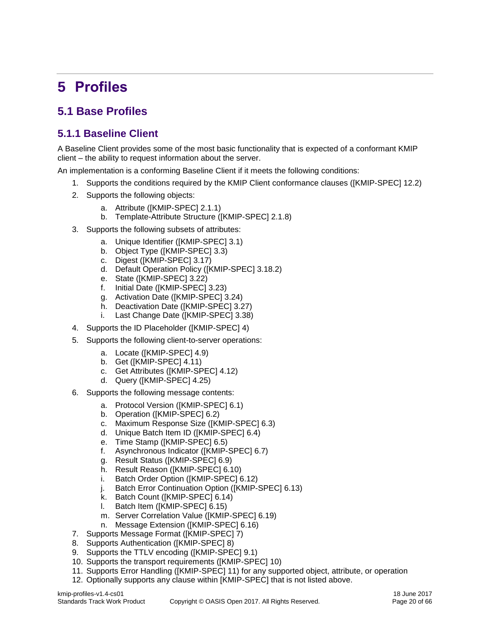## <span id="page-19-0"></span>**5 Profiles**

## <span id="page-19-1"></span>**5.1 Base Profiles**

## <span id="page-19-2"></span>**5.1.1 Baseline Client**

A [Baseline](#page-19-2) Client provides some of the most basic functionality that is expected of a conformant KMIP client – the ability to request information about the server.

An implementation is a conforming Baseline Client if it meets the following conditions:

- 1. Supports the conditions required by the KMIP Client conformance clauses ([KMIP-SPEC] 12.2)
	- 2. Supports the following objects:
		- a. Attribute ([KMIP-SPEC] 2.1.1)
		- b. Template-Attribute Structure ([KMIP-SPEC] 2.1.8)
	- 3. Supports the following subsets of attributes:
		- a. Unique Identifier ([KMIP-SPEC] 3.1)
		- b. Object Type ([KMIP-SPEC] 3.3)
		- c. Digest ([KMIP-SPEC] 3.17)
		- d. Default Operation Policy ([KMIP-SPEC] 3.18.2)
		- e. State ([KMIP-SPEC] 3.22)
		- f. Initial Date ([KMIP-SPEC] 3.23)
		- g. Activation Date ([KMIP-SPEC] 3.24)
		- h. Deactivation Date ([KMIP-SPEC] 3.27)
		- i. Last Change Date ([KMIP-SPEC] 3.38)
	- 4. Supports the ID Placeholder ([KMIP-SPEC] 4)
	- 5. Supports the following client-to-server operations:
		- a. Locate ([KMIP-SPEC] 4.9)
		- b. Get ([KMIP-SPEC] 4.11)
		- c. Get Attributes ([KMIP-SPEC] 4.12)
		- d. Query ([KMIP-SPEC] 4.25)
	- 6. Supports the following message contents:
		- a. Protocol Version ([KMIP-SPEC] 6.1)
		- b. Operation ([KMIP-SPEC] 6.2)
		- c. Maximum Response Size ([KMIP-SPEC] 6.3)
		- d. Unique Batch Item ID ([KMIP-SPEC] 6.4)
		- e. Time Stamp ([KMIP-SPEC] 6.5)
		- f. Asynchronous Indicator ([KMIP-SPEC] 6.7)
		- g. Result Status ([KMIP-SPEC] 6.9)
		- h. Result Reason ([KMIP-SPEC] 6.10)
		- i. Batch Order Option ([KMIP-SPEC] 6.12)
		- j. Batch Error Continuation Option ([KMIP-SPEC] 6.13)
		- k. Batch Count ([KMIP-SPEC] 6.14)<br>I. Batch Item ([KMIP-SPEC] 6.15)
		- Batch Item ([KMIP-SPEC] 6.15)
		- m. Server Correlation Value ([KMIP-SPEC] 6.19)
		- n. Message Extension ([KMIP-SPEC] 6.16)
	- 7. Supports Message Format ([KMIP-SPEC] 7)
	- 8. Supports Authentication ([KMIP-SPEC] 8)
- 9. Supports the TTLV encoding ([KMIP-SPEC] 9.1)
- 10. Supports the transport requirements ([KMIP-SPEC] 10)
- 11. Supports Error Handling ([KMIP-SPEC] 11) for any supported object, attribute, or operation
- 12. Optionally supports any clause within [KMIP-SPEC] that is not listed above.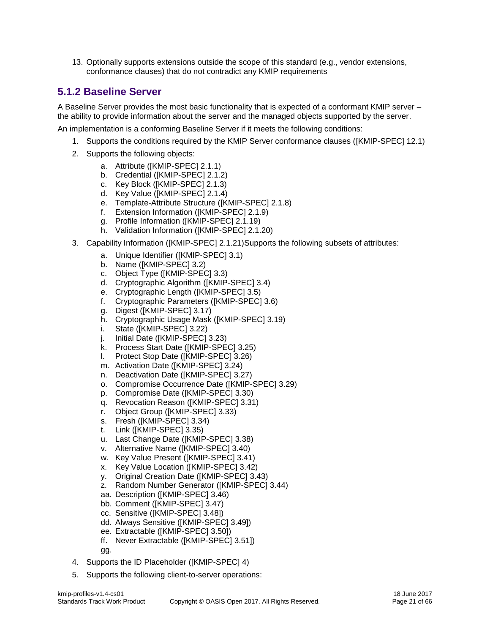13. Optionally supports extensions outside the scope of this standard (e.g., vendor extensions, conformance clauses) that do not contradict any KMIP requirements

## <span id="page-20-0"></span>**5.1.2 Baseline Server**

A [Baseline](#page-20-0) Server provides the most basic functionality that is expected of a conformant KMIP server – the ability to provide information about the server and the managed objects supported by the server.

An implementation is a conforming Baseline Server if it meets the following conditions:

- 1. Supports the conditions required by the KMIP Server conformance clauses ([KMIP-SPEC] 12.1)
- 2. Supports the following objects:
	- a. Attribute ([KMIP-SPEC] 2.1.1)
	- b. Credential ([KMIP-SPEC] 2.1.2)
	- c. Key Block ([KMIP-SPEC] 2.1.3)
	- d. Key Value ([KMIP-SPEC] 2.1.4)
	- e. Template-Attribute Structure ([KMIP-SPEC] 2.1.8)
	- f. Extension Information ([KMIP-SPEC] 2.1.9)
	- g. Profile Information ([KMIP-SPEC] 2.1.19)
	- h. Validation Information ([KMIP-SPEC] 2.1.20)
- 3. Capability Information ([KMIP-SPEC] 2.1.21)Supports the following subsets of attributes:
	- a. Unique Identifier ([KMIP-SPEC] 3.1)
	- b. Name ([KMIP-SPEC] 3.2)
	- c. Object Type ([KMIP-SPEC] 3.3)
	- d. Cryptographic Algorithm ([KMIP-SPEC] 3.4)
	- e. Cryptographic Length ([KMIP-SPEC] 3.5)
	- f. Cryptographic Parameters ([KMIP-SPEC] 3.6)
	- g. Digest ([KMIP-SPEC] 3.17)
	- h. Cryptographic Usage Mask ([KMIP-SPEC] 3.19)
	- i. State ([KMIP-SPEC] 3.22)
	- j. Initial Date ([KMIP-SPEC] 3.23)
	- k. Process Start Date ([KMIP-SPEC] 3.25)
	- l. Protect Stop Date ([KMIP-SPEC] 3.26)
	- m. Activation Date ([KMIP-SPEC] 3.24)
	- n. Deactivation Date ([KMIP-SPEC] 3.27)
	- o. Compromise Occurrence Date ([KMIP-SPEC] 3.29)
	- p. Compromise Date ([KMIP-SPEC] 3.30)
	- q. Revocation Reason ([KMIP-SPEC] 3.31)
	- r. Object Group ([KMIP-SPEC] 3.33)
	- s. Fresh ([KMIP-SPEC] 3.34)
	- t. Link ([KMIP-SPEC] 3.35)
	- u. Last Change Date ([KMIP-SPEC] 3.38)
	- v. Alternative Name ([KMIP-SPEC] 3.40)
	- w. Key Value Present ([KMIP-SPEC] 3.41)
	- x. Key Value Location ([KMIP-SPEC] 3.42)
	- y. Original Creation Date ([KMIP-SPEC] 3.43)
	- z. Random Number Generator ([KMIP-SPEC] 3.44)
	- aa. Description ([KMIP-SPEC] 3.46)
	- bb. Comment ([KMIP-SPEC] 3.47)
	- cc. Sensitive ([KMIP-SPEC] 3.48])
	- dd. Always Sensitive ([KMIP-SPEC] 3.49])
	- ee. Extractable ([KMIP-SPEC] 3.50])
	- ff. Never Extractable ([KMIP-SPEC] 3.51])
	- gg.
- 4. Supports the ID Placeholder ([KMIP-SPEC] 4)
- 5. Supports the following client-to-server operations: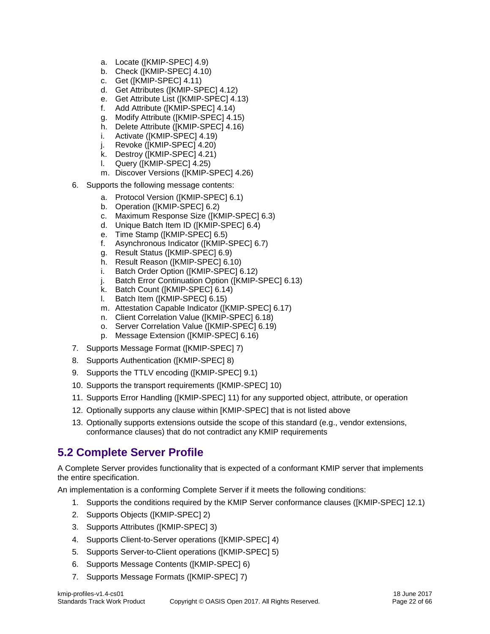- a. Locate ([KMIP-SPEC] 4.9)
- b. Check ([KMIP-SPEC] 4.10)
- c. Get ([KMIP-SPEC] 4.11)
- d. Get Attributes ([KMIP-SPEC] 4.12)
- e. Get Attribute List ([KMIP-SPEC] 4.13)
- f. Add Attribute ([KMIP-SPEC] 4.14)
- g. Modify Attribute ([KMIP-SPEC] 4.15)
- h. Delete Attribute ([KMIP-SPEC] 4.16)
- i. Activate ([KMIP-SPEC] 4.19)
- j. Revoke ([KMIP-SPEC] 4.20)
- 
- k. Destroy ([KMIP-SPEC] 4.21)<br>I. Query ([KMIP-SPEC] 4.25) Query ([KMIP-SPEC] 4.25)
- m. Discover Versions ([KMIP-SPEC] 4.26)
- 6. Supports the following message contents:
	- a. Protocol Version ([KMIP-SPEC] 6.1)
	- b. Operation ([KMIP-SPEC] 6.2)
	- c. Maximum Response Size ([KMIP-SPEC] 6.3)
	- d. Unique Batch Item ID ([KMIP-SPEC] 6.4)
	- e. Time Stamp ([KMIP-SPEC] 6.5)
	- f. Asynchronous Indicator ([KMIP-SPEC] 6.7)
	- g. Result Status ([KMIP-SPEC] 6.9)
	- h. Result Reason ([KMIP-SPEC] 6.10)
	- i. Batch Order Option ([KMIP-SPEC] 6.12)
	- j. Batch Error Continuation Option ([KMIP-SPEC] 6.13)
	- k. Batch Count ([KMIP-SPEC] 6.14)
	- l. Batch Item ([KMIP-SPEC] 6.15)
	- m. Attestation Capable Indicator ([KMIP-SPEC] 6.17)
	- n. Client Correlation Value ([KMIP-SPEC] 6.18)
	- o. Server Correlation Value ([KMIP-SPEC] 6.19)
	- p. Message Extension ([KMIP-SPEC] 6.16)
- 7. Supports Message Format ([KMIP-SPEC] 7)
- 8. Supports Authentication ([KMIP-SPEC] 8)
- 9. Supports the TTLV encoding ([KMIP-SPEC] 9.1)
- 10. Supports the transport requirements ([KMIP-SPEC] 10)
- 11. Supports Error Handling ([KMIP-SPEC] 11) for any supported object, attribute, or operation
- 12. Optionally supports any clause within [KMIP-SPEC] that is not listed above
- 13. Optionally supports extensions outside the scope of this standard (e.g., vendor extensions, conformance clauses) that do not contradict any KMIP requirements

## <span id="page-21-0"></span>**5.2 Complete Server Profile**

A [Complete](#page-21-0) Server provides functionality that is expected of a conformant KMIP server that implements the entire specification.

An implementation is a conforming [Complete](#page-21-0) Server if it meets the following conditions:

- 1. Supports the conditions required by the KMIP Server conformance clauses ([KMIP-SPEC] 12.1)
- 2. Supports Objects ([KMIP-SPEC] 2)
- 3. Supports Attributes ([KMIP-SPEC] 3)
- 4. Supports Client-to-Server operations ([KMIP-SPEC] 4)
- 5. Supports Server-to-Client operations ([KMIP-SPEC] 5)
- 6. Supports Message Contents ([KMIP-SPEC] 6)
- 7. Supports Message Formats ([KMIP-SPEC] 7)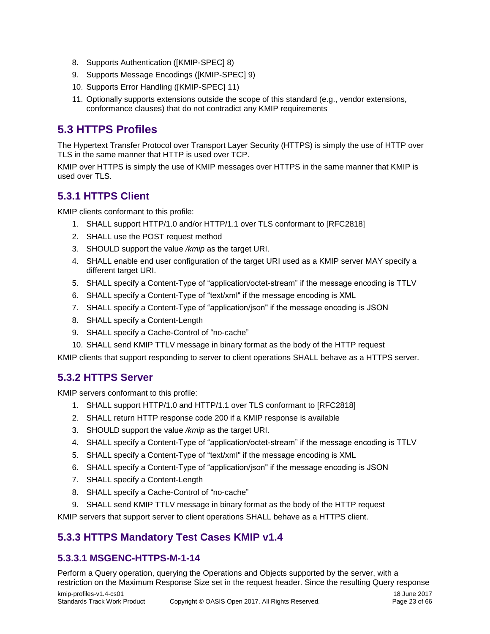- 8. Supports Authentication ([KMIP-SPEC] 8)
- 9. Supports Message Encodings ([KMIP-SPEC] 9)
- 10. Supports Error Handling ([KMIP-SPEC] 11)
- 11. Optionally supports extensions outside the scope of this standard (e.g., vendor extensions, conformance clauses) that do not contradict any KMIP requirements

## <span id="page-22-0"></span>**5.3 HTTPS Profiles**

The Hypertext Transfer Protocol over Transport Layer Security (HTTPS) is simply the use of HTTP over TLS in the same manner that HTTP is used over TCP.

KMIP over HTTPS is simply the use of KMIP messages over HTTPS in the same manner that KMIP is used over TLS.

## <span id="page-22-1"></span>**5.3.1 HTTPS Client**

KMIP clients conformant to this profile:

- 1. SHALL support HTTP/1.0 and/or HTTP/1.1 over TLS conformant to [RFC2818]
- 2. SHALL use the POST request method
- 3. SHOULD support the value */kmip* as the target URI.
- 4. SHALL enable end user configuration of the target URI used as a KMIP server MAY specify a different target URI.
- 5. SHALL specify a Content-Type of "application/octet-stream" if the message encoding is TTLV
- 6. SHALL specify a Content-Type of "text/xml" if the message encoding is XML
- 7. SHALL specify a Content-Type of "application/json" if the message encoding is JSON
- 8. SHALL specify a Content-Length
- 9. SHALL specify a Cache-Control of "no-cache"
- 10. SHALL send KMIP TTLV message in binary format as the body of the HTTP request

KMIP clients that support responding to server to client operations SHALL behave as a HTTPS server.

## <span id="page-22-2"></span>**5.3.2 HTTPS Server**

KMIP servers conformant to this profile:

- 1. SHALL support HTTP/1.0 and HTTP/1.1 over TLS conformant to [RFC2818]
- 2. SHALL return HTTP response code 200 if a KMIP response is available
- 3. SHOULD support the value */kmip* as the target URI.
- 4. SHALL specify a Content-Type of "application/octet-stream" if the message encoding is TTLV
- 5. SHALL specify a Content-Type of "text/xml" if the message encoding is XML
- 6. SHALL specify a Content-Type of "application/json" if the message encoding is JSON
- 7. SHALL specify a Content-Length
- 8. SHALL specify a Cache-Control of "no-cache"
- 9. SHALL send KMIP TTLV message in binary format as the body of the HTTP request

KMIP servers that support server to client operations SHALL behave as a HTTPS client.

## <span id="page-22-3"></span>**5.3.3 HTTPS Mandatory Test Cases KMIP v1.4**

#### <span id="page-22-4"></span>**5.3.3.1 MSGENC-HTTPS-M-1-14**

Perform a Query operation, querying the Operations and Objects supported by the server, with a restriction on the Maximum Response Size set in the request header. Since the resulting Query response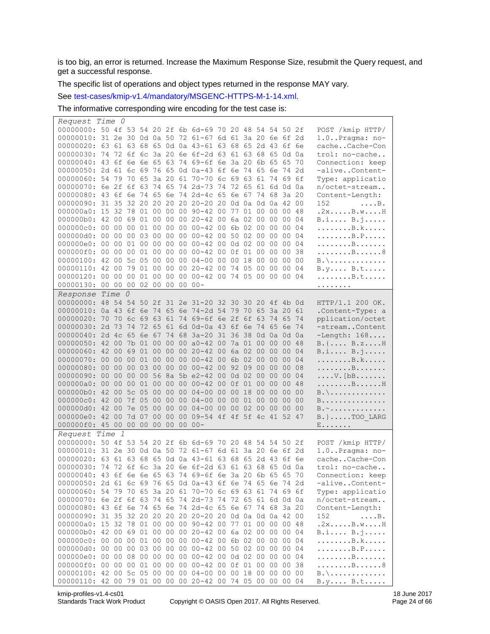is too big, an error is returned. Increase the Maximum Response Size, resubmit the Query request, and get a successful response.

The specific list of operations and object types returned in the response MAY vary.

See [test-cases/kmip-v1.4/mandatory/MSGENC-HTTPS-M-1-14.xml.](test-cases/kmip-v1.4/mandatory/MSGENC-HTTPS-M-1-14.xml)

The informative corresponding wire encoding for the test case is:

| Request Time 0                                            |  |       |       |       |                 |                                                 |  |                |       |                |                                |
|-----------------------------------------------------------|--|-------|-------|-------|-----------------|-------------------------------------------------|--|----------------|-------|----------------|--------------------------------|
| 00000000: 50 4f 53 54 20 2f 6b 6d-69 70 20 48 54 54 50 2f |  |       |       |       |                 |                                                 |  |                |       |                | POST /kmip HTTP/               |
| 00000010: 31 2e 30 0d 0a 50 72 61-67 6d 61 3a 20 6e 6f 2d |  |       |       |       |                 |                                                 |  |                |       |                | $1.0.$ . Pragma: no-           |
| 00000020: 63 61 63 68 65 0d 0a 43-61 63 68 65 2d 43 6f 6e |  |       |       |       |                 |                                                 |  |                |       |                | cacheCache-Con                 |
| 00000030: 74 72 6f 6c 3a 20 6e 6f-2d 63 61 63 68 65 0d 0a |  |       |       |       |                 |                                                 |  |                |       |                | trol: no-cache                 |
| 00000040: 43 6f 6e 6e 65 63 74 69-6f 6e 3a 20 6b 65 65 70 |  |       |       |       |                 |                                                 |  |                |       |                | Connection: keep               |
| 00000050: 2d 61 6c 69 76 65 0d 0a-43 6f 6e 74 65 6e 74 2d |  |       |       |       |                 |                                                 |  |                |       |                | -aliveContent-                 |
| 00000060: 54 79 70 65 3a 20 61 70-70 6c 69 63 61 74 69 6f |  |       |       |       |                 |                                                 |  |                |       |                | Type: applicatio               |
| 00000070: 6e 2f 6f 63 74 65 74 2d-73 74 72 65 61 6d 0d 0a |  |       |       |       |                 |                                                 |  |                |       |                | n/octet-stream                 |
| 00000080: 43 6f 6e 74 65 6e 74 2d-4c 65 6e 67 74 68 3a 20 |  |       |       |       |                 |                                                 |  |                |       |                | Content-Length:                |
| 00000090: 31 35 32 20 20 20 20 20 20 20 0d 0a 0d 0a 42 00 |  |       |       |       |                 |                                                 |  |                |       |                | 152<br>$\ldots$ $\mathbb{B}$ . |
| 000000a0: 15 32 78 01 00 00 00 90-42 00 77 01 00 00 00 48 |  |       |       |       |                 |                                                 |  |                |       |                | .2xB.wH                        |
| 000000b0: 42 00 69 01 00 00 00 20-42 00 6a 02 00 00 00 04 |  |       |       |       |                 |                                                 |  |                |       |                | B.i B.j                        |
| 000000c0: 00 00 00 01 00 00 00 00-42 00 6b 02 00 00 00 04 |  |       |       |       |                 |                                                 |  |                |       |                | . B . k                        |
| 000000d0: 00 00 00 03 00 00                               |  |       |       |       |                 | 00 00-42 00 50 02 00 00 00 04                   |  |                |       |                | . B . P                        |
| 000000e0: 00 00 01 00 00 00 00 00-42 00 0d 02 00 00 00 04 |  |       |       |       |                 |                                                 |  |                |       |                | . B                            |
| 000000f0: 00 00 00 01 00 00 00 00-42 00 0f 01 00 00 00 38 |  |       |       |       |                 |                                                 |  |                |       |                | . B 8                          |
| 00000100: 42 00 5c 05 00 00                               |  |       |       |       |                 | 00 04-00 00 00                                  |  | 18 00 00 00 00 |       |                | $B. \backslash$                |
| 00000110: 42 00 79 01 00 00                               |  |       |       |       |                 | 00 20-42 00 74 05 00 00 00 04                   |  |                |       |                | $B.y$ $B.t$ .                  |
| 00000120: 00 00 00 01 00 00 00 00-42 00 74 05 00 00 00 04 |  |       |       |       |                 |                                                 |  |                |       |                | . B . t                        |
| 00000130: 00 00 00 02 00 00                               |  |       |       |       | 00              | $00 -$                                          |  |                |       |                | .                              |
| Response Time 0                                           |  |       |       |       |                 |                                                 |  |                |       |                |                                |
| 00000000:                                                 |  |       |       |       |                 | 48 54 54 50 2f 31 2e 31-20 32 30 30 20 4f 4b 0d |  |                |       |                | HTTP/1.1 200 OK.               |
| 00000010: 0a 43 6f 6e 74 65 6e 74-2d 54 79 70 65 3a 20 61 |  |       |       |       |                 |                                                 |  |                |       |                | .Content-Type: a               |
| 00000020: 70 70 6c 69 63 61 74 69-6f 6e 2f 6f 63 74 65 74 |  |       |       |       |                 |                                                 |  |                |       |                | pplication/octet               |
| 00000030: 2d 73 74 72 65 61 6d 0d-0a 43 6f 6e 74 65 6e 74 |  |       |       |       |                 |                                                 |  |                |       |                | -streamContent                 |
| 00000040: 2d 4c 65 6e 67 74 68 3a-20 31 36 38 0d 0a 0d 0a |  |       |       |       |                 |                                                 |  |                |       |                | $-L$ ength: $168$              |
| 00000050: 42 00 7b 01 00 00 00 a0-42 00 7a 01 00 00 00 48 |  |       |       |       |                 |                                                 |  |                |       |                | $B.$ { $B.$ z $H$              |
| 00000060: 42 00 69 01                                     |  |       |       | 00 00 |                 | 00 20-42 00 6a 02 00                            |  |                | 00 00 | 04             | B.i B.j                        |
| 00000070: 00 00 00 01 00 00                               |  |       |       |       |                 | 00 00-42 00 6b 02 00 00 00 04                   |  |                |       |                | . B . k                        |
| 00000080: 00 00 00 03 00 00 00 00-42 00 92 09 00 00 00 08 |  |       |       |       |                 |                                                 |  |                |       |                | . B                            |
| 00000090: 00 00 00 00 56 8a 5b e2-42 00 0d 02 00 00 00    |  |       |       |       |                 |                                                 |  |                |       | 04             | $\ldots$ . V. [bB              |
| 000000a0: 00 00 00 01 00 00 00 00-42 00 0f 01 00 00 00 48 |  |       |       |       |                 |                                                 |  |                |       |                | . B H                          |
| 000000b0: 42 00 5c 05                                     |  |       |       |       |                 | 00 00 00 04-00 00 00                            |  | 18 00 00 00 00 |       |                | $B. \backslash$                |
| 000000c0: 42 00 7f 05                                     |  |       |       | 00 00 | 00 <sub>o</sub> | $04 - 000000$                                   |  | 01 00 00 00 00 |       |                | B.                             |
| 000000d0: 42 00                                           |  | 7e 05 | 00 00 |       | 0 <sup>0</sup>  | $04 - 0000000$                                  |  | 02 00 00 00    |       | 0 <sup>0</sup> | B. ~                           |
| 000000e0: 42 00 7d 07                                     |  |       | 00 00 |       | 0 <sup>0</sup>  | 09-54 4f 4f 5f 4c 41 52 47                      |  |                |       |                | $B.$ }TOO LARG                 |
| 000000f0: 45 00 00 00 00 00 00                            |  |       |       |       |                 | $00 -$                                          |  |                |       |                | $E \ldots \ldots$              |
| Request Time 1                                            |  |       |       |       |                 |                                                 |  |                |       |                |                                |
| 00000000: 50 4f 53 54 20 2f 6b 6d-69 70 20 48 54 54 50 2f |  |       |       |       |                 |                                                 |  |                |       |                | POST /kmip HTTP/               |
| 00000010: 31 2e 30 0d 0a 50 72 61-67 6d 61 3a 20 6e 6f 2d |  |       |       |       |                 |                                                 |  |                |       |                | $1.0$ $Pragma: no-$            |
| 00000020: 63 61 63 68 65 0d 0a 43-61 63 68 65 2d 43 6f 6e |  |       |       |       |                 |                                                 |  |                |       |                | cacheCache-Con                 |
| 00000030: 74 72 6f 6c 3a 20 6e 6f-2d 63 61 63 68 65 0d 0a |  |       |       |       |                 |                                                 |  |                |       |                | trol: no-cache                 |
| 00000040: 43 6f 6e 6e 65 63 74 69-6f 6e 3a 20 6b 65 65 70 |  |       |       |       |                 |                                                 |  |                |       |                | Connection: keep               |
| 00000050: 2d 61 6c 69 76 65 0d 0a-43 6f 6e 74 65 6e 74 2d |  |       |       |       |                 |                                                 |  |                |       |                | -aliveContent-                 |
| 00000060: 54 79 70 65 3a 20 61 70-70 6c 69 63 61 74 69 6f |  |       |       |       |                 |                                                 |  |                |       |                | Type: applicatio               |
| 00000070: 6e 2f 6f 63 74 65 74 2d-73 74 72 65 61 6d 0d 0a |  |       |       |       |                 |                                                 |  |                |       |                | n/octet-stream                 |
| 00000080: 43 6f 6e 74 65 6e 74 2d-4c 65 6e 67 74 68 3a 20 |  |       |       |       |                 |                                                 |  |                |       |                | Content-Length:                |
| 00000090: 31 35 32 20 20 20 20 20 20 20 0d 0a 0d 0a 42 00 |  |       |       |       |                 |                                                 |  |                |       |                | 152<br>$\ldots$ $\mathbb{B}$ . |
| 000000a0: 15 32 78 01 00 00 00 90-42 00 77 01 00 00 00 48 |  |       |       |       |                 |                                                 |  |                |       |                | .2xB.wH                        |
| 000000b0: 42 00 69 01 00 00 00 20-42 00 6a 02 00 00 00 04 |  |       |       |       |                 |                                                 |  |                |       |                | B.i B.j                        |
| 000000c0: 00 00 00 01 00 00 00 00-42 00 6b 02 00 00 00 04 |  |       |       |       |                 |                                                 |  |                |       |                | . B . k                        |
| 000000d0: 00 00 00 03 00 00 00 00-42 00 50 02 00 00 00 04 |  |       |       |       |                 |                                                 |  |                |       |                | B.P                            |
| 000000e0: 00 00 08 00 00 00 00 00-42 00 0d 02 00 00 00 04 |  |       |       |       |                 |                                                 |  |                |       |                | . B                            |
| 000000f0: 00 00 00 01 00 00 00 00-42 00 0f 01 00 00 00 38 |  |       |       |       |                 |                                                 |  |                |       |                | . B 8                          |
| 00000100: 42 00 5c 05 00 00 00 04-00 00 00 18 00 00 00 00 |  |       |       |       |                 |                                                 |  |                |       |                | $B. \backslash$                |
| 00000110: 42 00 79 01 00 00 00 20-42 00 74 05 00 00 00 04 |  |       |       |       |                 |                                                 |  |                |       |                | $B.y$ $B.t$                    |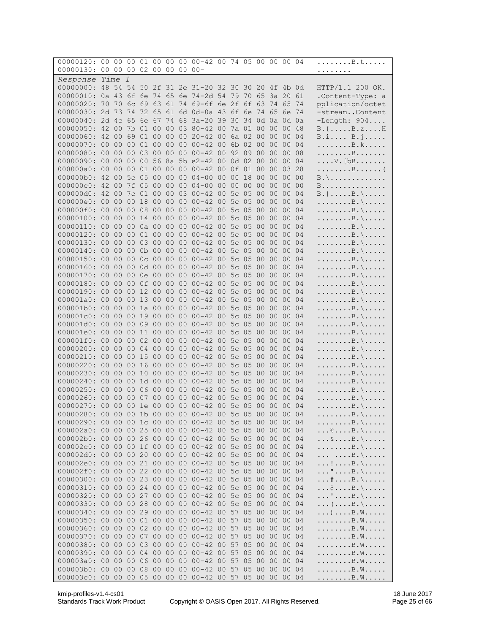| 00000120: 00 00                                                                                                        |                 |                 |                 |             |                 |                 |                 | 00 01 00 00 00 00 -42 00 74 05 00 00 00 04      |  |    |                 |                       |                      |    | . B . t                                                                |
|------------------------------------------------------------------------------------------------------------------------|-----------------|-----------------|-----------------|-------------|-----------------|-----------------|-----------------|-------------------------------------------------|--|----|-----------------|-----------------------|----------------------|----|------------------------------------------------------------------------|
| 00000130:                                                                                                              |                 |                 |                 | 00 00 00 02 |                 | 00 00           |                 | $00000 -$                                       |  |    |                 |                       |                      |    | . <sub>.</sub>                                                         |
| Response Time                                                                                                          |                 |                 | $\overline{1}$  |             |                 |                 |                 |                                                 |  |    |                 |                       |                      |    |                                                                        |
| 00000000:                                                                                                              |                 |                 |                 |             |                 |                 |                 | 48 54 54 50 2f 31 2e 31-20 32 30 30 20 4f 4b 0d |  |    |                 |                       |                      |    | HTTP/1.1 200 OK.                                                       |
| 00000010: 0a 43 6f 6e                                                                                                  |                 |                 |                 |             | 74 65           |                 |                 | 6e 74-2d 54 79 70 65                            |  |    |                 |                       | 3a 20 61             |    | .Content-Type: a                                                       |
| 00000020:                                                                                                              |                 |                 |                 |             |                 |                 |                 | 70 70 6c 69 63 61 74 69-6f 6e 2f 6f 63 74 65 74 |  |    |                 |                       |                      |    | pplication/octet                                                       |
| 00000030: 2d 73 74                                                                                                     |                 |                 |                 | 72 65       |                 | 61              |                 | 6d 0d-0a 43 6f 6e 74 65 6e 74                   |  |    |                 |                       |                      |    | -streamContent                                                         |
| 00000040: 2d 4c 65 6e 67 74 68                                                                                         |                 |                 |                 |             |                 |                 |                 | 3a-20 39 30 34 0d 0a 0d 0a                      |  |    |                 |                       |                      |    | $-L$ ength: $904$                                                      |
| 00000050: 42 00 7b 01                                                                                                  |                 |                 |                 |             | 00 <sub>o</sub> |                 |                 | 00 03 80-42 00 7a 01 00 00 00 48                |  |    |                 |                       |                      |    | $B. \{ \ldots . B. z \ldots . H$                                       |
| 00000060: 42 00                                                                                                        |                 |                 | 69              | 01 00       |                 | 00 00           |                 | 20-42 00 6a 02 00                               |  |    |                 | 00 00                 |                      | 04 | B.i B.j                                                                |
| 00000070: 00 00 00 01 00                                                                                               |                 |                 |                 |             |                 |                 |                 | 00 00 00-42 00 6b 02 00                         |  |    |                 |                       | 00 00 04             |    | . B . k                                                                |
| 00000080: 00                                                                                                           |                 | 00              | 00 03           |             |                 | 00 00 00        |                 | 00-42 00 92 09 00                               |  |    |                 | 00 <sup>o</sup>       | 00 08                |    | . B                                                                    |
| 00000090: 00 00<br>000000a0: 00 00                                                                                     |                 |                 | 00 00           | 00 01       |                 | 00 00 00        |                 | 56 8a 5b e2-42 00 0d 02 00<br>00-42 00 0f 01 00 |  |    |                 |                       | 00 00 04<br>00 03 28 |    | $\ldots$ . V. [bB.                                                     |
| 000000b0: 42 00                                                                                                        |                 |                 | 5c 05           |             |                 |                 |                 | 00 00 00 04-00 00 00                            |  | 18 | 00              |                       | 00 00 00             |    | . B (<br>$B. \backslash \ldots \ldots \ldots \ldots$                   |
| 000000c0: 42 00 7f 05                                                                                                  |                 |                 |                 |             |                 |                 |                 | 00 00 00 04-00 00 00 00 00                      |  |    |                 |                       | 00 00 00             |    | B.                                                                     |
| 000000d0: 42 00                                                                                                        |                 |                 | 7c 01           |             | 00              | 00              | 03              | $00 - 42$ 00 5c 05                              |  |    | 0 <sup>0</sup>  | 0 <sup>0</sup>        | 0 <sup>0</sup>       | 04 | $B.   \ldots . B. \setminus \ldots$                                    |
| 000000e0: 00 00                                                                                                        |                 |                 | 00 18           |             |                 | 00 00 00        |                 | 00-42 00 5c 05 00                               |  |    |                 | 00 <sup>°</sup>       | 00 <sup>o</sup>      | 04 | $\ldots \ldots \ldots$ . $\vdots$                                      |
| 000000f0:                                                                                                              | 00              | 00 <sup>o</sup> | 00 08           |             |                 | 00 00 00        |                 | 00-42 00 5c 05                                  |  |    | 00 <sup>o</sup> |                       | 00 00 04             |    | $\ldots \ldots \ldots$ B. \                                            |
| 00000100: 00 00                                                                                                        |                 |                 | 00              | 14          |                 | 00 00 00        |                 | 00-42 00 5c 05 00                               |  |    |                 | 00 00                 |                      | 04 | . B . \                                                                |
| 00000110: 00 00 00 0a 00                                                                                               |                 |                 |                 |             |                 |                 |                 | 00 00 00-42 00 5c 05 00                         |  |    |                 | 00 00 04              |                      |    | . B . \                                                                |
| 00000120: 00                                                                                                           |                 | 00              | 00 01           |             | 0 <sup>0</sup>  | 00 00           |                 | $00-42$ 00 5c 05                                |  |    |                 | 00 00 00 04           |                      |    | . B . \                                                                |
| 00000130: 00 00                                                                                                        |                 |                 | 00 03           |             |                 |                 |                 | 00 00 00 00-42 00 5c 05 00                      |  |    |                 | 00 00 04              |                      |    | $\ldots \ldots B. \setminus \ldots$                                    |
| 00000140:                                                                                                              | 0 <sup>0</sup>  | 0 <sup>0</sup>  |                 | 00 0b 00    |                 | 00 <sup>o</sup> | 00 <sup>o</sup> | $00-42$ 00 5c 05                                |  |    | $00\,$          | 0 <sup>0</sup>        | 00 04                |    | . B . \                                                                |
| 00000150: 00                                                                                                           |                 | 00              | 00              | $0c$ 00     |                 | 00              | 0 <sup>0</sup>  | $00 - 42$ 00 5c 05                              |  |    | 00 <sup>o</sup> | 00 <sub>o</sub>       | 00 04                |    | . B . \                                                                |
| 00000160: 00                                                                                                           |                 | 00              |                 | 00 0d 00    |                 |                 |                 | 00 00 00-42 00 5c 05 00                         |  |    |                 |                       | 00 00 04             |    | . B . \                                                                |
| 00000170: 00                                                                                                           |                 | 00              | 00              | 0e 00       |                 | 00              | 00              | $00 - 42$ 00 5c 05                              |  |    | 0 <sup>0</sup>  | 00 00                 |                      | 04 | $\ldots \ldots B. \backslash \ldots \ldots$                            |
| 00000180: 00 00                                                                                                        |                 |                 |                 |             |                 |                 |                 | 00 0f 00 00 00 00-42 00 5c 05 00 00 00 04       |  |    |                 |                       |                      |    | . B . \                                                                |
| 00000190:                                                                                                              | 00 <sup>o</sup> | 00 <sup>o</sup> |                 |             |                 |                 |                 | 00 12 00 00 00 00-42 00 5c 05                   |  |    | 00 <sub>o</sub> | 00 00 04              |                      |    | . B . \                                                                |
| 000001a0:                                                                                                              | 00              | 00              | 00 13           |             |                 | 00 00 00        |                 | $00 - 42$ 00 5c 05                              |  |    | 00 <sup>o</sup> | 00 <sup>°</sup>       | 0 <sup>0</sup>       | 04 | $\ldots \ldots B. \backslash \ldots \ldots$                            |
| 000001b0: 00<br>000001c0: 00                                                                                           |                 | 00<br>00        | 00<br>00        | 1a 00<br>19 | 0 <sup>0</sup>  | 00 00<br>00     | 00              | 00-42 00 5c 05 00<br>$00 - 42$ 00 5c 05         |  |    | 00 <sup>o</sup> | 00 <sub>o</sub><br>00 | 00 04<br>00 04       |    | . B . \                                                                |
| 000001d0: 00 00                                                                                                        |                 |                 | 00 09           |             |                 |                 |                 | 00 00 00 00-42 00 5c 05 00                      |  |    |                 | 00 00 04              |                      |    | . B . \<br>. B . \                                                     |
| 000001e0: 00                                                                                                           |                 | 00              |                 | 00 11       |                 | 00 00           |                 | 00 00-42 00 5c 05 00                            |  |    |                 | 00 <sub>o</sub>       | 00 04                |    | $\ldots \ldots \ldots$ . $\vdots$                                      |
| 000001f0: 00                                                                                                           |                 | 00              | 00 02           |             | 0 <sup>0</sup>  | 00 00           |                 | 00-42 00 5c 05 00                               |  |    |                 |                       | 00 00 04             |    | . B . \                                                                |
| 00000200: 00                                                                                                           |                 | 0 <sup>0</sup>  | 00 04           |             |                 |                 |                 | 00 00 00 00-42 00 5c 05 00 00 00 04             |  |    |                 |                       |                      |    | . B . \                                                                |
| 00000210:                                                                                                              | 0 <sup>0</sup>  | 0 <sup>0</sup>  | 00              | 15          | 0 <sup>0</sup>  | 0 <sup>0</sup>  | 0 <sup>0</sup>  | $00 - 42$ 00 5c 05                              |  |    | 0 <sup>0</sup>  | 0 <sup>0</sup>        | 0 <sup>0</sup>       | 04 | . B . \                                                                |
| 00000220: 00                                                                                                           |                 | 00              | 00              | 16          | 00              | 00              | 0 <sup>0</sup>  | 00-42 00 5c 05 00                               |  |    |                 | 00 <sup>1</sup>       | 00 04                |    | $\ldots \ldots \ldots$ . $\vdots$                                      |
| 00000230:                                                                                                              | 0 <sup>0</sup>  | 00              | 00 <sup>o</sup> | 10          | 00 <sub>o</sub> | 00 <sub>o</sub> | 0 <sup>0</sup>  | 00-42 00 5c 05 00                               |  |    |                 |                       | 00 00 04             |    | . B . \                                                                |
| 00000240:                                                                                                              | 00              | 0 <sup>0</sup>  | 00              | 1d 00       |                 | 00 <sup>o</sup> | 00              | $00-42$ 00 5c 05 00                             |  |    |                 | 00 00                 |                      | 04 | $\ldots \ldots B. \backslash \ldots \ldots$                            |
| 00000250: 00                                                                                                           |                 | 00              | 00 <sup>o</sup> | 06          | 00              | 00 <sub>o</sub> | 00 <sup>o</sup> | $00-42$ 00 5c 05                                |  |    |                 | 00 00                 | 00 04                |    | . B . \                                                                |
| 00000260:<br>00000270: 00 00 00 1e 00 00 00 00-42 00 5c 05 00 00 00 04                                                 | 0 <sup>0</sup>  | 0 <sup>0</sup>  | 00              | 07          | 0 <sup>0</sup>  | 0 <sup>0</sup>  | 00              | 00-42 00 5c 05                                  |  |    | 0 <sup>0</sup>  | 00                    | 0 <sup>0</sup>       | 04 | . B . \                                                                |
| 00000280: 00 00 00 1b 00 00 00 00-42 00 5c 05 00 00 00 04                                                              |                 |                 |                 |             |                 |                 |                 |                                                 |  |    |                 |                       |                      |    | . B . \<br>$\ldots$ . $\mathsf{R}\setminus\mathsf{R}\setminus\ldots$ . |
| 00000290: 00 00 00 1c 00 00 00 00-42 00 5c 05 00 00 00 04                                                              |                 |                 |                 |             |                 |                 |                 |                                                 |  |    |                 |                       |                      |    | . B . \                                                                |
| 000002a0: 00 00 00 25 00 00 00 00-42 00 5c 05 00 00 00 04                                                              |                 |                 |                 |             |                 |                 |                 |                                                 |  |    |                 |                       |                      |    | $\ldots \text{\$} \ldots \text{\$} \ldots$                             |
| 000002b0: 00 00 00 26 00 00 00 00-42 00 5c 05 00 00 00 04                                                              |                 |                 |                 |             |                 |                 |                 |                                                 |  |    |                 |                       |                      |    | $\ldots \& \ldots B. \setminus \ldots$                                 |
| 000002c0: 00 00 00 1f 00 00 00 00-42 00 5c 05 00 00 00 04                                                              |                 |                 |                 |             |                 |                 |                 |                                                 |  |    |                 |                       |                      |    | . B . \                                                                |
| 000002d0: 00 00 00 20 00 00 00 00-42 00 5c 05 00 00 00 04                                                              |                 |                 |                 |             |                 |                 |                 |                                                 |  |    |                 |                       |                      |    | $\ldots \ldots B. \backslash \ldots$                                   |
| 000002e0: 00 00 00 21 00 00 00 00-42 00 5c 05 00 00 00 04                                                              |                 |                 |                 |             |                 |                 |                 |                                                 |  |    |                 |                       |                      |    | $\ldots ! \ldots B. \setminus \ldots \ldots$                           |
| 000002f0: 00 00 00 22 00 00 00 00-42 00 5c 05 00 00 00 04                                                              |                 |                 |                 |             |                 |                 |                 |                                                 |  |    |                 |                       |                      |    | $\ldots$ " $B. \setminus \ldots$                                       |
| 00000300: 00 00 00 23 00 00 00 00-42 00 5c 05 00 00 00 04                                                              |                 |                 |                 |             |                 |                 |                 |                                                 |  |    |                 |                       |                      |    | $\dots$ $*$ B . \                                                      |
| 00000310: 00 00 00 24 00 00 00 00-42 00 5c 05 00 00 00 04                                                              |                 |                 |                 |             |                 |                 |                 |                                                 |  |    |                 |                       |                      |    | $\ldots$ \$ $B.\setminus \ldots$ .                                     |
| 00000320: 00 00 00 27                                                                                                  |                 |                 |                 |             |                 |                 |                 | 00 00 00 00-42 00 5c 05 00 00 00 04             |  |    |                 |                       |                      |    | $\ldots$ ' $\ldots$ B. \ $\ldots$ .                                    |
| 00000330: 00 00 00 28                                                                                                  |                 |                 |                 |             |                 |                 |                 | 00 00 00 00-42 00 5c 05 00 00 00 04             |  |    |                 |                       |                      |    | $\ldots$ ( $\ldots$ . B . $\setminus$                                  |
| 00000340: 00 00 00 29 00 00 00 00-42 00 57 05 00 00 00 04                                                              |                 |                 |                 |             |                 |                 |                 |                                                 |  |    |                 |                       |                      |    | $\ldots) \ldots B. W \ldots$                                           |
| 00000350: 00 00 00 01 00 00 00 00-42 00 57 05 00 00 00 04                                                              |                 |                 |                 |             |                 |                 |                 |                                                 |  |    |                 |                       |                      |    | . B . W                                                                |
| 00000360: 00 00 00 02 00 00 00 00-42 00 57 05 00 00 00 04                                                              |                 |                 |                 |             |                 |                 |                 |                                                 |  |    |                 |                       |                      |    | . B . W                                                                |
| 00000370: 00 00 00 07 00 00 00 00-42 00 57 05 00 00 00 04                                                              |                 |                 |                 |             |                 |                 |                 |                                                 |  |    |                 |                       |                      |    | . B . W                                                                |
| 00000380: 00 00 00 03 00 00 00 00-42 00 57 05 00 00 00 04<br>00000390: 00 00 00 04 00 00 00 00-42 00 57 05 00 00 00 04 |                 |                 |                 |             |                 |                 |                 |                                                 |  |    |                 |                       |                      |    | . B . W<br>. B . W                                                     |
| 000003a0: 00 00 00 06                                                                                                  |                 |                 |                 |             |                 |                 |                 | 00 00 00 00-42 00 57 05                         |  |    |                 | 00 00 00 04           |                      |    | . B . W                                                                |
| 000003b0: 00 00 00 08 00 00 00 00-42 00 57 05 00 00 00 04                                                              |                 |                 |                 |             |                 |                 |                 |                                                 |  |    |                 |                       |                      |    | . B . W                                                                |
| 000003c0: 00 00 00 05 00 00 00 00-42 00 57 05 00 00 00 04                                                              |                 |                 |                 |             |                 |                 |                 |                                                 |  |    |                 |                       |                      |    | . B . W                                                                |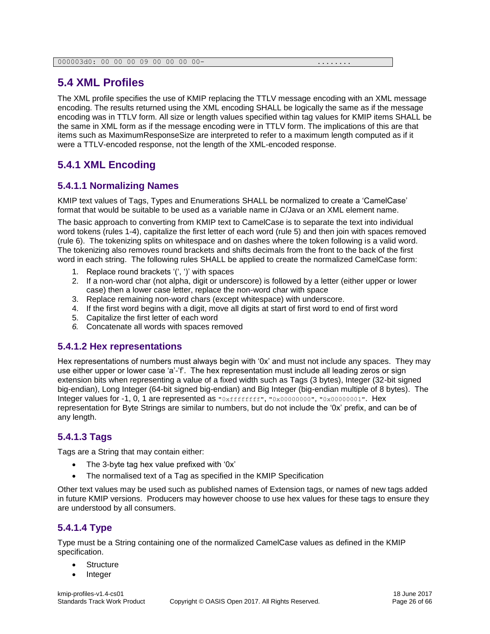## <span id="page-25-0"></span>**5.4 XML Profiles**

The XML profile specifies the use of KMIP replacing the TTLV message encoding with an XML message encoding. The results returned using the XML encoding SHALL be logically the same as if the message encoding was in TTLV form. All size or length values specified within tag values for KMIP items SHALL be the same in XML form as if the message encoding were in TTLV form. The implications of this are that items such as MaximumResponseSize are interpreted to refer to a maximum length computed as if it were a TTLV-encoded response, not the length of the XML-encoded response.

## <span id="page-25-1"></span>**5.4.1 XML Encoding**

#### <span id="page-25-2"></span>**5.4.1.1 Normalizing Names**

KMIP text values of Tags, Types and Enumerations SHALL be normalized to create a 'CamelCase' format that would be suitable to be used as a variable name in C/Java or an XML element name.

The basic approach to converting from KMIP text to CamelCase is to separate the text into individual word tokens (rules 1-4), capitalize the first letter of each word (rule 5) and then join with spaces removed (rule 6). The tokenizing splits on whitespace and on dashes where the token following is a valid word. The tokenizing also removes round brackets and shifts decimals from the front to the back of the first word in each string. The following rules SHALL be applied to create the normalized CamelCase form:

- 1. Replace round brackets '(', ')' with spaces
- 2. If a non-word char (not alpha, digit or underscore) is followed by a letter (either upper or lower case) then a lower case letter, replace the non-word char with space
- 3. Replace remaining non-word chars (except whitespace) with underscore.
- 4. If the first word begins with a digit, move all digits at start of first word to end of first word
- 5. Capitalize the first letter of each word
- *6.* Concatenate all words with spaces removed

#### <span id="page-25-3"></span>**5.4.1.2 Hex representations**

Hex representations of numbers must always begin with '0x' and must not include any spaces. They may use either upper or lower case 'a'-'f'. The hex representation must include all leading zeros or sign extension bits when representing a value of a fixed width such as Tags (3 bytes), Integer (32-bit signed big-endian), Long Integer (64-bit signed big-endian) and Big Integer (big-endian multiple of 8 bytes). The Integer values for -1, 0, 1 are represented as "0xffffffff", "0x00000000", "0x00000001". Hex representation for Byte Strings are similar to numbers, but do not include the '0x' prefix, and can be of any length.

#### <span id="page-25-4"></span>**5.4.1.3 Tags**

Tags are a String that may contain either:

- The 3-byte tag hex value prefixed with '0x'
- The normalised text of a Tag as specified in the KMIP Specification

Other text values may be used such as published names of Extension tags, or names of new tags added in future KMIP versions. Producers may however choose to use hex values for these tags to ensure they are understood by all consumers.

#### <span id="page-25-5"></span>**5.4.1.4 Type**

Type must be a String containing one of the normalized CamelCase values as defined in the KMIP specification.

- **Structure**
- Integer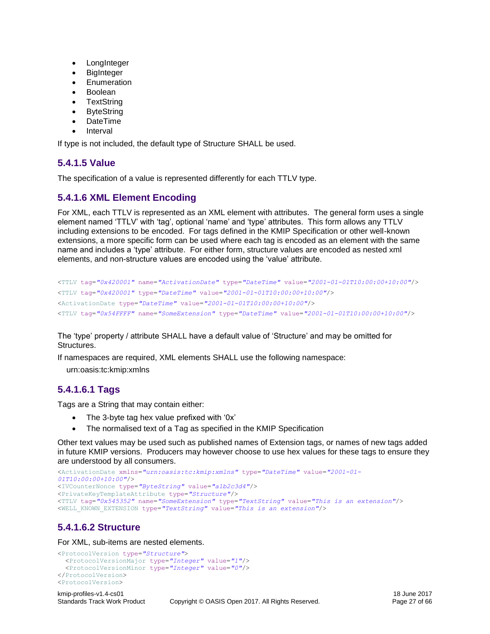- LongInteger
- BigInteger
- **Enumeration**
- Boolean
- **TextString**
- **ByteString**
- DateTime
- Interval

If type is not included, the default type of Structure SHALL be used.

#### <span id="page-26-0"></span>**5.4.1.5 Value**

The specification of a value is represented differently for each TTLV type.

#### <span id="page-26-1"></span>**5.4.1.6 XML Element Encoding**

For XML, each TTLV is represented as an XML element with attributes. The general form uses a single element named 'TTLV' with 'tag', optional 'name' and 'type' attributes. This form allows any TTLV including extensions to be encoded. For tags defined in the KMIP Specification or other well-known extensions, a more specific form can be used where each tag is encoded as an element with the same name and includes a 'type' attribute. For either form, structure values are encoded as nested xml elements, and non-structure values are encoded using the 'value' attribute.

```
<TTLV tag="0x420001" name="ActivationDate" type="DateTime" value="2001-01-01T10:00:00+10:00"/>
<TTLV tag="0x420001" type="DateTime" value="2001-01-01T10:00:00+10:00"/>
<ActivationDate type="DateTime" value="2001-01-01T10:00:00+10:00"/>
<TTLV tag="0x54FFFF" name="SomeExtension" type="DateTime" value="2001-01-01T10:00:00+10:00"/>
```
The 'type' property / attribute SHALL have a default value of 'Structure' and may be omitted for Structures.

If namespaces are required, XML elements SHALL use the following namespace:

urn:oasis:tc:kmip:xmlns

#### <span id="page-26-2"></span>**5.4.1.6.1 Tags**

Tags are a String that may contain either:

- The 3-byte tag hex value prefixed with '0x'
- The normalised text of a Tag as specified in the KMIP Specification

Other text values may be used such as published names of Extension tags, or names of new tags added in future KMIP versions. Producers may however choose to use hex values for these tags to ensure they are understood by all consumers.

```
<ActivationDate xmlns="urn:oasis:tc:kmip:xmlns" type="DateTime" value="2001-01-
01T10:00:00+10:00"/>
<IVCounterNonce type="ByteString" value="a1b2c3d4"/>
<PrivateKeyTemplateAttribute type="Structure"/>
<TTLV tag="0x545352" name="SomeExtension" type="TextString" value="This is an extension"/>
<WELL_KNOWN_EXTENSION type="TextString" value="This is an extension"/>
```
## <span id="page-26-3"></span>**5.4.1.6.2 Structure**

For XML, sub-items are nested elements.

```
<ProtocolVersion type="Structure">
  <ProtocolVersionMajor type="Integer" value="1"/>
  <ProtocolVersionMinor type="Integer" value="0"/>
</ProtocolVersion>
<ProtocolVersion>
```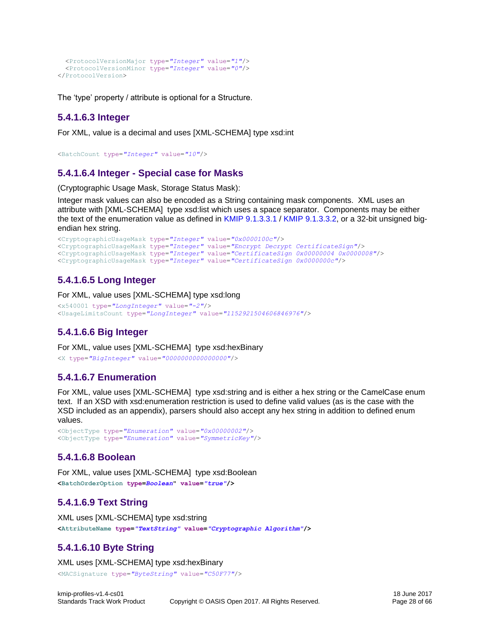```
 <ProtocolVersionMajor type="Integer" value="1"/>
  <ProtocolVersionMinor type="Integer" value="0"/>
</ProtocolVersion>
```
The 'type' property / attribute is optional for a Structure.

#### <span id="page-27-0"></span>**5.4.1.6.3 Integer**

For XML, value is a decimal and uses [XML-SCHEMA] type xsd:int

```
<BatchCount type="Integer" value="10"/>
```
#### <span id="page-27-1"></span>**5.4.1.6.4 Integer - Special case for Masks**

(Cryptographic Usage Mask, Storage Status Mask):

Integer mask values can also be encoded as a String containing mask components. XML uses an attribute with [XML-SCHEMA] type xsd:list which uses a space separator. Components may be either the text of the enumeration value as defined in [KMIP](http://docs.oasis-open.org/kmip/spec/v1.0/os/kmip-spec-1.0-os.html#_toc11468) [9.1.3.3.1](http://docs.oasis-open.org/kmip/spec/v1.0/os/kmip-spec-1.0-os.html#_toc11468) / [KMIP](http://docs.oasis-open.org/kmip/spec/v1.0/os/kmip-spec-1.0-os.html#_toc11572) [9.1.3.3.2,](http://docs.oasis-open.org/kmip/spec/v1.0/os/kmip-spec-1.0-os.html#_toc11572) or a 32-bit unsigned bigendian hex string.

```
<CryptographicUsageMask type="Integer" value="0x0000100c"/>
<CryptographicUsageMask type="Integer" value="Encrypt Decrypt CertificateSign"/>
<CryptographicUsageMask type="Integer" value="CertificateSign 0x00000004 0x0000008"/>
<CryptographicUsageMask type="Integer" value="CertificateSign 0x0000000c"/>
```
## <span id="page-27-2"></span>**5.4.1.6.5 Long Integer**

For XML, value uses [XML-SCHEMA] type xsd:long

```
<x540001 type="LongInteger" value="-2"/>
<UsageLimitsCount type="LongInteger" value="1152921504606846976"/>
```
## <span id="page-27-3"></span>**5.4.1.6.6 Big Integer**

For XML, value uses [XML-SCHEMA] type xsd:hexBinary <X type=*"BigInteger"* value=*"0000000000000000"*/>

#### <span id="page-27-4"></span>**5.4.1.6.7 Enumeration**

For XML, value uses [XML-SCHEMA] type xsd:string and is either a hex string or the CamelCase enum text. If an XSD with xsd:enumeration restriction is used to define valid values (as is the case with the XSD included as an appendix), parsers should also accept any hex string in addition to defined enum values.

```
<ObjectType type="Enumeration" value="0x00000002"/>
<ObjectType type="Enumeration" value="SymmetricKey"/>
```
#### <span id="page-27-5"></span>**5.4.1.6.8 Boolean**

For XML, value uses [XML-SCHEMA] type xsd:Boolean **<BatchOrderOption type=***Boolean***" value=***"true"***/>**

#### <span id="page-27-6"></span>**5.4.1.6.9 Text String**

XML uses [XML-SCHEMA] type xsd:string **<AttributeName type=***"TextString"* **value=***"Cryptographic Algorithm"***/>**

## <span id="page-27-7"></span>**5.4.1.6.10 Byte String**

XML uses [XML-SCHEMA] type xsd:hexBinary <MACSignature type=*"ByteString"* value=*"C50F77"*/>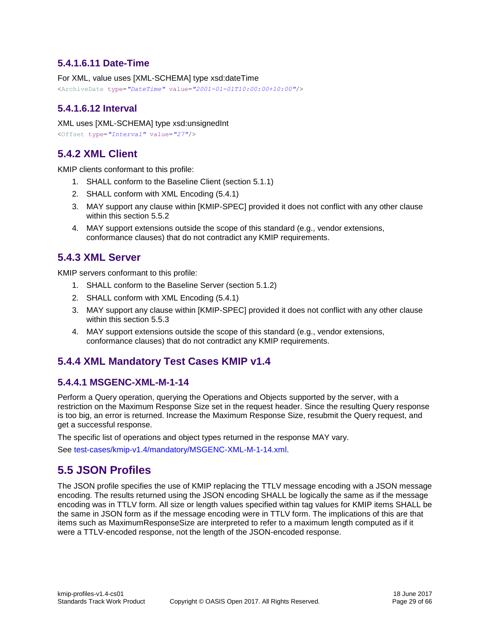#### <span id="page-28-0"></span>**5.4.1.6.11 Date-Time**

For XML, value uses [XML-SCHEMA] type xsd:dateTime

<ArchiveDate type=*"DateTime"* value=*"2001-01-01T10:00:00+10:00"*/>

#### <span id="page-28-1"></span>**5.4.1.6.12 Interval**

XML uses [XML-SCHEMA] type xsd:unsignedInt

```
<Offset type="Interval" value="27"/>
```
## <span id="page-28-2"></span>**5.4.2 XML Client**

KMIP clients conformant to this profile:

- 1. SHALL conform to the [Baseline](#page-19-2) Client (section [5.1.1\)](#page-19-2)
- 2. SHALL conform with [XML Encoding](#page-25-1) [\(5.4.1\)](#page-25-1)
- 3. MAY support any clause within [KMIP-SPEC] provided it does not conflict with any other clause within this section [5.5.2](#page-32-1)
- 4. MAY support extensions outside the scope of this standard (e.g., vendor extensions, conformance clauses) that do not contradict any KMIP requirements.

## <span id="page-28-3"></span>**5.4.3 XML Server**

KMIP servers conformant to this profile:

- 1. SHALL conform to the [Baseline](#page-20-0) Server (section [5.1.2\)](#page-20-0)
- 2. SHALL conform with [XML Encoding](#page-25-1) [\(5.4.1\)](#page-25-1)
- 3. MAY support any clause within [KMIP-SPEC] provided it does not conflict with any other clause within this section [5.5.3](#page-32-2)
- 4. MAY support extensions outside the scope of this standard (e.g., vendor extensions, conformance clauses) that do not contradict any KMIP requirements.

## <span id="page-28-4"></span>**5.4.4 XML Mandatory Test Cases KMIP v1.4**

#### <span id="page-28-5"></span>**5.4.4.1 MSGENC-XML-M-1-14**

Perform a Query operation, querying the Operations and Objects supported by the server, with a restriction on the Maximum Response Size set in the request header. Since the resulting Query response is too big, an error is returned. Increase the Maximum Response Size, resubmit the Query request, and get a successful response.

The specific list of operations and object types returned in the response MAY vary.

See [test-cases/kmip-v1.4/mandatory/MSGENC-XML-M-1-14.xml.](test-cases/kmip-v1.4/mandatory/MSGENC-XML-M-1-14.xml)

## <span id="page-28-6"></span>**5.5 JSON Profiles**

The JSON profile specifies the use of KMIP replacing the TTLV message encoding with a JSON message encoding. The results returned using the JSON encoding SHALL be logically the same as if the message encoding was in TTLV form. All size or length values specified within tag values for KMIP items SHALL be the same in JSON form as if the message encoding were in TTLV form. The implications of this are that items such as MaximumResponseSize are interpreted to refer to a maximum length computed as if it were a TTLV-encoded response, not the length of the JSON-encoded response.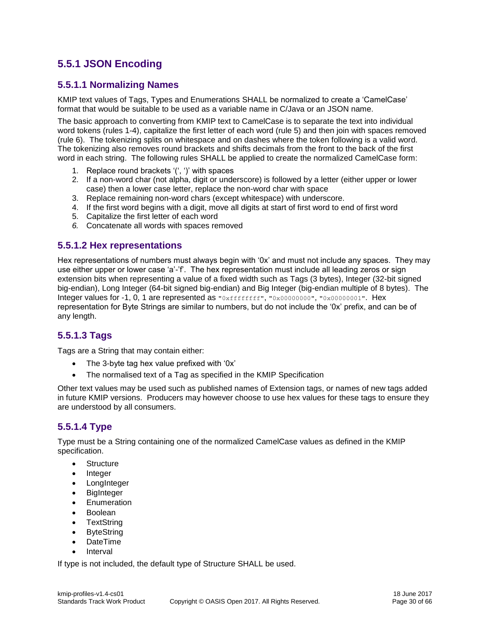## <span id="page-29-0"></span>**5.5.1 JSON Encoding**

#### <span id="page-29-1"></span>**5.5.1.1 Normalizing Names**

KMIP text values of Tags, Types and Enumerations SHALL be normalized to create a 'CamelCase' format that would be suitable to be used as a variable name in C/Java or an JSON name.

The basic approach to converting from KMIP text to CamelCase is to separate the text into individual word tokens (rules 1-4), capitalize the first letter of each word (rule 5) and then join with spaces removed (rule 6). The tokenizing splits on whitespace and on dashes where the token following is a valid word. The tokenizing also removes round brackets and shifts decimals from the front to the back of the first word in each string. The following rules SHALL be applied to create the normalized CamelCase form:

- 1. Replace round brackets '(', ')' with spaces
- 2. If a non-word char (not alpha, digit or underscore) is followed by a letter (either upper or lower case) then a lower case letter, replace the non-word char with space
- 3. Replace remaining non-word chars (except whitespace) with underscore.
- 4. If the first word begins with a digit, move all digits at start of first word to end of first word
- 5. Capitalize the first letter of each word
- *6.* Concatenate all words with spaces removed

#### <span id="page-29-2"></span>**5.5.1.2 Hex representations**

Hex representations of numbers must always begin with '0x' and must not include any spaces. They may use either upper or lower case 'a'-'f'. The hex representation must include all leading zeros or sign extension bits when representing a value of a fixed width such as Tags (3 bytes), Integer (32-bit signed big-endian), Long Integer (64-bit signed big-endian) and Big Integer (big-endian multiple of 8 bytes). The Integer values for -1, 0, 1 are represented as "0xffffffff", "0x00000000", "0x00000001". Hex representation for Byte Strings are similar to numbers, but do not include the '0x' prefix, and can be of any length.

#### <span id="page-29-3"></span>**5.5.1.3 Tags**

Tags are a String that may contain either:

- The 3-byte tag hex value prefixed with '0x'
- The normalised text of a Tag as specified in the KMIP Specification

Other text values may be used such as published names of Extension tags, or names of new tags added in future KMIP versions. Producers may however choose to use hex values for these tags to ensure they are understood by all consumers.

#### <span id="page-29-4"></span>**5.5.1.4 Type**

Type must be a String containing one of the normalized CamelCase values as defined in the KMIP specification.

- Structure
- **Integer**
- **LongInteger**
- BigInteger
- **Enumeration**
- Boolean
- **TextString**
- **ByteString**
- DateTime
- Interval

If type is not included, the default type of Structure SHALL be used.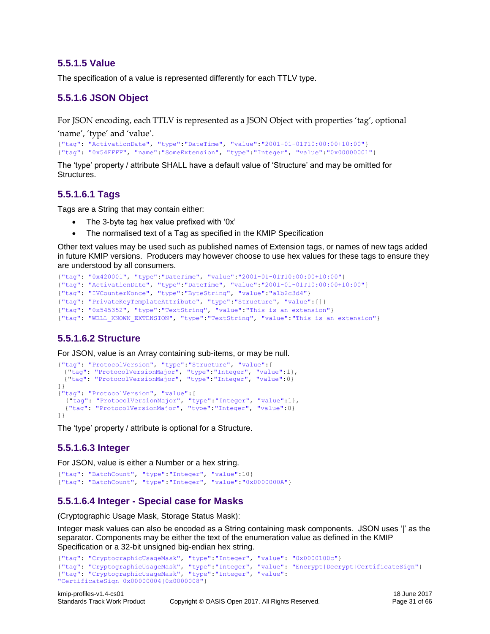#### <span id="page-30-0"></span>**5.5.1.5 Value**

The specification of a value is represented differently for each TTLV type.

#### <span id="page-30-1"></span>**5.5.1.6 JSON Object**

For JSON encoding, each TTLV is represented as a JSON Object with properties 'tag', optional

'name', 'type' and 'value'.

```
{"tag": "ActivationDate", "type":"DateTime", "value":"2001-01-01T10:00:00+10:00"}
{"tag": "0x54FFFF", "name":"SomeExtension", "type":"Integer", "value":"0x00000001"}
```
The 'type' property / attribute SHALL have a default value of 'Structure' and may be omitted for Structures.

#### <span id="page-30-2"></span>**5.5.1.6.1 Tags**

Tags are a String that may contain either:

- The 3-byte tag hex value prefixed with '0x'
- The normalised text of a Tag as specified in the KMIP Specification

Other text values may be used such as published names of Extension tags, or names of new tags added in future KMIP versions. Producers may however choose to use hex values for these tags to ensure they are understood by all consumers.

```
{"tag": "0x420001", "type":"DateTime", "value":"2001-01-01T10:00:00+10:00"}
{"tag": "ActivationDate", "type":"DateTime", "value":"2001-01-01T10:00:00+10:00"}
{"tag": "IVCounterNonce", "type":"ByteString", "value":"a1b2c3d4"}
{"tag": "PrivateKeyTemplateAttribute", "type":"Structure", "value":[]}
{"tag": "0x545352", "type":"TextString", "value":"This is an extension"}
{"tag": "WELL_KNOWN_EXTENSION", "type":"TextString", "value":"This is an extension"}
```
## <span id="page-30-3"></span>**5.5.1.6.2 Structure**

For JSON, value is an Array containing sub-items, or may be null.

```
{"tag": "ProtocolVersion", "type":"Structure", "value":[
  {"tag": "ProtocolVersionMajor", "type":"Integer", "value":1},
  {"tag": "ProtocolVersionMajor", "type":"Integer", "value":0}
]}
{"tag": "ProtocolVersion", "value":[
 {"tag": "ProtocolVersionMajor", "type":"Integer", "value":1},
 {"tag": "ProtocolVersionMajor", "type":"Integer", "value":0}
]}
```
The 'type' property / attribute is optional for a Structure.

#### <span id="page-30-4"></span>**5.5.1.6.3 Integer**

For JSON, value is either a Number or a hex string.

```
{"tag": "BatchCount", "type":"Integer", "value":10}
{"tag": "BatchCount", "type":"Integer", "value":"0x0000000A"}
```
#### <span id="page-30-5"></span>**5.5.1.6.4 Integer - Special case for Masks**

(Cryptographic Usage Mask, Storage Status Mask):

Integer mask values can also be encoded as a String containing mask components. JSON uses '|' as the separator. Components may be either the text of the enumeration value as defined in the KMIP Specification or a 32-bit unsigned big-endian hex string.

```
{"tag": "CryptographicUsageMask", "type":"Integer", "value": "0x0000100c"}
{"tag": "CryptographicUsageMask", "type":"Integer", "value": "Encrypt|Decrypt|CertificateSign"}
{"tag": "CryptographicUsageMask", "type":"Integer", "value": 
"CertificateSign|0x00000004|0x0000008"}
```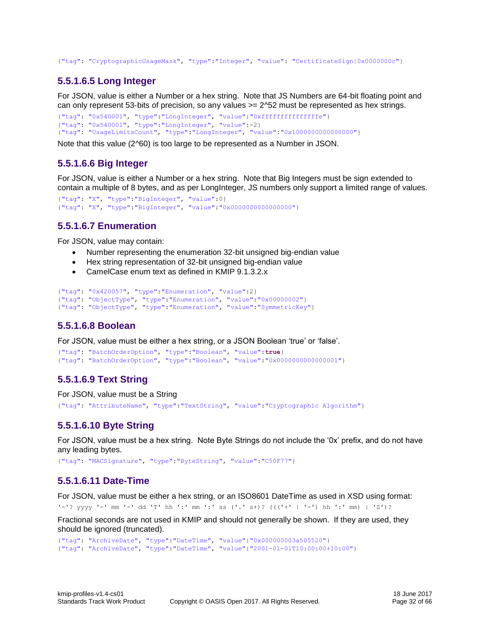<span id="page-31-0"></span>{"tag": "CryptographicUsageMask", "type":"Integer", "value": "CertificateSign|0x0000000c"}

#### **5.5.1.6.5 Long Integer**

For JSON, value is either a Number or a hex string. Note that JS Numbers are 64-bit floating point and can only represent 53-bits of precision, so any values  $>= 2^{\circ}52$  must be represented as hex strings.

```
{"tag": "0x540001", "type":"LongInteger", "value":"0xfffffffffffffffe"}
{"tag": "0x540001", "type":"LongInteger", "value":-2}
{"tag": "UsageLimitsCount", "type":"LongInteger", "value":"0x1000000000000000"}
```
Note that this value (2^60) is too large to be represented as a Number in JSON.

#### <span id="page-31-1"></span>**5.5.1.6.6 Big Integer**

For JSON, value is either a Number or a hex string. Note that Big Integers must be sign extended to contain a multiple of 8 bytes, and as per LongInteger, JS numbers only support a limited range of values.

```
{"tag": "X", "type":"BigInteger", "value":0}
{"tag": "X", "type":"BigInteger", "value":"0x0000000000000000"}
```
#### <span id="page-31-2"></span>**5.5.1.6.7 Enumeration**

For JSON, value may contain:

- Number representing the enumeration 32-bit unsigned big-endian value
- Hex string representation of 32-bit unsigned big-endian value
- CamelCase enum text as defined in [KMIP](http://docs.oasis-open.org/kmip/spec/v1.0/os/kmip-spec-1.0-os.html#Ref241992574) [9.1.3.2.x](http://docs.oasis-open.org/kmip/spec/v1.0/os/kmip-spec-1.0-os.html#Ref241992574)

```
{"tag": "0x420057", "type":"Enumeration", "value":2}
{"tag": "ObjectType", "type":"Enumeration", "value":"0x00000002"}
{"tag": "ObjectType", "type":"Enumeration", "value":"SymmetricKey"}
```
#### <span id="page-31-3"></span>**5.5.1.6.8 Boolean**

For JSON, value must be either a hex string, or a JSON Boolean 'true' or 'false'.

```
{"tag": "BatchOrderOption", "type":"Boolean", "value":true}
{"tag": "BatchOrderOption", "type":"Boolean", "value":"0x0000000000000001"}
```
#### <span id="page-31-4"></span>**5.5.1.6.9 Text String**

For JSON, value must be a String {"tag": "AttributeName", "type":"TextString", "value":"Cryptographic Algorithm"}

#### <span id="page-31-5"></span>**5.5.1.6.10 Byte String**

For JSON, value must be a hex string. Note Byte Strings do not include the '0x' prefix, and do not have any leading bytes.

<span id="page-31-6"></span>{"tag": "MACSignature", "type":"ByteString", "value":"C50F77"}

#### **5.5.1.6.11 Date-Time**

For JSON, value must be either a hex string, or an ISO8601 DateTime as used in XSD using format: '-'? yyyy '-' mm '-' dd 'T' hh ':' mm ':' ss ('.' s+)? ((('+' | '-') hh ':' mm) | 'Z')?

Fractional seconds are not used in KMIP and should not generally be shown. If they are used, they should be ignored (truncated).

```
{"tag": "ArchiveDate", "type":"DateTime", "value":"0x000000003a505520"}
{"tag": "ArchiveDate", "type":"DateTime", "value":"2001-01-01T10:00:00+10:00"}
```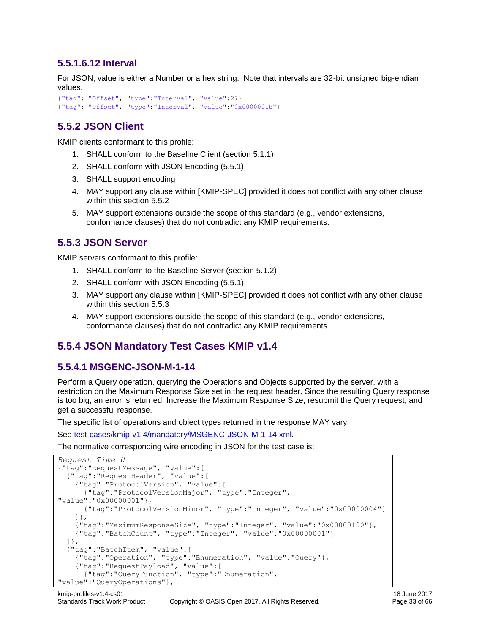#### <span id="page-32-0"></span>**5.5.1.6.12 Interval**

For JSON, value is either a Number or a hex string. Note that intervals are 32-bit unsigned big-endian values.

```
{"tag": "Offset", "type":"Interval", "value":27}
{"tag": "Offset", "type":"Interval", "value":"0x0000001b"}
```
## <span id="page-32-1"></span>**5.5.2 JSON Client**

KMIP clients conformant to this profile:

- 1. SHALL conform to the [Baseline](#page-19-2) Client (section [5.1.1\)](#page-19-2)
- 2. SHALL conform with [JSON Encoding](#page-29-0) [\(5.5.1\)](#page-29-0)
- 3. SHALL support encoding
- 4. MAY support any clause within [KMIP-SPEC] provided it does not conflict with any other clause within this section [5.5.2](#page-32-1)
- 5. MAY support extensions outside the scope of this standard (e.g., vendor extensions, conformance clauses) that do not contradict any KMIP requirements.

## <span id="page-32-2"></span>**5.5.3 JSON Server**

KMIP servers conformant to this profile:

- 1. SHALL conform to the [Baseline](#page-20-0) Server (section [5.1.2\)](#page-20-0)
- 2. SHALL conform with [JSON Encoding](#page-29-0) [\(5.5.1\)](#page-29-0)
- 3. MAY support any clause within [KMIP-SPEC] provided it does not conflict with any other clause within this section [5.5.3](#page-32-2)
- 4. MAY support extensions outside the scope of this standard (e.g., vendor extensions, conformance clauses) that do not contradict any KMIP requirements.

## <span id="page-32-3"></span>**5.5.4 JSON Mandatory Test Cases KMIP v1.4**

#### <span id="page-32-4"></span>**5.5.4.1 MSGENC-JSON-M-1-14**

Perform a Query operation, querying the Operations and Objects supported by the server, with a restriction on the Maximum Response Size set in the request header. Since the resulting Query response is too big, an error is returned. Increase the Maximum Response Size, resubmit the Query request, and get a successful response.

The specific list of operations and object types returned in the response MAY vary.

See [test-cases/kmip-v1.4/mandatory/MSGENC-JSON-M-1-14.xml.](test-cases/kmip-v1.4/mandatory/MSGENC-JSON-M-1-14.xml)

The normative corresponding wire encoding in JSON for the test case is:

```
Request Time 0
{"tag":"RequestMessage", "value":[
   {"tag":"RequestHeader", "value":[
     {"tag":"ProtocolVersion", "value":[
       {"tag":"ProtocolVersionMajor", "type":"Integer", 
"value":"0x00000001"},
       {"tag":"ProtocolVersionMinor", "type":"Integer", "value":"0x00000004"}
     ]},
     {"tag":"MaximumResponseSize", "type":"Integer", "value":"0x00000100"},
     {"tag":"BatchCount", "type":"Integer", "value":"0x00000001"}
  ]},
   {"tag":"BatchItem", "value":[
     {"tag":"Operation", "type":"Enumeration", "value":"Query"},
     {"tag":"RequestPayload", "value":[
       {"tag":"QueryFunction", "type":"Enumeration", 
"value":"QueryOperations"},
```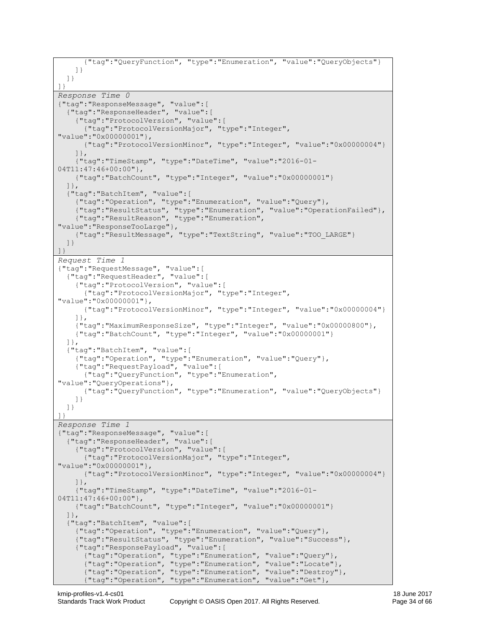```
 {"tag":"QueryFunction", "type":"Enumeration", "value":"QueryObjects"}
    ]}
  ]}
]}
Response Time 0
{"tag":"ResponseMessage", "value":[
   {"tag":"ResponseHeader", "value":[
     {"tag":"ProtocolVersion", "value":[
       {"tag":"ProtocolVersionMajor", "type":"Integer", 
"value":"0x00000001"},
      {"tag":"ProtocolVersionMinor", "type":"Integer", "value":"0x00000004"}
     ]},
     {"tag":"TimeStamp", "type":"DateTime", "value":"2016-01-
04T11:47:46+00:00"},
     {"tag":"BatchCount", "type":"Integer", "value":"0x00000001"}
   ]},
   {"tag":"BatchItem", "value":[
     {"tag":"Operation", "type":"Enumeration", "value":"Query"},
     {"tag":"ResultStatus", "type":"Enumeration", "value":"OperationFailed"},
     {"tag":"ResultReason", "type":"Enumeration", 
"value":"ResponseTooLarge"},
     {"tag":"ResultMessage", "type":"TextString", "value":"TOO_LARGE"}
   ]}
]}
Request Time 1
{"tag":"RequestMessage", "value":[
   {"tag":"RequestHeader", "value":[
     {"tag":"ProtocolVersion", "value":[
       {"tag":"ProtocolVersionMajor", "type":"Integer", 
"value":"0x00000001"},
      {"tag":"ProtocolVersionMinor", "type":"Integer", "value":"0x00000004"}
     ]},
     {"tag":"MaximumResponseSize", "type":"Integer", "value":"0x00000800"},
     {"tag":"BatchCount", "type":"Integer", "value":"0x00000001"}
   ]},
   {"tag":"BatchItem", "value":[
     {"tag":"Operation", "type":"Enumeration", "value":"Query"},
     {"tag":"RequestPayload", "value":[
       {"tag":"QueryFunction", "type":"Enumeration", 
"value":"QueryOperations"},
       {"tag":"QueryFunction", "type":"Enumeration", "value":"QueryObjects"}
    ]}
  ]}
]}
Response Time 1
{"tag":"ResponseMessage", "value":[
   {"tag":"ResponseHeader", "value":[
     {"tag":"ProtocolVersion", "value":[
       {"tag":"ProtocolVersionMajor", "type":"Integer", 
"value":"0x00000001"},
       {"tag":"ProtocolVersionMinor", "type":"Integer", "value":"0x00000004"}
     ]},
     {"tag":"TimeStamp", "type":"DateTime", "value":"2016-01-
04T11:47:46+00:00"},
     {"tag":"BatchCount", "type":"Integer", "value":"0x00000001"}
   ]},
   {"tag":"BatchItem", "value":[
     {"tag":"Operation", "type":"Enumeration", "value":"Query"},
     {"tag":"ResultStatus", "type":"Enumeration", "value":"Success"},
     {"tag":"ResponsePayload", "value":[
       {"tag":"Operation", "type":"Enumeration", "value":"Query"},
 {"tag":"Operation", "type":"Enumeration", "value":"Locate"},
 {"tag":"Operation", "type":"Enumeration", "value":"Destroy"},
       {"tag":"Operation", "type":"Enumeration", "value":"Get"},
```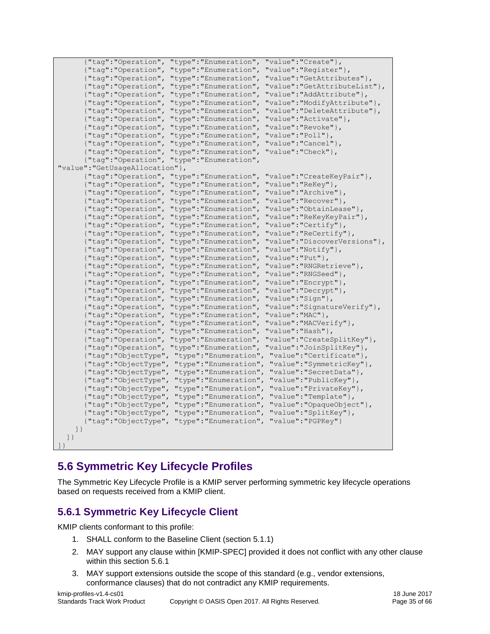| {"tag":"Operation",              | "type": "Enumeration", | "value": "Create" },                             |
|----------------------------------|------------------------|--------------------------------------------------|
| {"tag":"Operation",              | "type": "Enumeration", | "value": "Register" },                           |
| {"tag": "Operation",             | "type": "Enumeration", | "value": "GetAttributes" },                      |
| {"tag":"Operation",              | "type": "Enumeration", | "value": "GetAttributeList" },                   |
| {"tag":"Operation",              | "type": "Enumeration", | "value": "AddAttribute" },                       |
| {"tag":"Operation",              | "type": "Enumeration", | "value": "ModifyAttribute" },                    |
| {"tag": "Operation",             | "type": "Enumeration", | "value": "DeleteAttribute" },                    |
| {"tag":"Operation",              | "type": "Enumeration", | "value": "Activate" },                           |
| {"tag":"Operation",              | "type":"Enumeration",  | "value":"Revoke"},                               |
| {"tag":"Operation",              | "type": "Enumeration", | "value": "Poll" },                               |
| {"tag":"Operation",              | "type": "Enumeration", | "value":" $\text{Cancel}$ "},                    |
| {"tag":"Operation",              | "type": "Enumeration", | "value":"Check"},                                |
| {"tag":"Operation",              | "type": "Enumeration", |                                                  |
| "value": "GetUsageAllocation" }, |                        |                                                  |
|                                  |                        |                                                  |
| {"tag":"Operation",              | "type":"Enumeration",  | "value":"CreateKeyPair"},<br>"value": "ReKey" }, |
| {"tag":"Operation",              | "type": "Enumeration", |                                                  |
| {"tag":"Operation",              | "type": "Enumeration", | "value":"Archive"},                              |
| {"tag":"Operation",              | "type": "Enumeration", | "value": "Recover" },                            |
| {"tag":"Operation",              | "type": "Enumeration", | "value":"ObtainLease"},                          |
| {"tag":"Operation",              | "type": "Enumeration", | "value": "ReKeyKeyPair" },                       |
| {"tag":"Operation",              | "type": "Enumeration", | "value": "Certify" },                            |
| {"tag":"Operation",              | "type": "Enumeration", | "value": "ReCertify" },                          |
| {"tag":"Operation",              | "type": "Enumeration", | "value":"DiscoverVersions"},                     |
| {"tag":"Operation",              | "type": "Enumeration", | "value": "Notify" },                             |
| {"tag":"Operation",              | "type": "Enumeration", | "value": "Put" },                                |
| {"tag":"Operation",              | "type": "Enumeration", | "value": "RNGRetrieve" },                        |
| {"tag":"Operation",              | "type": "Enumeration", | "value":"RNGSeed"},                              |
| {"tag":"Operation",              | "type": "Enumeration", | "value": "Encrypt" },                            |
| {"tag":"Operation",              | "type": "Enumeration", | "value": "Decrypt" },                            |
| {"tag":"Operation",              | "type": "Enumeration", | "value":" $Sign"$ ,                              |
| {"tag":"Operation",              | "type": "Enumeration", | "value": "SignatureVerify" },                    |
| {"tag":"Operation",              | "type": "Enumeration", | "value":" $MAC"$ },                              |
| {"tag":"Operation",              | "type": "Enumeration", | "value": "MACVerify" },                          |
| {"tag":"Operation",              | "type": "Enumeration", | "value":"Hash"},                                 |
| {"tag":"Operation",              | "type": "Enumeration", | "value": "CreateSplitKey" },                     |
| {"tag":"Operation",              | "type": "Enumeration", | "value": "JoinSplitKey" },                       |
| {"tag":"ObjectType",             | "type": "Enumeration", | "value": "Certificate" },                        |
| {"tag":"ObjectType",             | "type": "Enumeration", | "value": "SymmetricKey" },                       |
| {"tag":"ObjectType",             | "type": "Enumeration", | "value":"SecretData"},                           |
| {"tag":"ObjectType",             | "type":"Enumeration",  | "value": "PublicKey" },                          |
| {"tag":"ObjectType",             | "type": "Enumeration", | "value": "PrivateKey" },                         |
| {"tag":"ObjectType",             | "type": "Enumeration", | "value": "Template" },                           |
| {"tag":"ObjectType",             | "type": "Enumeration", | "value": "OpaqueObject" },                       |
| {"tag":"ObjectType",             | "type": "Enumeration", | "value": "SplitKey" },                           |
| {"tag":"ObjectType",             | "type": "Enumeration", | "value": "PGPKey" }                              |
| $\left  \ \right $               |                        |                                                  |
| $\left  \ \right $               |                        |                                                  |
| $\left  \ \right $               |                        |                                                  |

## <span id="page-34-0"></span>**5.6 Symmetric Key Lifecycle Profiles**

The Symmetric Key Lifecycle Profile is a KMIP server performing symmetric key lifecycle operations based on requests received from a KMIP client.

## <span id="page-34-1"></span>**5.6.1 Symmetric Key Lifecycle Client**

KMIP clients conformant to this profile:

- 1. SHALL conform to the [Baseline](#page-19-2) Client (section [5.1.1\)](#page-19-2)
- 2. MAY support any clause within [KMIP-SPEC] provided it does not conflict with any other clause within this section [5.6.1](#page-34-1)
- 3. MAY support extensions outside the scope of this standard (e.g., vendor extensions, conformance clauses) that do not contradict any KMIP requirements.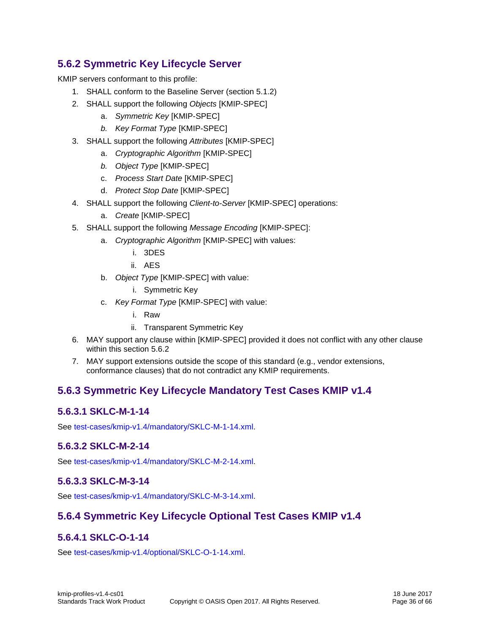## <span id="page-35-0"></span>**5.6.2 Symmetric Key Lifecycle Server**

KMIP servers conformant to this profile:

- 1. SHALL conform to the [Baseline](#page-20-0) Server (section [5.1.2\)](#page-20-0)
- 2. SHALL support the following *Objects* [KMIP-SPEC]
	- a. *Symmetric Key* [KMIP-SPEC]
	- *b. Key Format Type* [KMIP-SPEC]
- 3. SHALL support the following *Attributes* [KMIP-SPEC]
	- a. *Cryptographic Algorithm* [KMIP-SPEC]
	- *b. Object Type* [KMIP-SPEC]
	- c. *Process Start Date* [KMIP-SPEC]
	- d. *Protect Stop Date* [KMIP-SPEC]
- 4. SHALL support the following *Client-to-Server* [KMIP-SPEC] operations:
	- a. *Create* [KMIP-SPEC]
- 5. SHALL support the following *Message Encoding* [KMIP-SPEC]:
	- a. *Cryptographic Algorithm* [KMIP-SPEC] with values:
		- i. 3DES
		- ii. AES
	- b. *Object Type* [KMIP-SPEC] with value:

i. Symmetric Key

- c. *Key Format Type* [KMIP-SPEC] with value:
	- i. Raw
	- ii. Transparent Symmetric Key
- 6. MAY support any clause within [KMIP-SPEC] provided it does not conflict with any other clause within this section [5.6.2](#page-35-0)
- 7. MAY support extensions outside the scope of this standard (e.g., vendor extensions, conformance clauses) that do not contradict any KMIP requirements.

## <span id="page-35-1"></span>**5.6.3 Symmetric Key Lifecycle Mandatory Test Cases KMIP v1.4**

#### <span id="page-35-2"></span>**5.6.3.1 SKLC-M-1-14**

See [test-cases/kmip-v1.4/mandatory/SKLC-M-1-14.xml.](test-cases/kmip-v1.4/mandatory/SKLC-M-1-14.xml)

#### <span id="page-35-3"></span>**5.6.3.2 SKLC-M-2-14**

See [test-cases/kmip-v1.4/mandatory/SKLC-M-2-14.xml.](test-cases/kmip-v1.4/mandatory/SKLC-M-2-14.xml)

#### <span id="page-35-4"></span>**5.6.3.3 SKLC-M-3-14**

See [test-cases/kmip-v1.4/mandatory/SKLC-M-3-14.xml.](test-cases/kmip-v1.4/mandatory/SKLC-M-3-14.xml)

## <span id="page-35-5"></span>**5.6.4 Symmetric Key Lifecycle Optional Test Cases KMIP v1.4**

#### <span id="page-35-6"></span>**5.6.4.1 SKLC-O-1-14**

See [test-cases/kmip-v1.4/optional/SKLC-O-1-14.xml.](test-cases/kmip-v1.4/optional/SKLC-O-1-14.xml)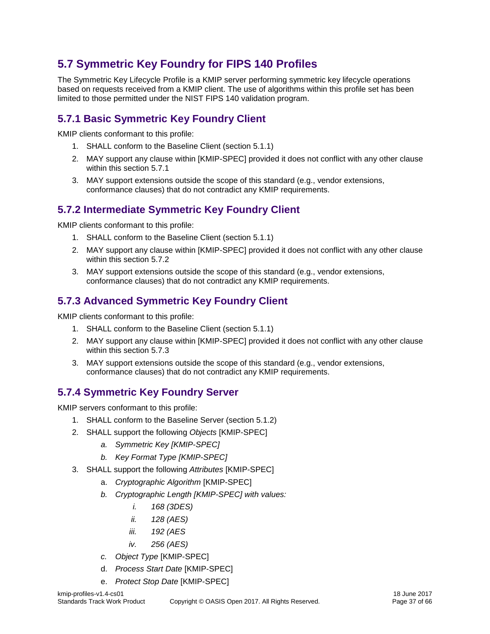## <span id="page-36-0"></span>**5.7 Symmetric Key Foundry for FIPS 140 Profiles**

The Symmetric Key Lifecycle Profile is a KMIP server performing symmetric key lifecycle operations based on requests received from a KMIP client. The use of algorithms within this profile set has been limited to those permitted under the NIST FIPS 140 validation program.

## <span id="page-36-1"></span>**5.7.1 Basic Symmetric Key Foundry Client**

KMIP clients conformant to this profile:

- 1. SHALL conform to the [Baseline](#page-19-2) Client (section [5.1.1\)](#page-19-2)
- 2. MAY support any clause within [KMIP-SPEC] provided it does not conflict with any other clause within this section [5.7.1](#page-36-1)
- 3. MAY support extensions outside the scope of this standard (e.g., vendor extensions, conformance clauses) that do not contradict any KMIP requirements.

## <span id="page-36-2"></span>**5.7.2 Intermediate Symmetric Key Foundry Client**

KMIP clients conformant to this profile:

- 1. SHALL conform to the [Baseline](#page-19-2) Client (section [5.1.1\)](#page-19-2)
- 2. MAY support any clause within [KMIP-SPEC] provided it does not conflict with any other clause within this section [5.7.2](#page-36-2)
- 3. MAY support extensions outside the scope of this standard (e.g., vendor extensions, conformance clauses) that do not contradict any KMIP requirements.

## <span id="page-36-3"></span>**5.7.3 Advanced Symmetric Key Foundry Client**

KMIP clients conformant to this profile:

- 1. SHALL conform to the [Baseline](#page-19-2) Client (section [5.1.1\)](#page-19-2)
- 2. MAY support any clause within [KMIP-SPEC] provided it does not conflict with any other clause within this section [5.7.3](#page-36-3)
- 3. MAY support extensions outside the scope of this standard (e.g., vendor extensions, conformance clauses) that do not contradict any KMIP requirements.

## <span id="page-36-4"></span>**5.7.4 Symmetric Key Foundry Server**

KMIP servers conformant to this profile:

- 1. SHALL conform to the [Baseline](#page-20-0) Server (section [5.1.2\)](#page-20-0)
- 2. SHALL support the following *Objects* [KMIP-SPEC]
	- *a. Symmetric Key [KMIP-SPEC]*
	- *b. Key Format Type [KMIP-SPEC]*
- 3. SHALL support the following *Attributes* [KMIP-SPEC]
	- a. *Cryptographic Algorithm* [KMIP-SPEC]
	- *b. Cryptographic Length [KMIP-SPEC] with values:*
		- *i. 168 (3DES)*
		- *ii. 128 (AES)*
		- *iii. 192 (AES*
		- *iv. 256 (AES)*
	- *c. Object Type* [KMIP-SPEC]
	- d. *Process Start Date* [KMIP-SPEC]
	- e. *Protect Stop Date* [KMIP-SPEC]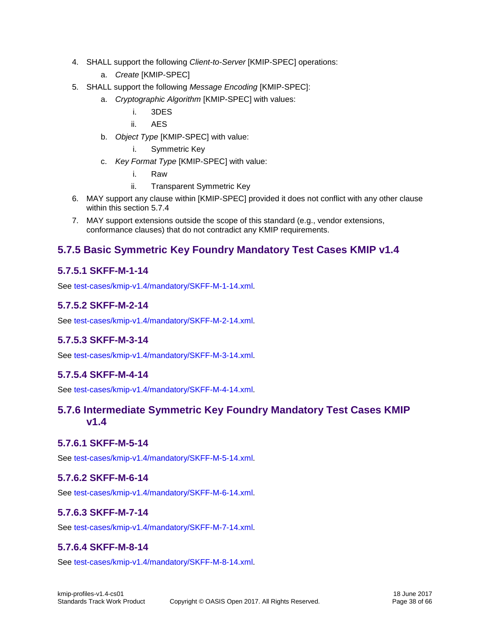- 4. SHALL support the following *Client-to-Server* [KMIP-SPEC] operations:
	- a. *Create* [KMIP-SPEC]
- 5. SHALL support the following *Message Encoding* [KMIP-SPEC]:
	- a. *Cryptographic Algorithm* [KMIP-SPEC] with values:
		- i. 3DES
		- ii. AES
	- b. *Object Type* [KMIP-SPEC] with value:
		- i. Symmetric Key
	- c. *Key Format Type* [KMIP-SPEC] with value:
		- i. Raw
		- ii. Transparent Symmetric Key
- 6. MAY support any clause within [KMIP-SPEC] provided it does not conflict with any other clause within this section [5.7.4](#page-36-4)
- 7. MAY support extensions outside the scope of this standard (e.g., vendor extensions, conformance clauses) that do not contradict any KMIP requirements.

## <span id="page-37-0"></span>**5.7.5 Basic Symmetric Key Foundry Mandatory Test Cases KMIP v1.4**

#### <span id="page-37-1"></span>**5.7.5.1 SKFF-M-1-14**

See [test-cases/kmip-v1.4/mandatory/SKFF-M-1-14.xml.](test-cases/kmip-v1.4/mandatory/SKFF-M-1-14.xml)

#### <span id="page-37-2"></span>**5.7.5.2 SKFF-M-2-14**

See [test-cases/kmip-v1.4/mandatory/SKFF-M-2-14.xml.](test-cases/kmip-v1.4/mandatory/SKFF-M-2-14.xml)

#### <span id="page-37-3"></span>**5.7.5.3 SKFF-M-3-14**

See [test-cases/kmip-v1.4/mandatory/SKFF-M-3-14.xml.](test-cases/kmip-v1.4/mandatory/SKFF-M-3-14.xml)

#### <span id="page-37-4"></span>**5.7.5.4 SKFF-M-4-14**

See [test-cases/kmip-v1.4/mandatory/SKFF-M-4-14.xml.](test-cases/kmip-v1.4/mandatory/SKFF-M-4-14.xml)

#### <span id="page-37-5"></span>**5.7.6 Intermediate Symmetric Key Foundry Mandatory Test Cases KMIP v1.4**

#### <span id="page-37-6"></span>**5.7.6.1 SKFF-M-5-14**

See [test-cases/kmip-v1.4/mandatory/SKFF-M-5-14.xml.](test-cases/kmip-v1.4/mandatory/SKFF-M-5-14.xml)

#### <span id="page-37-7"></span>**5.7.6.2 SKFF-M-6-14**

See [test-cases/kmip-v1.4/mandatory/SKFF-M-6-14.xml.](test-cases/kmip-v1.4/mandatory/SKFF-M-6-14.xml)

#### <span id="page-37-8"></span>**5.7.6.3 SKFF-M-7-14**

See [test-cases/kmip-v1.4/mandatory/SKFF-M-7-14.xml.](test-cases/kmip-v1.4/mandatory/SKFF-M-7-14.xml)

#### <span id="page-37-9"></span>**5.7.6.4 SKFF-M-8-14**

See [test-cases/kmip-v1.4/mandatory/SKFF-M-8-14.xml.](test-cases/kmip-v1.4/mandatory/SKFF-M-8-14.xml)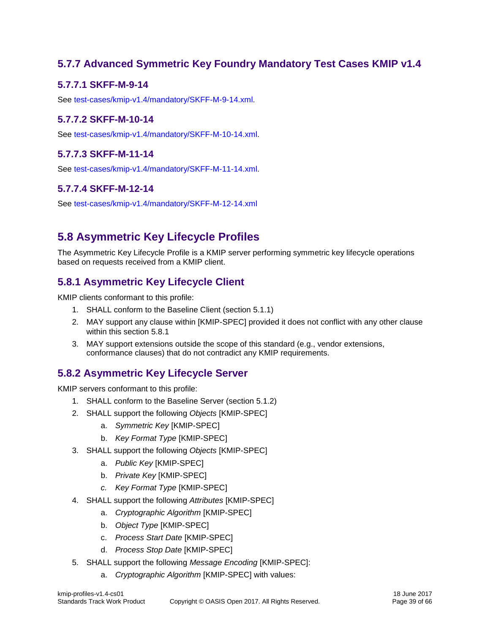## <span id="page-38-0"></span>**5.7.7 Advanced Symmetric Key Foundry Mandatory Test Cases KMIP v1.4**

## <span id="page-38-1"></span>**5.7.7.1 SKFF-M-9-14**

See [test-cases/kmip-v1.4/mandatory/SKFF-M-9-14.xml.](test-cases/kmip-v1.4/mandatory/SKFF-M-9-14.xml)

## <span id="page-38-2"></span>**5.7.7.2 SKFF-M-10-14**

See [test-cases/kmip-v1.4/mandatory/SKFF-M-10-14.xml.](test-cases/kmip-v1.4/mandatory/SKFF-M-10-14.xml)

## <span id="page-38-3"></span>**5.7.7.3 SKFF-M-11-14**

See [test-cases/kmip-v1.4/mandatory/SKFF-M-11-14.xml.](test-cases/kmip-v1.4/mandatory/SKFF-M-11-14.xml)

## <span id="page-38-4"></span>**5.7.7.4 SKFF-M-12-14**

See<test-cases/kmip-v1.4/mandatory/SKFF-M-12-14.xml>

## <span id="page-38-5"></span>**5.8 Asymmetric Key Lifecycle Profiles**

The Asymmetric Key Lifecycle Profile is a KMIP server performing symmetric key lifecycle operations based on requests received from a KMIP client.

## <span id="page-38-6"></span>**5.8.1 Asymmetric Key Lifecycle Client**

KMIP clients conformant to this profile:

- 1. SHALL conform to the [Baseline](#page-19-2) Client (section [5.1.1\)](#page-19-2)
- 2. MAY support any clause within [KMIP-SPEC] provided it does not conflict with any other clause within this section [5.8.1](#page-38-6)
- 3. MAY support extensions outside the scope of this standard (e.g., vendor extensions, conformance clauses) that do not contradict any KMIP requirements.

## <span id="page-38-7"></span>**5.8.2 Asymmetric Key Lifecycle Server**

KMIP servers conformant to this profile:

- 1. SHALL conform to the [Baseline](#page-20-0) Server (section [5.1.2\)](#page-20-0)
- 2. SHALL support the following *Objects* [KMIP-SPEC]
	- a. *Symmetric Key* [KMIP-SPEC]
	- b. *Key Format Type* [KMIP-SPEC]
- 3. SHALL support the following *Objects* [KMIP-SPEC]
	- a. *Public Key* [KMIP-SPEC]
	- b. *Private Key* [KMIP-SPEC]
	- *c. Key Format Type* [KMIP-SPEC]
- 4. SHALL support the following *Attributes* [KMIP-SPEC]
	- a. *Cryptographic Algorithm* [KMIP-SPEC]
	- b. *Object Type* [KMIP-SPEC]
	- c. *Process Start Date* [KMIP-SPEC]
	- d. *Process Stop Date* [KMIP-SPEC]
- 5. SHALL support the following *Message Encoding* [KMIP-SPEC]:
	- a. *Cryptographic Algorithm* [KMIP-SPEC] with values: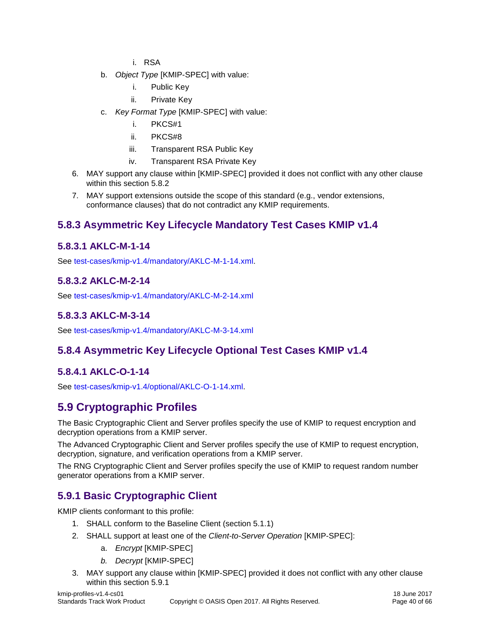- i. RSA
- b. *Object Type* [KMIP-SPEC] with value:
	- i. Public Key
	- ii. Private Key
- c. *Key Format Type* [KMIP-SPEC] with value:
	- i. PKCS#1
	- ii. PKCS#8
	- iii. Transparent RSA Public Key
	- iv. Transparent RSA Private Key
- 6. MAY support any clause within [KMIP-SPEC] provided it does not conflict with any other clause within this section [5.8.2](#page-38-7)
- 7. MAY support extensions outside the scope of this standard (e.g., vendor extensions, conformance clauses) that do not contradict any KMIP requirements.

## <span id="page-39-0"></span>**5.8.3 Asymmetric Key Lifecycle Mandatory Test Cases KMIP v1.4**

#### <span id="page-39-1"></span>**5.8.3.1 AKLC-M-1-14**

See [test-cases/kmip-v1.4/mandatory/AKLC-M-1-14.xml.](test-cases/kmip-v1.4/mandatory/AKLC-M-1-14.xml)

## <span id="page-39-2"></span>**5.8.3.2 AKLC-M-2-14**

See<test-cases/kmip-v1.4/mandatory/AKLC-M-2-14.xml>

## <span id="page-39-3"></span>**5.8.3.3 AKLC-M-3-14**

See<test-cases/kmip-v1.4/mandatory/AKLC-M-3-14.xml>

## <span id="page-39-4"></span>**5.8.4 Asymmetric Key Lifecycle Optional Test Cases KMIP v1.4**

## <span id="page-39-5"></span>**5.8.4.1 AKLC-O-1-14**

See [test-cases/kmip-v1.4/optional/AKLC-O-1-14.xml.](test-cases/kmip-v1.4/optional/AKLC-O-1-14.xml)

## <span id="page-39-6"></span>**5.9 Cryptographic Profiles**

The Basic Cryptographic Client and Server profiles specify the use of KMIP to request encryption and decryption operations from a KMIP server.

The Advanced Cryptographic Client and Server profiles specify the use of KMIP to request encryption, decryption, signature, and verification operations from a KMIP server.

The RNG Cryptographic Client and Server profiles specify the use of KMIP to request random number generator operations from a KMIP server.

## <span id="page-39-7"></span>**5.9.1 Basic Cryptographic Client**

KMIP clients conformant to this profile:

- 1. SHALL conform to the [Baseline](#page-19-2) Client (section [5.1.1\)](#page-19-2)
- 2. SHALL support at least one of the *Client-to-Server Operation* [KMIP-SPEC]:
	- a. *Encrypt* [KMIP-SPEC]
	- *b. Decrypt* [KMIP-SPEC]
- 3. MAY support any clause within [KMIP-SPEC] provided it does not conflict with any other clause within this section [5.9.1](#page-39-7)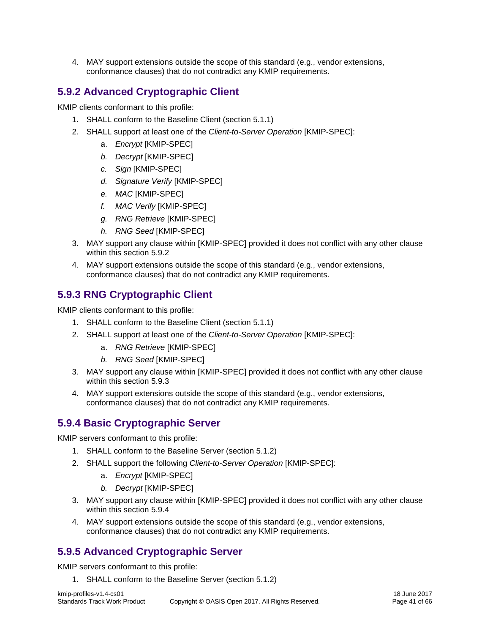4. MAY support extensions outside the scope of this standard (e.g., vendor extensions, conformance clauses) that do not contradict any KMIP requirements.

## <span id="page-40-0"></span>**5.9.2 Advanced Cryptographic Client**

KMIP clients conformant to this profile:

- 1. SHALL conform to the [Baseline](#page-19-2) Client (section [5.1.1\)](#page-19-2)
- 2. SHALL support at least one of the *Client-to-Server Operation* [KMIP-SPEC]:
	- a. *Encrypt* [KMIP-SPEC]
	- *b. Decrypt* [KMIP-SPEC]
	- *c. Sign* [KMIP-SPEC]
	- *d. Signature Verify* [KMIP-SPEC]
	- *e. MAC* [KMIP-SPEC]
	- *f. MAC Verify* [KMIP-SPEC]
	- *g. RNG Retrieve* [KMIP-SPEC]
	- *h. RNG Seed* [KMIP-SPEC]
- 3. MAY support any clause within [KMIP-SPEC] provided it does not conflict with any other clause within this section [5.9.2](#page-40-0)
- 4. MAY support extensions outside the scope of this standard (e.g., vendor extensions, conformance clauses) that do not contradict any KMIP requirements.

## <span id="page-40-1"></span>**5.9.3 RNG Cryptographic Client**

KMIP clients conformant to this profile:

- 1. SHALL conform to the [Baseline](#page-19-2) Client (section [5.1.1\)](#page-19-2)
- 2. SHALL support at least one of the *Client-to-Server Operation* [KMIP-SPEC]:
	- a. *RNG Retrieve* [KMIP-SPEC]
	- *b. RNG Seed* [KMIP-SPEC]
- 3. MAY support any clause within [KMIP-SPEC] provided it does not conflict with any other clause within this section [5.9.3](#page-40-1)
- 4. MAY support extensions outside the scope of this standard (e.g., vendor extensions, conformance clauses) that do not contradict any KMIP requirements.

## <span id="page-40-2"></span>**5.9.4 Basic Cryptographic Server**

KMIP servers conformant to this profile:

- 1. SHALL conform to the [Baseline](#page-20-0) Server (section [5.1.2\)](#page-20-0)
- 2. SHALL support the following *Client-to-Server Operation* [KMIP-SPEC]:
	- a. *Encrypt* [KMIP-SPEC]
	- *b. Decrypt* [KMIP-SPEC]
- 3. MAY support any clause within [KMIP-SPEC] provided it does not conflict with any other clause within this section [5.9.4](#page-40-2)
- 4. MAY support extensions outside the scope of this standard (e.g., vendor extensions, conformance clauses) that do not contradict any KMIP requirements.

## <span id="page-40-3"></span>**5.9.5 Advanced Cryptographic Server**

KMIP servers conformant to this profile:

1. SHALL conform to the [Baseline](#page-20-0) Server (section [5.1.2\)](#page-20-0)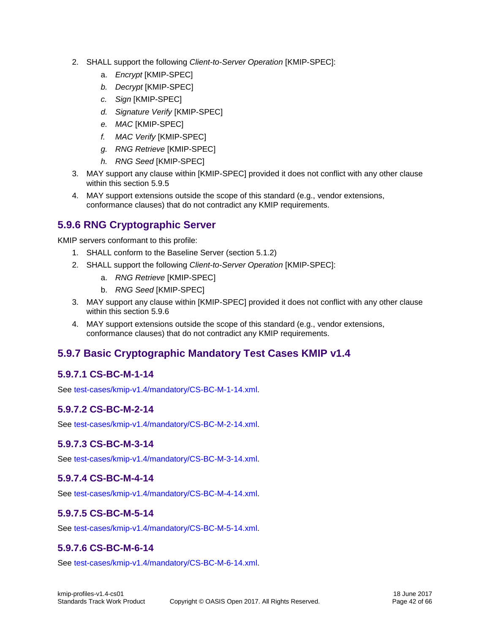- 2. SHALL support the following *Client-to-Server Operation* [KMIP-SPEC]:
	- a. *Encrypt* [KMIP-SPEC]
	- *b. Decrypt* [KMIP-SPEC]
	- *c. Sign* [KMIP-SPEC]
	- *d. Signature Verify* [KMIP-SPEC]
	- *e. MAC* [KMIP-SPEC]
	- *f. MAC Verify* [KMIP-SPEC]
	- *g. RNG Retrieve* [KMIP-SPEC]
	- *h. RNG Seed* [KMIP-SPEC]
- 3. MAY support any clause within [KMIP-SPEC] provided it does not conflict with any other clause within this section [5.9.5](#page-40-3)
- 4. MAY support extensions outside the scope of this standard (e.g., vendor extensions, conformance clauses) that do not contradict any KMIP requirements.

## <span id="page-41-0"></span>**5.9.6 RNG Cryptographic Server**

KMIP servers conformant to this profile:

- 1. SHALL conform to the [Baseline](#page-20-0) Server (section [5.1.2\)](#page-20-0)
- 2. SHALL support the following *Client-to-Server Operation* [KMIP-SPEC]:
	- a. *RNG Retrieve* [KMIP-SPEC]
	- b. *RNG Seed* [KMIP-SPEC]
- 3. MAY support any clause within [KMIP-SPEC] provided it does not conflict with any other clause within this section [5.9.6](#page-41-0)
- 4. MAY support extensions outside the scope of this standard (e.g., vendor extensions, conformance clauses) that do not contradict any KMIP requirements.

## <span id="page-41-1"></span>**5.9.7 Basic Cryptographic Mandatory Test Cases KMIP v1.4**

## <span id="page-41-2"></span>**5.9.7.1 CS-BC-M-1-14**

See [test-cases/kmip-v1.4/mandatory/CS-BC-M-1-14.xml.](test-cases/kmip-v1.4/mandatory/CS-BC-M-1-14.xml)

#### <span id="page-41-3"></span>**5.9.7.2 CS-BC-M-2-14**

See [test-cases/kmip-v1.4/mandatory/CS-BC-M-2-14.xml.](test-cases/kmip-v1.4/mandatory/CS-BC-M-2-14.xml)

#### <span id="page-41-4"></span>**5.9.7.3 CS-BC-M-3-14**

See [test-cases/kmip-v1.4/mandatory/CS-BC-M-3-14.xml.](test-cases/kmip-v1.4/mandatory/CS-BC-M-3-14.xml)

#### <span id="page-41-5"></span>**5.9.7.4 CS-BC-M-4-14**

See [test-cases/kmip-v1.4/mandatory/CS-BC-M-4-14.xml.](test-cases/kmip-v1.4/mandatory/CS-BC-M-4-14.xml)

#### <span id="page-41-6"></span>**5.9.7.5 CS-BC-M-5-14**

See [test-cases/kmip-v1.4/mandatory/CS-BC-M-5-14.xml.](test-cases/kmip-v1.4/mandatory/CS-BC-M-5-14.xml)

#### <span id="page-41-7"></span>**5.9.7.6 CS-BC-M-6-14**

See [test-cases/kmip-v1.4/mandatory/CS-BC-M-6-14.xml.](test-cases/kmip-v1.4/mandatory/CS-BC-M-6-14.xml)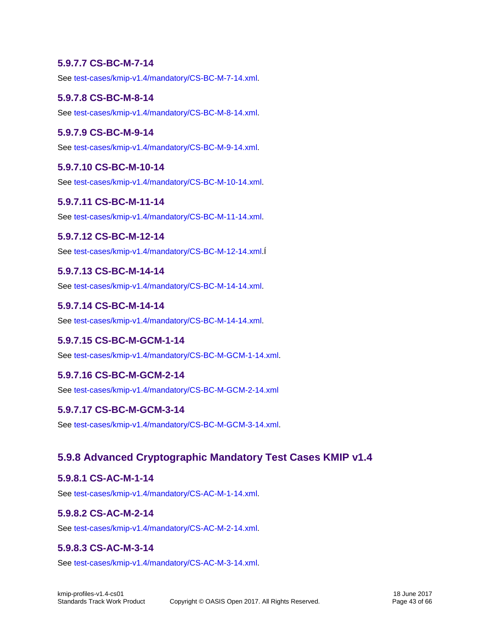#### <span id="page-42-0"></span>**5.9.7.7 CS-BC-M-7-14**

See [test-cases/kmip-v1.4/mandatory/CS-BC-M-7-14.xml.](test-cases/kmip-v1.4/mandatory/CS-BC-M-7-14.xml)

#### <span id="page-42-1"></span>**5.9.7.8 CS-BC-M-8-14**

See [test-cases/kmip-v1.4/mandatory/CS-BC-M-8-14.xml.](test-cases/kmip-v1.4/mandatory/CS-BC-M-8-14.xml)

#### <span id="page-42-2"></span>**5.9.7.9 CS-BC-M-9-14**

See [test-cases/kmip-v1.4/mandatory/CS-BC-M-9-14.xml.](test-cases/kmip-v1.4/mandatory/CS-BC-M-9-14.xml)

#### <span id="page-42-3"></span>**5.9.7.10 CS-BC-M-10-14**

See [test-cases/kmip-v1.4/mandatory/CS-BC-M-10-14.xml.](test-cases/kmip-v1.4/mandatory/CS-BC-M-10-14.xml)

#### <span id="page-42-4"></span>**5.9.7.11 CS-BC-M-11-14**

See [test-cases/kmip-v1.4/mandatory/CS-BC-M-11-14.xml.](test-cases/kmip-v1.4/mandatory/CS-BC-M-11-14.xml)

#### <span id="page-42-5"></span>**5.9.7.12 CS-BC-M-12-14**

See [test-cases/kmip-v1.4/mandatory/CS-BC-M-12-14.xml.](test-cases/kmip-v1.4/mandatory/CS-BC-M-12-14.xml)Í

#### <span id="page-42-6"></span>**5.9.7.13 CS-BC-M-14-14**

See [test-cases/kmip-v1.4/mandatory/CS-BC-M-14-14.xml.](test-cases/kmip-v1.4/mandatory/CS-BC-M-14-14.xml)

#### <span id="page-42-7"></span>**5.9.7.14 CS-BC-M-14-14**

See [test-cases/kmip-v1.4/mandatory/CS-BC-M-14-14.xml.](test-cases/kmip-v1.4/mandatory/CS-BC-M-14-14.xml)

#### <span id="page-42-8"></span>**5.9.7.15 CS-BC-M-GCM-1-14**

See [test-cases/kmip-v1.4/mandatory/CS-BC-M-GCM-1-14.xml.](test-cases/kmip-v1.4/mandatory/CS-BC-M-GCM-1-14.xml)

#### <span id="page-42-9"></span>**5.9.7.16 CS-BC-M-GCM-2-14**

See<test-cases/kmip-v1.4/mandatory/CS-BC-M-GCM-2-14.xml>

#### <span id="page-42-10"></span>**5.9.7.17 CS-BC-M-GCM-3-14**

See [test-cases/kmip-v1.4/mandatory/CS-BC-M-GCM-3-14.xml.](test-cases/kmip-v1.4/mandatory/CS-BC-M-GCM-3-14.xml)

#### <span id="page-42-11"></span>**5.9.8 Advanced Cryptographic Mandatory Test Cases KMIP v1.4**

#### <span id="page-42-12"></span>**5.9.8.1 CS-AC-M-1-14**

See [test-cases/kmip-v1.4/mandatory/CS-AC-M-1-14.xml.](test-cases/kmip-v1.4/mandatory/CS-AC-M-1-14.xml)

#### <span id="page-42-13"></span>**5.9.8.2 CS-AC-M-2-14**

See [test-cases/kmip-v1.4/mandatory/CS-AC-M-2-14.xml.](test-cases/kmip-v1.4/mandatory/CS-AC-M-2-14.xml)

#### <span id="page-42-14"></span>**5.9.8.3 CS-AC-M-3-14**

See [test-cases/kmip-v1.4/mandatory/CS-AC-M-3-14.xml.](test-cases/kmip-v1.4/mandatory/CS-AC-M-3-14.xml)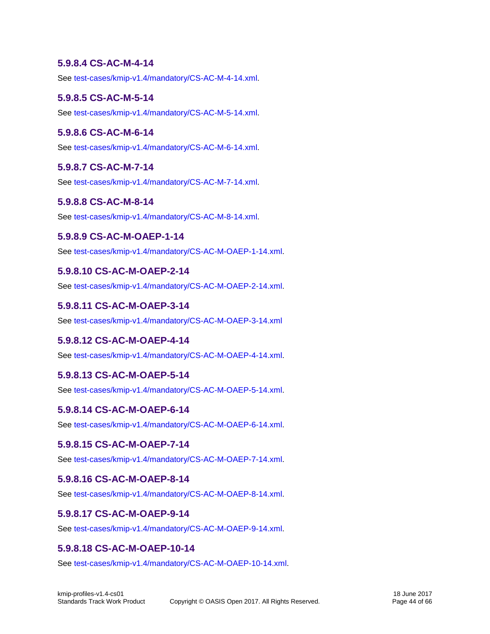#### <span id="page-43-0"></span>**5.9.8.4 CS-AC-M-4-14**

See [test-cases/kmip-v1.4/mandatory/CS-AC-M-4-14.xml.](test-cases/kmip-v1.4/mandatory/CS-AC-M-4-14.xml)

#### <span id="page-43-1"></span>**5.9.8.5 CS-AC-M-5-14**

See [test-cases/kmip-v1.4/mandatory/CS-AC-M-5-14.xml.](test-cases/kmip-v1.4/mandatory/CS-AC-M-5-14.xml)

#### <span id="page-43-2"></span>**5.9.8.6 CS-AC-M-6-14**

See [test-cases/kmip-v1.4/mandatory/CS-AC-M-6-14.xml.](test-cases/kmip-v1.4/mandatory/CS-AC-M-6-14.xml)

#### <span id="page-43-3"></span>**5.9.8.7 CS-AC-M-7-14**

See [test-cases/kmip-v1.4/mandatory/CS-AC-M-7-14.xml.](test-cases/kmip-v1.4/mandatory/CS-AC-M-7-14.xml)

#### <span id="page-43-4"></span>**5.9.8.8 CS-AC-M-8-14**

See [test-cases/kmip-v1.4/mandatory/CS-AC-M-8-14.xml.](test-cases/kmip-v1.4/mandatory/CS-AC-M-8-14.xml)

#### <span id="page-43-5"></span>**5.9.8.9 CS-AC-M-OAEP-1-14**

See [test-cases/kmip-v1.4/mandatory/CS-AC-M-OAEP-1-14.xml.](test-cases/kmip-v1.4/mandatory/CS-AC-M-OAEP-1-14.xml)

#### <span id="page-43-6"></span>**5.9.8.10 CS-AC-M-OAEP-2-14**

See [test-cases/kmip-v1.4/mandatory/CS-AC-M-OAEP-2-14.xml.](test-cases/kmip-v1.4/mandatory/CS-AC-M-OAEP-2-14.xml)

#### <span id="page-43-7"></span>**5.9.8.11 CS-AC-M-OAEP-3-14**

See<test-cases/kmip-v1.4/mandatory/CS-AC-M-OAEP-3-14.xml>

#### <span id="page-43-8"></span>**5.9.8.12 CS-AC-M-OAEP-4-14**

See [test-cases/kmip-v1.4/mandatory/CS-AC-M-OAEP-4-14.xml.](test-cases/kmip-v1.4/mandatory/CS-AC-M-OAEP-4-14.xml)

#### <span id="page-43-9"></span>**5.9.8.13 CS-AC-M-OAEP-5-14**

See [test-cases/kmip-v1.4/mandatory/CS-AC-M-OAEP-5-14.xml.](test-cases/kmip-v1.4/mandatory/CS-AC-M-OAEP-5-14.xml)

#### <span id="page-43-10"></span>**5.9.8.14 CS-AC-M-OAEP-6-14**

See [test-cases/kmip-v1.4/mandatory/CS-AC-M-OAEP-6-14.xml.](test-cases/kmip-v1.4/mandatory/CS-AC-M-OAEP-6-14.xml)

#### <span id="page-43-11"></span>**5.9.8.15 CS-AC-M-OAEP-7-14**

See [test-cases/kmip-v1.4/mandatory/CS-AC-M-OAEP-7-14.xml.](test-cases/kmip-v1.4/mandatory/CS-AC-M-OAEP-7-14.xml)

#### <span id="page-43-12"></span>**5.9.8.16 CS-AC-M-OAEP-8-14**

See [test-cases/kmip-v1.4/mandatory/CS-AC-M-OAEP-8-14.xml.](test-cases/kmip-v1.4/mandatory/CS-AC-M-OAEP-8-14.xml)

#### <span id="page-43-13"></span>**5.9.8.17 CS-AC-M-OAEP-9-14**

See [test-cases/kmip-v1.4/mandatory/CS-AC-M-OAEP-9-14.xml.](test-cases/kmip-v1.4/mandatory/CS-AC-M-OAEP-9-14.xml)

#### <span id="page-43-14"></span>**5.9.8.18 CS-AC-M-OAEP-10-14**

See [test-cases/kmip-v1.4/mandatory/CS-AC-M-OAEP-10-14.xml.](test-cases/kmip-v1.4/mandatory/CS-AC-M-OAEP-10-14.xml)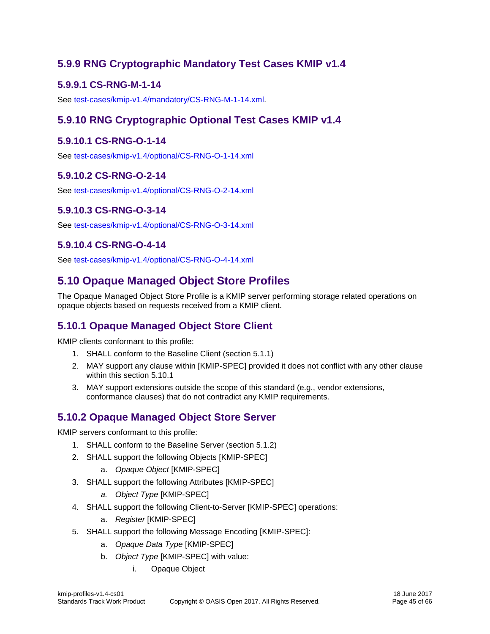## <span id="page-44-0"></span>**5.9.9 RNG Cryptographic Mandatory Test Cases KMIP v1.4**

#### <span id="page-44-1"></span>**5.9.9.1 CS-RNG-M-1-14**

See [test-cases/kmip-v1.4/mandatory/CS-RNG-M-1-14.xml.](test-cases/kmip-v1.4/mandatory/CS-RNG-M-1-14.xml)

## <span id="page-44-2"></span>**5.9.10 RNG Cryptographic Optional Test Cases KMIP v1.4**

#### <span id="page-44-3"></span>**5.9.10.1 CS-RNG-O-1-14**

See<test-cases/kmip-v1.4/optional/CS-RNG-O-1-14.xml>

#### <span id="page-44-4"></span>**5.9.10.2 CS-RNG-O-2-14**

See<test-cases/kmip-v1.4/optional/CS-RNG-O-2-14.xml>

#### <span id="page-44-5"></span>**5.9.10.3 CS-RNG-O-3-14**

See<test-cases/kmip-v1.4/optional/CS-RNG-O-3-14.xml>

#### <span id="page-44-6"></span>**5.9.10.4 CS-RNG-O-4-14**

See<test-cases/kmip-v1.4/optional/CS-RNG-O-4-14.xml>

## <span id="page-44-7"></span>**5.10 Opaque Managed Object Store Profiles**

The Opaque Managed Object Store Profile is a KMIP server performing storage related operations on opaque objects based on requests received from a KMIP client.

## <span id="page-44-8"></span>**5.10.1 Opaque Managed Object Store Client**

KMIP clients conformant to this profile:

- 1. SHALL conform to the [Baseline](#page-19-2) Client (section [5.1.1\)](#page-19-2)
- 2. MAY support any clause within [KMIP-SPEC] provided it does not conflict with any other clause within this section [5.10.1](#page-44-8)
- 3. MAY support extensions outside the scope of this standard (e.g., vendor extensions, conformance clauses) that do not contradict any KMIP requirements.

## <span id="page-44-9"></span>**5.10.2 Opaque Managed Object Store Server**

KMIP servers conformant to this profile:

- 1. SHALL conform to the [Baseline](#page-20-0) Server (section [5.1.2\)](#page-20-0)
- 2. SHALL support the following Objects [KMIP-SPEC]
	- a. *Opaque Object* [KMIP-SPEC]
- 3. SHALL support the following Attributes [KMIP-SPEC]
	- *a. Object Type* [KMIP-SPEC]
- 4. SHALL support the following Client-to-Server [KMIP-SPEC] operations:
	- a. *Register* [KMIP-SPEC]
- 5. SHALL support the following Message Encoding [KMIP-SPEC]:
	- a. *Opaque Data Type* [KMIP-SPEC]
	- b. *Object Type* [KMIP-SPEC] with value:
		- i. Opaque Object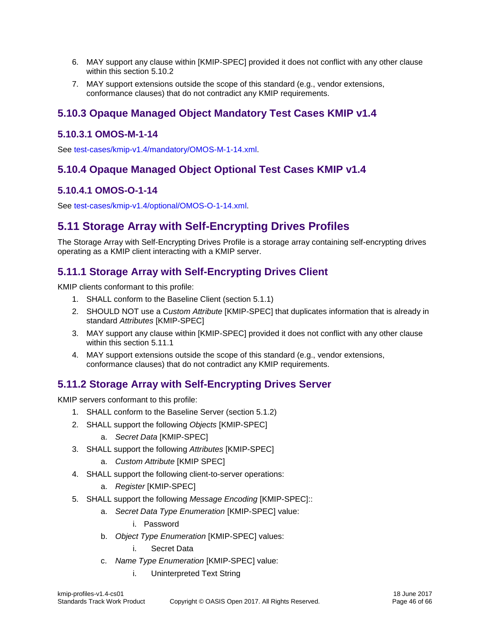- 6. MAY support any clause within [KMIP-SPEC] provided it does not conflict with any other clause within this section [5.10.2](#page-44-9)
- 7. MAY support extensions outside the scope of this standard (e.g., vendor extensions, conformance clauses) that do not contradict any KMIP requirements.

## <span id="page-45-0"></span>**5.10.3 Opaque Managed Object Mandatory Test Cases KMIP v1.4**

#### <span id="page-45-1"></span>**5.10.3.1 OMOS-M-1-14**

See [test-cases/kmip-v1.4/mandatory/OMOS-M-1-14.xml.](test-cases/kmip-v1.4/mandatory/OMOS-M-1-14.xml)

## <span id="page-45-2"></span>**5.10.4 Opaque Managed Object Optional Test Cases KMIP v1.4**

## <span id="page-45-3"></span>**5.10.4.1 OMOS-O-1-14**

See [test-cases/kmip-v1.4/optional/OMOS-O-1-14.xml.](test-cases/kmip-v1.4/optional/OMOS-O-1-14.xml)

## <span id="page-45-4"></span>**5.11 Storage Array with Self-Encrypting Drives Profiles**

The Storage Array with Self-Encrypting Drives Profile is a storage array containing self-encrypting drives operating as a KMIP client interacting with a KMIP server.

## <span id="page-45-5"></span>**5.11.1 Storage Array with Self-Encrypting Drives Client**

KMIP clients conformant to this profile:

- 1. SHALL conform to the [Baseline](#page-19-2) Client (section [5.1.1\)](#page-19-2)
- 2. SHOULD NOT use a C*ustom Attribute* [KMIP-SPEC] that duplicates information that is already in standard *Attributes* [KMIP-SPEC]
- 3. MAY support any clause within [KMIP-SPEC] provided it does not conflict with any other clause within this section [5.11.1](#page-45-5)
- 4. MAY support extensions outside the scope of this standard (e.g., vendor extensions, conformance clauses) that do not contradict any KMIP requirements.

## <span id="page-45-6"></span>**5.11.2 Storage Array with Self-Encrypting Drives Server**

KMIP servers conformant to this profile:

- 1. SHALL conform to the [Baseline](#page-20-0) Server (section [5.1.2\)](#page-20-0)
- 2. SHALL support the following *Objects* [KMIP-SPEC]
	- a. *Secret Data* [KMIP-SPEC]
- 3. SHALL support the following *Attributes* [KMIP-SPEC]
	- a. *Custom Attribute* [KMIP SPEC]
- 4. SHALL support the following client-to-server operations:
	- a. *Register* [KMIP-SPEC]
- 5. SHALL support the following *Message Encoding* [KMIP-SPEC]::
	- a. *Secret Data Type Enumeration* [KMIP-SPEC] value:
		- i. Password
	- b. *Object Type Enumeration* [KMIP-SPEC] values:
		- i. Secret Data
	- c. *Name Type Enumeration* [KMIP-SPEC] value:
		- i. Uninterpreted Text String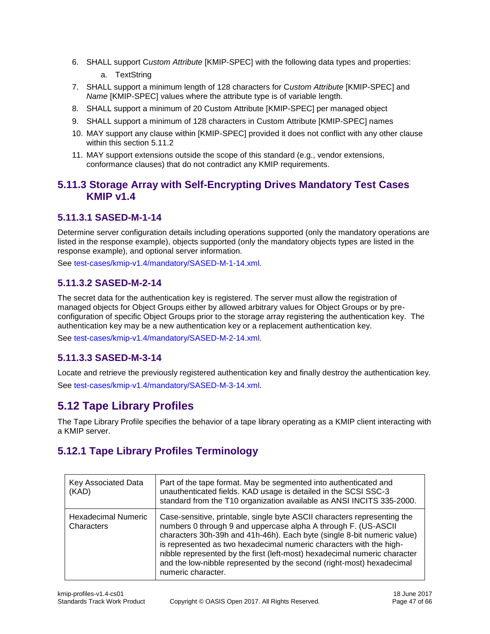- 6. SHALL support C*ustom Attribute* [KMIP-SPEC] with the following data types and properties:
	- a. TextString
- 7. SHALL support a minimum length of 128 characters for C*ustom Attribute* [KMIP-SPEC] and *Name* [KMIP-SPEC] values where the attribute type is of variable length.
- 8. SHALL support a minimum of 20 Custom Attribute [KMIP-SPEC] per managed object
- 9. SHALL support a minimum of 128 characters in Custom Attribute [KMIP-SPEC] names
- 10. MAY support any clause within [KMIP-SPEC] provided it does not conflict with any other clause within this section [5.11.2](#page-45-6)
- 11. MAY support extensions outside the scope of this standard (e.g., vendor extensions, conformance clauses) that do not contradict any KMIP requirements.

## <span id="page-46-0"></span>**5.11.3 Storage Array with Self-Encrypting Drives Mandatory Test Cases KMIP v1.4**

#### <span id="page-46-1"></span>**5.11.3.1 SASED-M-1-14**

Determine server configuration details including operations supported (only the mandatory operations are listed in the response example), objects supported (only the mandatory objects types are listed in the response example), and optional server information.

See [test-cases/kmip-v1.4/mandatory/SASED-M-1-14.xml.](test-cases/kmip-v1.4/mandatory/SASED-M-1-14.xml)

## <span id="page-46-2"></span>**5.11.3.2 SASED-M-2-14**

The secret data for the authentication key is registered. The server must allow the registration of managed objects for Object Groups either by allowed arbitrary values for Object Groups or by preconfiguration of specific Object Groups prior to the storage array registering the authentication key. The authentication key may be a new authentication key or a replacement authentication key.

See [test-cases/kmip-v1.4/mandatory/SASED-M-2-14.xml.](test-cases/kmip-v1.4/mandatory/SASED-M-2-14.xml)

#### <span id="page-46-3"></span>**5.11.3.3 SASED-M-3-14**

Locate and retrieve the previously registered authentication key and finally destroy the authentication key. See [test-cases/kmip-v1.4/mandatory/SASED-M-3-14.xml.](test-cases/kmip-v1.4/mandatory/SASED-M-3-14.xml)

## <span id="page-46-4"></span>**5.12 Tape Library Profiles**

The Tape Library Profile specifies the behavior of a tape library operating as a KMIP client interacting with a KMIP server.

## <span id="page-46-5"></span>**5.12.1 Tape Library Profiles Terminology**

| Key Associated Data<br>(KAD)      | Part of the tape format. May be segmented into authenticated and<br>unauthenticated fields. KAD usage is detailed in the SCSI SSC-3<br>standard from the T10 organization available as ANSI INCITS 335-2000.                                                                                                                                                                                                                                                             |
|-----------------------------------|--------------------------------------------------------------------------------------------------------------------------------------------------------------------------------------------------------------------------------------------------------------------------------------------------------------------------------------------------------------------------------------------------------------------------------------------------------------------------|
| Hexadecimal Numeric<br>Characters | Case-sensitive, printable, single byte ASCII characters representing the<br>numbers 0 through 9 and uppercase alpha A through F. (US-ASCII<br>characters 30h-39h and 41h-46h). Each byte (single 8-bit numeric value)<br>is represented as two hexadecimal numeric characters with the high-<br>nibble represented by the first (left-most) hexadecimal numeric character<br>and the low-nibble represented by the second (right-most) hexadecimal<br>numeric character. |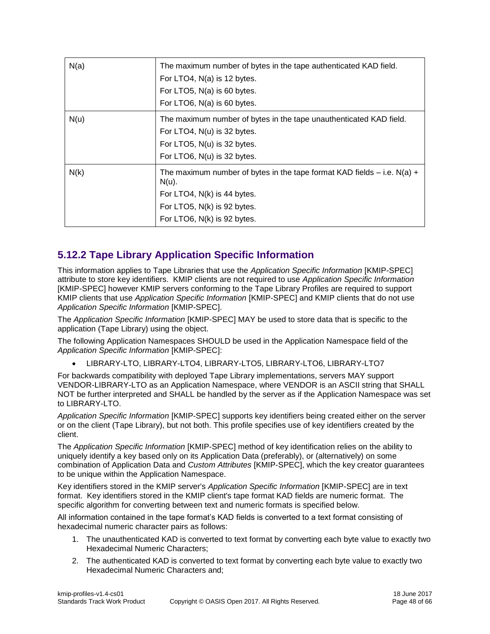| N(a) | The maximum number of bytes in the tape authenticated KAD field.<br>For LTO4, N(a) is 12 bytes.<br>For LTO5, N(a) is 60 bytes.<br>For LTO6, N(a) is 60 bytes.                        |
|------|--------------------------------------------------------------------------------------------------------------------------------------------------------------------------------------|
| N(u) | The maximum number of bytes in the tape unauthenticated KAD field.<br>For LTO4, N(u) is 32 bytes.<br>For LTO5, N(u) is 32 bytes.<br>For LTO6, N(u) is 32 bytes.                      |
| N(k) | The maximum number of bytes in the tape format KAD fields $-$ i.e. N(a) $+$<br>$N(u)$ .<br>For LTO4, N(k) is 44 bytes.<br>For LTO5, N(k) is 92 bytes.<br>For LTO6, N(k) is 92 bytes. |

## <span id="page-47-0"></span>**5.12.2 Tape Library Application Specific Information**

This information applies to Tape Libraries that use the *Application Specific Information* [KMIP-SPEC] attribute to store key identifiers. KMIP clients are not required to use *Application Specific Information*  [KMIP-SPEC] however KMIP servers conforming to the Tape Library Profiles are required to support KMIP clients that use *Application Specific Information* [KMIP-SPEC] and KMIP clients that do not use *Application Specific Information* [KMIP-SPEC].

The *Application Specific Information* [KMIP-SPEC] MAY be used to store data that is specific to the application (Tape Library) using the object.

The following Application Namespaces SHOULD be used in the Application Namespace field of the *Application Specific Information* [KMIP-SPEC]:

LIBRARY-LTO, LIBRARY-LTO4, LIBRARY-LTO5, LIBRARY-LTO6, LIBRARY-LTO7

For backwards compatibility with deployed Tape Library implementations, servers MAY support VENDOR-LIBRARY-LTO as an Application Namespace, where VENDOR is an ASCII string that SHALL NOT be further interpreted and SHALL be handled by the server as if the Application Namespace was set to LIBRARY-LTO.

*Application Specific Information* [KMIP-SPEC] supports key identifiers being created either on the server or on the client (Tape Library), but not both. This profile specifies use of key identifiers created by the client.

The *Application Specific Information* [KMIP-SPEC] method of key identification relies on the ability to uniquely identify a key based only on its Application Data (preferably), or (alternatively) on some combination of Application Data and *Custom Attributes* [KMIP-SPEC], which the key creator guarantees to be unique within the Application Namespace.

Key identifiers stored in the KMIP server's *Application Specific Information* [KMIP-SPEC] are in text format. Key identifiers stored in the KMIP client's tape format KAD fields are numeric format. The specific algorithm for converting between text and numeric formats is specified below.

All information contained in the tape format's KAD fields is converted to a text format consisting of hexadecimal numeric character pairs as follows:

- 1. The unauthenticated KAD is converted to text format by converting each byte value to exactly two Hexadecimal Numeric Characters;
- 2. The authenticated KAD is converted to text format by converting each byte value to exactly two Hexadecimal Numeric Characters and;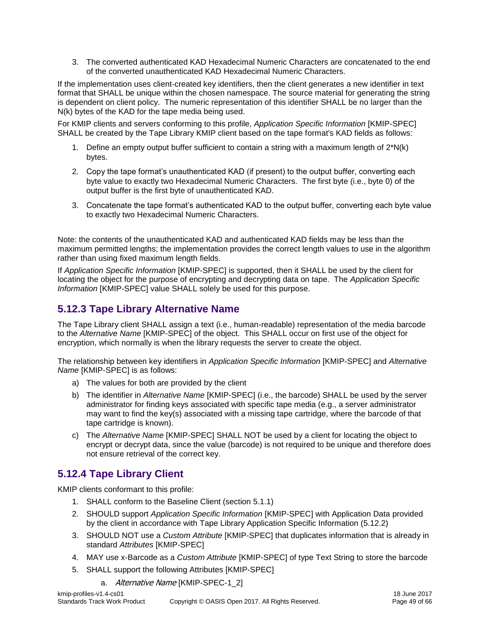3. The converted authenticated KAD Hexadecimal Numeric Characters are concatenated to the end of the converted unauthenticated KAD Hexadecimal Numeric Characters.

If the implementation uses client-created key identifiers, then the client generates a new identifier in text format that SHALL be unique within the chosen namespace. The source material for generating the string is dependent on client policy. The numeric representation of this identifier SHALL be no larger than the N(k) bytes of the KAD for the tape media being used.

For KMIP clients and servers conforming to this profile, *Application Specific Information* [KMIP-SPEC] SHALL be created by the Tape Library KMIP client based on the tape format's KAD fields as follows:

- 1. Define an empty output buffer sufficient to contain a string with a maximum length of 2\*N(k) bytes.
- 2. Copy the tape format's unauthenticated KAD (if present) to the output buffer, converting each byte value to exactly two Hexadecimal Numeric Characters. The first byte (i.e., byte 0) of the output buffer is the first byte of unauthenticated KAD.
- 3. Concatenate the tape format's authenticated KAD to the output buffer, converting each byte value to exactly two Hexadecimal Numeric Characters.

Note: the contents of the unauthenticated KAD and authenticated KAD fields may be less than the maximum permitted lengths; the implementation provides the correct length values to use in the algorithm rather than using fixed maximum length fields.

If *Application Specific Information* [KMIP-SPEC] is supported, then it SHALL be used by the client for locating the object for the purpose of encrypting and decrypting data on tape. The *Application Specific Information* [KMIP-SPEC] value SHALL solely be used for this purpose.

## <span id="page-48-0"></span>**5.12.3 Tape Library Alternative Name**

The Tape Library client SHALL assign a text (i.e., human-readable) representation of the media barcode to the *Alternative Name* [KMIP-SPEC] of the object. This SHALL occur on first use of the object for encryption, which normally is when the library requests the server to create the object.

The relationship between key identifiers in *Application Specific Information* [KMIP-SPEC] and *Alternative Name* [KMIP-SPEC] is as follows:

- a) The values for both are provided by the client
- b) The identifier in *Alternative Name* [KMIP-SPEC] (i.e., the barcode) SHALL be used by the server administrator for finding keys associated with specific tape media (e.g., a server administrator may want to find the key(s) associated with a missing tape cartridge, where the barcode of that tape cartridge is known).
- c) The *Alternative Name* [KMIP-SPEC] SHALL NOT be used by a client for locating the object to encrypt or decrypt data, since the value (barcode) is not required to be unique and therefore does not ensure retrieval of the correct key.

## <span id="page-48-1"></span>**5.12.4 Tape Library Client**

KMIP clients conformant to this profile:

- 1. SHALL conform to the [Baseline](#page-19-2) Client (section [5.1.1\)](#page-19-2)
- 2. SHOULD support *Application Specific Information* [KMIP-SPEC] with Application Data provided by the client in accordance with [Tape Library Application Specific Information](#page-47-0) [\(5.12.2\)](#page-47-0)
- 3. SHOULD NOT use a *Custom Attribute* [KMIP-SPEC] that duplicates information that is already in standard *Attributes* [KMIP-SPEC]
- 4. MAY use x-Barcode as a *Custom Attribute* [KMIP-SPEC] of type Text String to store the barcode
- 5. SHALL support the following Attributes [KMIP-SPEC]
	- a. Alternative Name [KMIP-SPEC-1\_2]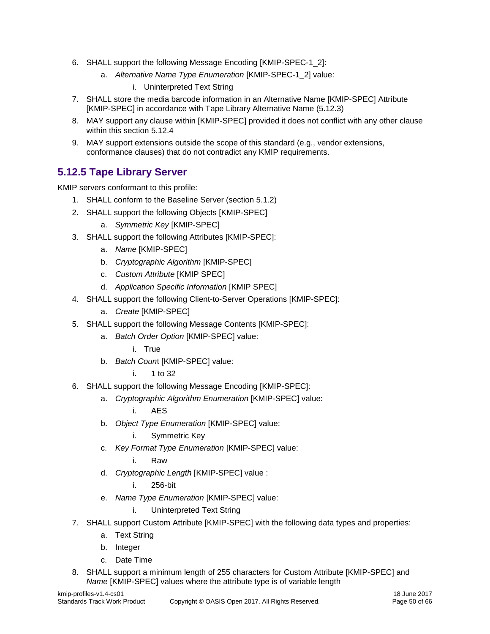- 6. SHALL support the following Message Encoding [KMIP-SPEC-1\_2]:
	- a. *Alternative Name Type Enumeration* [KMIP-SPEC-1\_2] value:
		- i. Uninterpreted Text String
- 7. SHALL store the media barcode information in an Alternative Name [KMIP-SPEC] Attribute [KMIP-SPEC] in accordance with [Tape Library Alternative Name](#page-48-0) [\(5.12.3\)](#page-48-0)
- 8. MAY support any clause within [KMIP-SPEC] provided it does not conflict with any other clause within this section [5.12.4](#page-48-1)
- 9. MAY support extensions outside the scope of this standard (e.g., vendor extensions, conformance clauses) that do not contradict any KMIP requirements.

## <span id="page-49-0"></span>**5.12.5 Tape Library Server**

KMIP servers conformant to this profile:

- 1. SHALL conform to the [Baseline](#page-20-0) Server (section [5.1.2\)](#page-20-0)
- 2. SHALL support the following Objects [KMIP-SPEC]
	- a. *Symmetric Key* [KMIP-SPEC]
- 3. SHALL support the following Attributes [KMIP-SPEC]:
	- a. *Name* [KMIP-SPEC]
	- b. *Cryptographic Algorithm* [KMIP-SPEC]
	- c. *Custom Attribute* [KMIP SPEC]
	- d. *Application Specific Information* [KMIP SPEC]
- 4. SHALL support the following Client-to-Server Operations [KMIP-SPEC]:
	- a. *Create* [KMIP-SPEC]
- 5. SHALL support the following Message Contents [KMIP-SPEC]:
	- a. *Batch Order Option* [KMIP-SPEC] value:
		- i. True
	- b. *Batch Coun*t [KMIP-SPEC] value:
		- i. 1 to 32
- 6. SHALL support the following Message Encoding [KMIP-SPEC]:
	- a. *Cryptographic Algorithm Enumeration* [KMIP-SPEC] value:

i. AES

- b. *Object Type Enumeration* [KMIP-SPEC] value:
	- i. Symmetric Key
- c. *Key Format Type Enumeration* [KMIP-SPEC] value:
	- i. Raw
- d. *Cryptographic Length* [KMIP-SPEC] value :
	- i. 256-bit
- e. *Name Type Enumeration* [KMIP-SPEC] value:
	- i. Uninterpreted Text String
- 7. SHALL support Custom Attribute [KMIP-SPEC] with the following data types and properties:
	- a. Text String
	- b. Integer
	- c. Date Time
- 8. SHALL support a minimum length of 255 characters for Custom Attribute [KMIP-SPEC] and *Name* [KMIP-SPEC] values where the attribute type is of variable length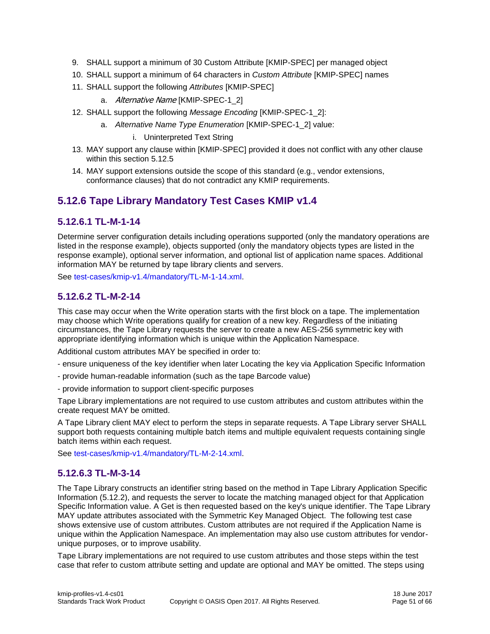- 9. SHALL support a minimum of 30 Custom Attribute [KMIP-SPEC] per managed object
- 10. SHALL support a minimum of 64 characters in *Custom Attribute* [KMIP-SPEC] names
- 11. SHALL support the following *Attributes* [KMIP-SPEC]
	- a. Alternative Name [KMIP-SPEC-1\_2]
- 12. SHALL support the following *Message Encoding* [KMIP-SPEC-1\_2]:
	- a. *Alternative Name Type Enumeration* [KMIP-SPEC-1\_2] value:
		- i. Uninterpreted Text String
- 13. MAY support any clause within [KMIP-SPEC] provided it does not conflict with any other clause within this section [5.12.5](#page-49-0)
- 14. MAY support extensions outside the scope of this standard (e.g., vendor extensions, conformance clauses) that do not contradict any KMIP requirements.

## <span id="page-50-0"></span>**5.12.6 Tape Library Mandatory Test Cases KMIP v1.4**

#### <span id="page-50-1"></span>**5.12.6.1 TL-M-1-14**

Determine server configuration details including operations supported (only the mandatory operations are listed in the response example), objects supported (only the mandatory objects types are listed in the response example), optional server information, and optional list of application name spaces. Additional information MAY be returned by tape library clients and servers.

See [test-cases/kmip-v1.4/mandatory/TL-M-1-14.xml.](test-cases/kmip-v1.4/mandatory/TL-M-1-14.xml)

#### <span id="page-50-2"></span>**5.12.6.2 TL-M-2-14**

This case may occur when the Write operation starts with the first block on a tape. The implementation may choose which Write operations qualify for creation of a new key. Regardless of the initiating circumstances, the Tape Library requests the server to create a new AES-256 symmetric key with appropriate identifying information which is unique within the Application Namespace.

Additional custom attributes MAY be specified in order to:

- ensure uniqueness of the key identifier when later Locating the key via Application Specific Information
- provide human-readable information (such as the tape Barcode value)
- provide information to support client-specific purposes

Tape Library implementations are not required to use custom attributes and custom attributes within the create request MAY be omitted.

A Tape Library client MAY elect to perform the steps in separate requests. A Tape Library server SHALL support both requests containing multiple batch items and multiple equivalent requests containing single batch items within each request.

See [test-cases/kmip-v1.4/mandatory/TL-M-2-14.xml.](test-cases/kmip-v1.4/mandatory/TL-M-2-14.xml)

#### <span id="page-50-3"></span>**5.12.6.3 TL-M-3-14**

The Tape Library constructs an identifier string based on the method in [Tape Library Application Specific](#page-47-0)  [Information](#page-47-0) [\(5.12.2\)](#page-47-0), and requests the server to locate the matching managed object for that Application Specific Information value. A Get is then requested based on the key's unique identifier. The Tape Library MAY update attributes associated with the Symmetric Key Managed Object. The following test case shows extensive use of custom attributes. Custom attributes are not required if the Application Name is unique within the Application Namespace. An implementation may also use custom attributes for vendorunique purposes, or to improve usability.

Tape Library implementations are not required to use custom attributes and those steps within the test case that refer to custom attribute setting and update are optional and MAY be omitted. The steps using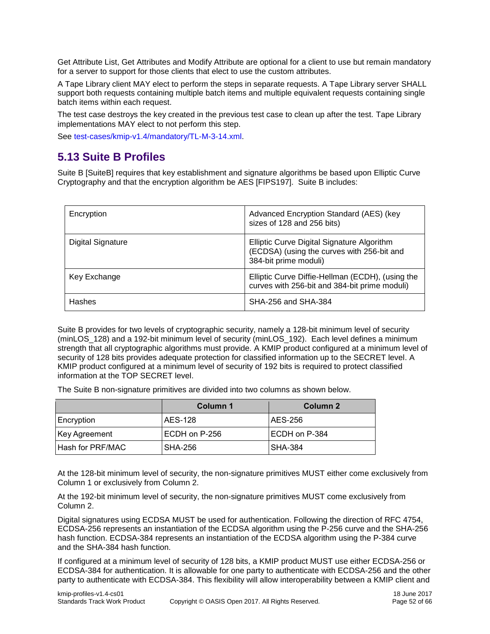Get Attribute List, Get Attributes and Modify Attribute are optional for a client to use but remain mandatory for a server to support for those clients that elect to use the custom attributes.

A Tape Library client MAY elect to perform the steps in separate requests. A Tape Library server SHALL support both requests containing multiple batch items and multiple equivalent requests containing single batch items within each request.

The test case destroys the key created in the previous test case to clean up after the test. Tape Library implementations MAY elect to not perform this step.

See [test-cases/kmip-v1.4/mandatory/TL-M-3-14.xml.](test-cases/kmip-v1.4/mandatory/TL-M-3-14.xml)

## <span id="page-51-0"></span>**5.13 Suite B Profiles**

Suite B [SuiteB] requires that key establishment and signature algorithms be based upon Elliptic Curve Cryptography and that the encryption algorithm be AES [FIPS197]. Suite B includes:

| Encryption        | Advanced Encryption Standard (AES) (key<br>sizes of 128 and 256 bits)                                             |
|-------------------|-------------------------------------------------------------------------------------------------------------------|
| Digital Signature | Elliptic Curve Digital Signature Algorithm<br>(ECDSA) (using the curves with 256-bit and<br>384-bit prime moduli) |
| Key Exchange      | Elliptic Curve Diffie-Hellman (ECDH), (using the<br>curves with 256-bit and 384-bit prime moduli)                 |
| Hashes            | SHA-256 and SHA-384                                                                                               |

Suite B provides for two levels of cryptographic security, namely a 128-bit minimum level of security (minLOS\_128) and a 192-bit minimum level of security (minLOS\_192). Each level defines a minimum strength that all cryptographic algorithms must provide. A KMIP product configured at a minimum level of security of 128 bits provides adequate protection for classified information up to the SECRET level. A KMIP product configured at a minimum level of security of 192 bits is required to protect classified information at the TOP SECRET level.

The Suite B non-signature primitives are divided into two columns as shown below.

|                      | Column 1       | Column 2       |
|----------------------|----------------|----------------|
| Encryption           | AES-128        | AES-256        |
| <b>Key Agreement</b> | ECDH on P-256  | ECDH on P-384  |
| Hash for PRF/MAC     | <b>SHA-256</b> | <b>SHA-384</b> |

At the 128-bit minimum level of security, the non-signature primitives MUST either come exclusively from Column 1 or exclusively from Column 2.

At the 192-bit minimum level of security, the non-signature primitives MUST come exclusively from Column 2.

Digital signatures using ECDSA MUST be used for authentication. Following the direction of RFC 4754, ECDSA-256 represents an instantiation of the ECDSA algorithm using the P-256 curve and the SHA-256 hash function. ECDSA-384 represents an instantiation of the ECDSA algorithm using the P-384 curve and the SHA-384 hash function.

If configured at a minimum level of security of 128 bits, a KMIP product MUST use either ECDSA-256 or ECDSA-384 for authentication. It is allowable for one party to authenticate with ECDSA-256 and the other party to authenticate with ECDSA-384. This flexibility will allow interoperability between a KMIP client and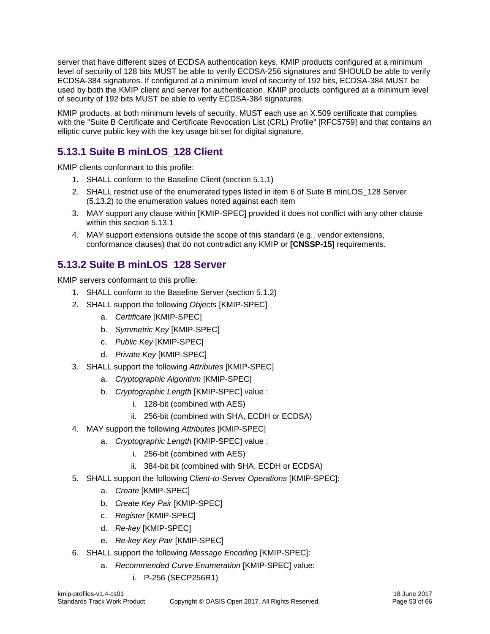server that have different sizes of ECDSA authentication keys. KMIP products configured at a minimum level of security of 128 bits MUST be able to verify ECDSA-256 signatures and SHOULD be able to verify ECDSA-384 signatures. If configured at a minimum level of security of 192 bits, ECDSA-384 MUST be used by both the KMIP client and server for authentication. KMIP products configured at a minimum level of security of 192 bits MUST be able to verify ECDSA-384 signatures.

KMIP products, at both minimum levels of security, MUST each use an X.509 certificate that complies with the "Suite B Certificate and Certificate Revocation List (CRL) Profile" [RFC5759] and that contains an elliptic curve public key with the key usage bit set for digital signature.

## <span id="page-52-0"></span>**5.13.1 Suite B minLOS\_128 Client**

KMIP clients conformant to this profile:

- 1. SHALL conform to the [Baseline](#page-19-2) Client (section [5.1.1\)](#page-19-2)
- 2. SHALL restrict use of the enumerated types listed in item 6 of Suite B minLOS 128 Server [\(5.13.2\)](#page-52-1) to the enumeration values noted against each item
- 3. MAY support any clause within [KMIP-SPEC] provided it does not conflict with any other clause within this section [5.13.1](#page-52-0)
- 4. MAY support extensions outside the scope of this standard (e.g., vendor extensions, conformance clauses) that do not contradict any KMIP or **[CNSSP-15]** requirements.

## <span id="page-52-1"></span>**5.13.2 Suite B minLOS\_128 Server**

KMIP servers conformant to this profile:

- 1. SHALL conform to the [Baseline](#page-20-0) Server (section [5.1.2\)](#page-20-0)
- 2. SHALL support the following *Objects* [KMIP-SPEC]
	- a. *Certificate* [KMIP-SPEC]
	- b. *Symmetric Key* [KMIP-SPEC]
	- c. *Public Key* [KMIP-SPEC]
	- d. *Private Key* [KMIP-SPEC]
- 3. SHALL support the following *Attributes* [KMIP-SPEC]
	- a. *Cryptographic Algorithm* [KMIP-SPEC]
	- b. *Cryptographic Length* [KMIP-SPEC] value :
		- i. 128-bit (combined with AES)
		- ii. 256-bit (combined with SHA, ECDH or ECDSA)
- 4. MAY support the following *Attributes* [KMIP-SPEC]
	- a. *Cryptographic Length* [KMIP-SPEC] value :
		- i. 256-bit (combined with AES)
		- ii. 384-bit bit (combined with SHA, ECDH or ECDSA)
- 5. SHALL support the following C*lient-to-Server Operations* [KMIP-SPEC]:
	- a. *Create* [KMIP-SPEC]
	- b. *Create Key Pair* [KMIP-SPEC]
	- c. *Register* [KMIP-SPEC]
	- d. *Re-key* [KMIP-SPEC]
	- e. *Re-key Key Pair* [KMIP-SPEC]
- 6. SHALL support the following *Message Encoding* [KMIP-SPEC]:
	- a. *Recommended Curve Enumeration* [KMIP-SPEC] value:
		- i. P-256 (SECP256R1)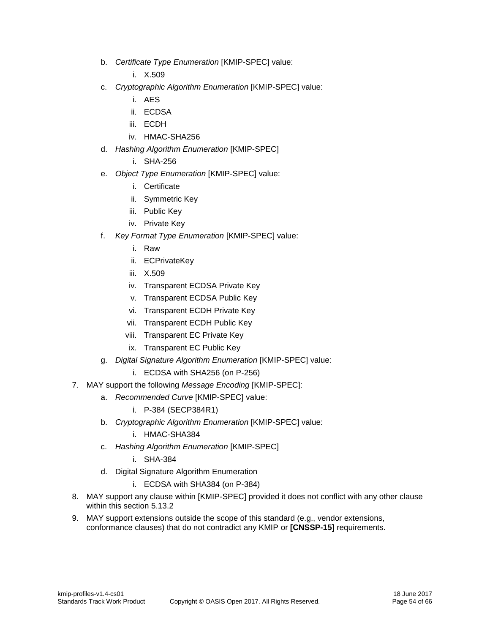b. *Certificate Type Enumeration* [KMIP-SPEC] value:

i. X.509

- c. *Cryptographic Algorithm Enumeration* [KMIP-SPEC] value:
	- i. AES
	- ii. ECDSA
	- iii. ECDH
	- iv. HMAC-SHA256
- d. *Hashing Algorithm Enumeration* [KMIP-SPEC]
	- i. SHA-256
- e. *Object Type Enumeration* [KMIP-SPEC] value:
	- i. Certificate
	- ii. Symmetric Key
	- iii. Public Key
	- iv. Private Key
- f. *Key Format Type Enumeration* [KMIP-SPEC] value:
	- i. Raw
	- ii. ECPrivateKey
	- iii. X.509
	- iv. Transparent ECDSA Private Key
	- v. Transparent ECDSA Public Key
	- vi. Transparent ECDH Private Key
	- vii. Transparent ECDH Public Key
	- viii. Transparent EC Private Key
	- ix. Transparent EC Public Key
- g. *Digital Signature Algorithm Enumeration* [KMIP-SPEC] value:
	- i. ECDSA with SHA256 (on P-256)
- 7. MAY support the following *Message Encoding* [KMIP-SPEC]:
	- a. *Recommended Curve* [KMIP-SPEC] value:
		- i. P-384 (SECP384R1)
	- b. *Cryptographic Algorithm Enumeration* [KMIP-SPEC] value:
		- i. HMAC-SHA384
	- c. *Hashing Algorithm Enumeration* [KMIP-SPEC]
		- i. SHA-384
	- d. Digital Signature Algorithm Enumeration
		- i. ECDSA with SHA384 (on P-384)
- 8. MAY support any clause within [KMIP-SPEC] provided it does not conflict with any other clause within this section [5.13.2](#page-52-1)
- 9. MAY support extensions outside the scope of this standard (e.g., vendor extensions, conformance clauses) that do not contradict any KMIP or **[CNSSP-15]** requirements.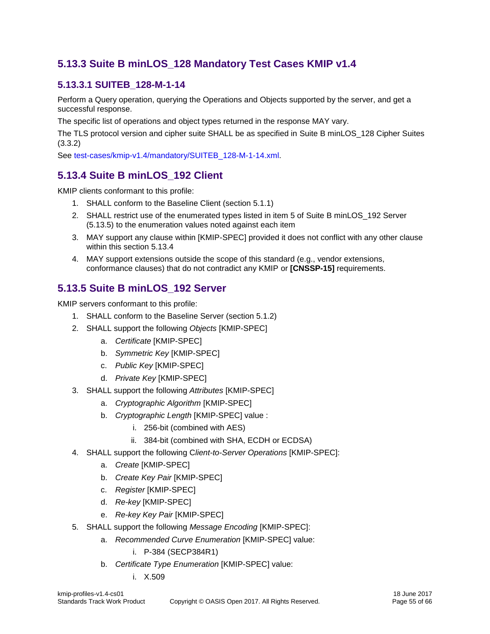## <span id="page-54-0"></span>**5.13.3 Suite B minLOS\_128 Mandatory Test Cases KMIP v1.4**

## <span id="page-54-1"></span>**5.13.3.1 SUITEB\_128-M-1-14**

Perform a Query operation, querying the Operations and Objects supported by the server, and get a successful response.

The specific list of operations and object types returned in the response MAY vary.

The TLS protocol version and cipher suite SHALL be as specified in [Suite B minLOS\\_128 Cipher Suites](#page-14-5) [\(3.3.2\)](#page-14-5)

See [test-cases/kmip-v1.4/mandatory/SUITEB\\_128-M-1-14.xml.](test-cases/kmip-v1.4/mandatory/SUITEB_128-M-1-14.xml)

## <span id="page-54-2"></span>**5.13.4 Suite B minLOS\_192 Client**

KMIP clients conformant to this profile:

- 1. SHALL conform to the [Baseline](#page-19-2) Client (section [5.1.1\)](#page-19-2)
- 2. SHALL restrict use of the enumerated types listed in item 5 of Suite B minLOS 192 Server [\(5.13.5\)](#page-54-3) to the enumeration values noted against each item
- 3. MAY support any clause within [KMIP-SPEC] provided it does not conflict with any other clause within this section [5.13.4](#page-54-2)
- 4. MAY support extensions outside the scope of this standard (e.g., vendor extensions, conformance clauses) that do not contradict any KMIP or **[CNSSP-15]** requirements.

## <span id="page-54-3"></span>**5.13.5 Suite B minLOS\_192 Server**

KMIP servers conformant to this profile:

- 1. SHALL conform to the [Baseline](#page-20-0) Server (section [5.1.2\)](#page-20-0)
- 2. SHALL support the following *Objects* [KMIP-SPEC]
	- a. *Certificate* [KMIP-SPEC]
	- b. *Symmetric Key* [KMIP-SPEC]
	- c. *Public Key* [KMIP-SPEC]
	- d. *Private Key* [KMIP-SPEC]
- 3. SHALL support the following *Attributes* [KMIP-SPEC]
	- a. *Cryptographic Algorithm* [KMIP-SPEC]
	- b. *Cryptographic Length* [KMIP-SPEC] value :
		- i. 256-bit (combined with AES)
		- ii. 384-bit (combined with SHA, ECDH or ECDSA)
- 4. SHALL support the following C*lient-to-Server Operations* [KMIP-SPEC]:
	- a. *Create* [KMIP-SPEC]
	- b. *Create Key Pair* [KMIP-SPEC]
	- c. *Register* [KMIP-SPEC]
	- d. *Re-key* [KMIP-SPEC]
	- e. *Re-key Key Pair* [KMIP-SPEC]
- 5. SHALL support the following *Message Encoding* [KMIP-SPEC]:
	- a. *Recommended Curve Enumeration* [KMIP-SPEC] value:
		- i. P-384 (SECP384R1)
	- b. *Certificate Type Enumeration* [KMIP-SPEC] value:
		- i. X.509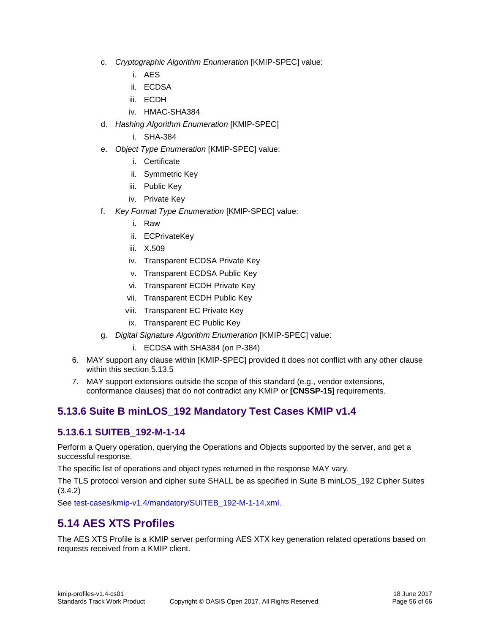- c. *Cryptographic Algorithm Enumeration* [KMIP-SPEC] value:
	- i. AES
	- ii. ECDSA
	- iii. ECDH
	- iv. HMAC-SHA384
- d. *Hashing Algorithm Enumeration* [KMIP-SPEC]
	- i. SHA-384
- e. *Object Type Enumeration* [KMIP-SPEC] value:
	- i. Certificate
	- ii. Symmetric Key
	- iii. Public Key
	- iv. Private Key
- f. *Key Format Type Enumeration* [KMIP-SPEC] value:
	- i. Raw
	- ii. ECPrivateKey
	- iii. X.509
	- iv. Transparent ECDSA Private Key
	- v. Transparent ECDSA Public Key
	- vi. Transparent ECDH Private Key
	- vii. Transparent ECDH Public Key
	- viii. Transparent EC Private Key
	- ix. Transparent EC Public Key
- g. *Digital Signature Algorithm Enumeration* [KMIP-SPEC] value:
	- i. ECDSA with SHA384 (on P-384)
- 6. MAY support any clause within [KMIP-SPEC] provided it does not conflict with any other clause within this section [5.13.5](#page-54-3)
- 7. MAY support extensions outside the scope of this standard (e.g., vendor extensions, conformance clauses) that do not contradict any KMIP or **[CNSSP-15]** requirements.

## <span id="page-55-0"></span>**5.13.6 Suite B minLOS\_192 Mandatory Test Cases KMIP v1.4**

#### <span id="page-55-1"></span>**5.13.6.1 SUITEB\_192-M-1-14**

Perform a Query operation, querying the Operations and Objects supported by the server, and get a successful response.

The specific list of operations and object types returned in the response MAY vary.

The TLS protocol version and cipher suite SHALL be as specified in [Suite B minLOS\\_192 Cipher Suites](#page-15-0) [\(3.4.2\)](#page-15-0)

See [test-cases/kmip-v1.4/mandatory/SUITEB\\_192-M-1-14.xml.](test-cases/kmip-v1.4/mandatory/SUITEB_192-M-1-14.xml)

## <span id="page-55-2"></span>**5.14 AES XTS Profiles**

The AES XTS Profile is a KMIP server performing AES XTX key generation related operations based on requests received from a KMIP client.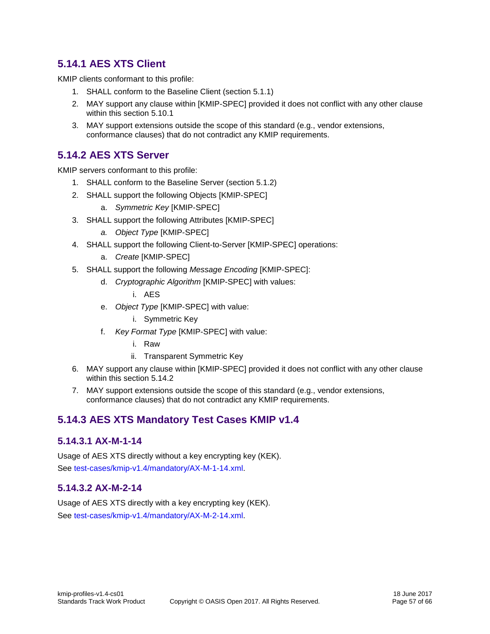## <span id="page-56-0"></span>**5.14.1 AES XTS Client**

KMIP clients conformant to this profile:

- 1. SHALL conform to the [Baseline](#page-19-2) Client (section [5.1.1\)](#page-19-2)
- 2. MAY support any clause within [KMIP-SPEC] provided it does not conflict with any other clause within this section [5.10.1](#page-44-8)
- 3. MAY support extensions outside the scope of this standard (e.g., vendor extensions, conformance clauses) that do not contradict any KMIP requirements.

#### <span id="page-56-1"></span>**5.14.2 AES XTS Server**

KMIP servers conformant to this profile:

- 1. SHALL conform to the [Baseline](#page-20-0) Server (section [5.1.2\)](#page-20-0)
- 2. SHALL support the following Objects [KMIP-SPEC]
	- a. *Symmetric Key* [KMIP-SPEC]
- 3. SHALL support the following Attributes [KMIP-SPEC]
	- *a. Object Type* [KMIP-SPEC]
- 4. SHALL support the following Client-to-Server [KMIP-SPEC] operations:
	- a. *Create* [KMIP-SPEC]
- 5. SHALL support the following *Message Encoding* [KMIP-SPEC]:
	- d. *Cryptographic Algorithm* [KMIP-SPEC] with values:
		- i. AES
	- e. *Object Type* [KMIP-SPEC] with value:
		- i. Symmetric Key
	- f. *Key Format Type* [KMIP-SPEC] with value:
		- i. Raw
		- ii. Transparent Symmetric Key
- 6. MAY support any clause within [KMIP-SPEC] provided it does not conflict with any other clause within this section [5.14.2](#page-56-1)
- 7. MAY support extensions outside the scope of this standard (e.g., vendor extensions, conformance clauses) that do not contradict any KMIP requirements.

## <span id="page-56-2"></span>**5.14.3 AES XTS Mandatory Test Cases KMIP v1.4**

#### <span id="page-56-3"></span>**5.14.3.1 AX-M-1-14**

Usage of AES XTS directly without a key encrypting key (KEK). See [test-cases/kmip-v1.4/mandatory/AX-M-1-14.xml.](test-cases/kmip-v1.4/mandatory/AX-M-1-14.xml)

#### <span id="page-56-4"></span>**5.14.3.2 AX-M-2-14**

Usage of AES XTS directly with a key encrypting key (KEK). See [test-cases/kmip-v1.4/mandatory/AX-M-2-14.xml.](test-cases/kmip-v1.4/mandatory/AX-M-2-14.xml)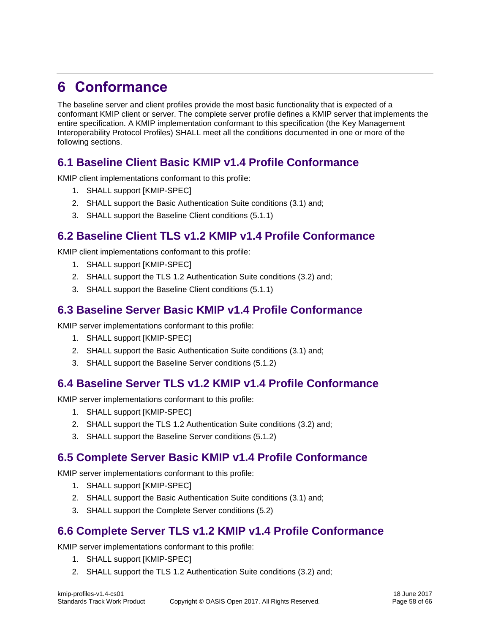## <span id="page-57-0"></span>**6 Conformance**

The baseline server and client profiles provide the most basic functionality that is expected of a conformant KMIP client or server. The complete server profile defines a KMIP server that implements the entire specification. A KMIP implementation conformant to this specification (the Key Management Interoperability Protocol Profiles) SHALL meet all the conditions documented in one or more of the following sections.

## <span id="page-57-1"></span>**6.1 Baseline Client Basic KMIP v1.4 Profile Conformance**

KMIP client implementations conformant to this profile:

- 1. SHALL support [KMIP-SPEC]
- 2. SHALL support the [Basic Authentication](#page-12-1) Suite conditions [\(3.1\)](#page-12-1) and;
- 3. SHALL support the [Baseline](#page-19-2) Client conditions [\(5.1.1\)](#page-19-2)

## <span id="page-57-2"></span>**6.2 Baseline Client TLS v1.2 KMIP v1.4 Profile Conformance**

KMIP client implementations conformant to this profile:

- 1. SHALL support [KMIP-SPEC]
- 2. SHALL support the [TLS 1.2 Authentication](#page-13-2) Suite conditions [\(3.2\)](#page-13-2) and;
- 3. SHALL support the [Baseline](#page-19-2) Client conditions [\(5.1.1\)](#page-19-2)

## <span id="page-57-3"></span>**6.3 Baseline Server Basic KMIP v1.4 Profile Conformance**

KMIP server implementations conformant to this profile:

- 1. SHALL support [KMIP-SPEC]
- 2. SHALL support the [Basic Authentication](#page-12-1) Suite conditions [\(3.1\)](#page-12-1) and;
- 3. SHALL support the [Baseline](#page-20-0) Server conditions [\(5.1.2\)](#page-20-0)

## <span id="page-57-4"></span>**6.4 Baseline Server TLS v1.2 KMIP v1.4 Profile Conformance**

KMIP server implementations conformant to this profile:

- 1. SHALL support [KMIP-SPEC]
- 2. SHALL support the [TLS 1.2 Authentication](#page-13-2) Suite conditions [\(3.2\)](#page-13-2) and;
- 3. SHALL support the [Baseline](#page-20-0) Server conditions [\(5.1.2\)](#page-20-0)

## <span id="page-57-5"></span>**6.5 Complete Server Basic KMIP v1.4 Profile Conformance**

KMIP server implementations conformant to this profile:

- 1. SHALL support [KMIP-SPEC]
- 2. SHALL support the [Basic Authentication](#page-12-1) Suite conditions [\(3.1\)](#page-12-1) and;
- 3. SHALL support the [Complete](#page-21-0) Server conditions [\(5.2\)](#page-21-0)

## <span id="page-57-6"></span>**6.6 Complete Server TLS v1.2 KMIP v1.4 Profile Conformance**

KMIP server implementations conformant to this profile:

- 1. SHALL support [KMIP-SPEC]
- 2. SHALL support the [TLS 1.2 Authentication](#page-13-2) Suite conditions [\(3.2\)](#page-13-2) and;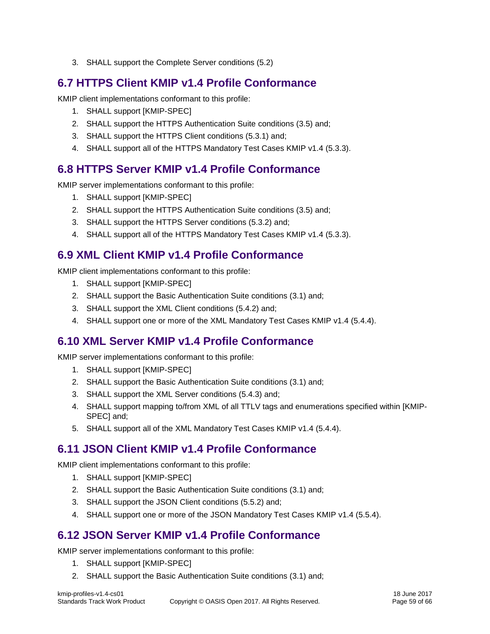3. SHALL support the [Complete](#page-21-0) Server conditions [\(5.2\)](#page-21-0)

## <span id="page-58-0"></span>**6.7 HTTPS Client KMIP v1.4 Profile Conformance**

KMIP client implementations conformant to this profile:

- 1. SHALL support [KMIP-SPEC]
- 2. SHALL support the [HTTPS Authentication Suite](#page-15-3) conditions [\(3.5\)](#page-15-3) and;
- 3. SHALL support the [HTTPS Client](#page-22-1) conditions [\(5.3.1\)](#page-22-1) and;
- 4. SHALL support all of the [HTTPS Mandatory Test Cases KMIP v1.4](#page-22-3) [\(5.3.3\)](#page-22-3).

## <span id="page-58-1"></span>**6.8 HTTPS Server KMIP v1.4 Profile Conformance**

KMIP server implementations conformant to this profile:

- 1. SHALL support [KMIP-SPEC]
- 2. SHALL support the [HTTPS Authentication Suite](#page-15-3) conditions [\(3.5\)](#page-15-3) and;
- 3. SHALL support the [HTTPS Server](#page-22-2) conditions [\(5.3.2\)](#page-22-2) and;
- 4. SHALL support all of the [HTTPS Mandatory Test Cases KMIP v1.4](#page-22-3) [\(5.3.3\)](#page-22-3).

## <span id="page-58-2"></span>**6.9 XML Client KMIP v1.4 Profile Conformance**

KMIP client implementations conformant to this profile:

- 1. SHALL support [KMIP-SPEC]
- 2. SHALL support the [Basic Authentication](#page-12-1) Suite conditions [\(3.1\)](#page-12-1) and;
- 3. SHALL support the [XML Client](#page-28-2) conditions [\(5.4.2\)](#page-28-2) and;
- 4. SHALL support one or more of the [XML Mandatory Test Cases KMIP v1.4](#page-28-4) [\(5.4.4\)](#page-28-4).

## <span id="page-58-3"></span>**6.10 XML Server KMIP v1.4 Profile Conformance**

KMIP server implementations conformant to this profile:

- 1. SHALL support [KMIP-SPEC]
- 2. SHALL support the [Basic Authentication](#page-12-1) Suite conditions [\(3.1\)](#page-12-1) and;
- 3. SHALL support the [XML Server](#page-28-3) conditions [\(5.4.3\)](#page-28-3) and;
- 4. SHALL support mapping to/from XML of all TTLV tags and enumerations specified within [KMIP-SPEC] and;
- 5. SHALL support all of the [XML Mandatory Test Cases KMIP v1.4](#page-28-4) [\(5.4.4\)](#page-28-4).

## <span id="page-58-4"></span>**6.11 JSON Client KMIP v1.4 Profile Conformance**

KMIP client implementations conformant to this profile:

- 1. SHALL support [KMIP-SPEC]
- 2. SHALL support the [Basic Authentication](#page-12-1) Suite conditions [\(3.1\)](#page-12-1) and;
- 3. SHALL support the [JSON Client](#page-32-1) conditions [\(5.5.2\)](#page-32-1) and;
- 4. SHALL support one or more of the [JSON Mandatory Test Cases KMIP v1.4](#page-32-3) [\(5.5.4\)](#page-32-3).

## <span id="page-58-5"></span>**6.12 JSON Server KMIP v1.4 Profile Conformance**

KMIP server implementations conformant to this profile:

- 1. SHALL support [KMIP-SPEC]
- 2. SHALL support the [Basic Authentication](#page-12-1) Suite conditions [\(3.1\)](#page-12-1) and;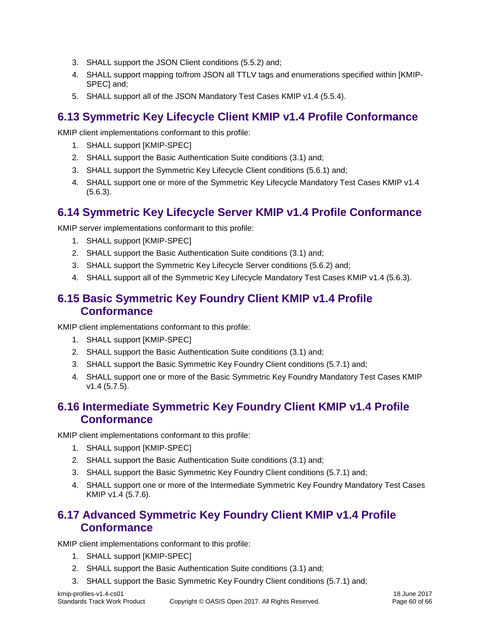- 3. SHALL support the [JSON Client](#page-32-1) conditions [\(5.5.2\)](#page-32-1) and;
- 4. SHALL support mapping to/from JSON all TTLV tags and enumerations specified within [KMIP-SPEC] and;
- 5. SHALL support all of the [JSON Mandatory Test Cases KMIP v1.4](#page-32-3) [\(5.5.4\)](#page-32-3).

## <span id="page-59-0"></span>**6.13 Symmetric Key Lifecycle Client KMIP v1.4 Profile Conformance**

KMIP client implementations conformant to this profile:

- 1. SHALL support [KMIP-SPEC]
- 2. SHALL support the [Basic Authentication](#page-12-1) Suite conditions [\(3.1\)](#page-12-1) and;
- 3. SHALL support the [Symmetric Key Lifecycle](#page-34-1) Client conditions [\(5.6.1\)](#page-34-1) and;
- 4. SHALL support one or more of the Symmetric Key Lifecycle [Mandatory Test Cases KMIP v1.4](#page-35-1) [\(5.6.3\)](#page-35-1).

## <span id="page-59-1"></span>**6.14 Symmetric Key Lifecycle Server KMIP v1.4 Profile Conformance**

KMIP server implementations conformant to this profile:

- 1. SHALL support [KMIP-SPEC]
- 2. SHALL support the [Basic Authentication](#page-12-1) Suite conditions [\(3.1\)](#page-12-1) and;
- 3. SHALL support the [Symmetric Key Lifecycle](#page-35-0) Server conditions [\(5.6.2\)](#page-35-0) and;
- 4. SHALL support all of the Symmetric Key Lifecycle [Mandatory Test Cases KMIP v1.4](#page-35-1) [\(5.6.3\)](#page-35-1).

## <span id="page-59-2"></span>**6.15 Basic Symmetric Key Foundry Client KMIP v1.4 Profile Conformance**

KMIP client implementations conformant to this profile:

- 1. SHALL support [KMIP-SPEC]
- 2. SHALL support the [Basic Authentication](#page-12-1) Suite conditions [\(3.1\)](#page-12-1) and;
- 3. SHALL support the [Basic Symmetric Key Foundry Client](#page-36-1) conditions [\(5.7.1\)](#page-36-1) and;
- 4. SHALL support one or more of the [Basic Symmetric Key Foundry Mandatory Test Cases KMIP](#page-37-0)  [v1.4](#page-37-0) [\(5.7.5\)](#page-37-0).

## <span id="page-59-3"></span>**6.16 Intermediate Symmetric Key Foundry Client KMIP v1.4 Profile Conformance**

KMIP client implementations conformant to this profile:

- 1. SHALL support [KMIP-SPEC]
- 2. SHALL support the [Basic Authentication](#page-12-1) Suite conditions [\(3.1\)](#page-12-1) and;
- 3. SHALL support the [Basic Symmetric Key Foundry Client](#page-36-1) conditions [\(5.7.1\)](#page-36-1) and;
- 4. SHALL support one or more of the [Intermediate Symmetric Key Foundry Mandatory Test Cases](#page-37-5)  [KMIP v1.4](#page-37-5) [\(5.7.6\)](#page-37-5).

## <span id="page-59-4"></span>**6.17 Advanced Symmetric Key Foundry Client KMIP v1.4 Profile Conformance**

KMIP client implementations conformant to this profile:

- 1. SHALL support [KMIP-SPEC]
- 2. SHALL support the [Basic Authentication](#page-12-1) Suite conditions [\(3.1\)](#page-12-1) and;
- 3. SHALL support the [Basic Symmetric Key Foundry Client](#page-36-1) conditions [\(5.7.1\)](#page-36-1) and;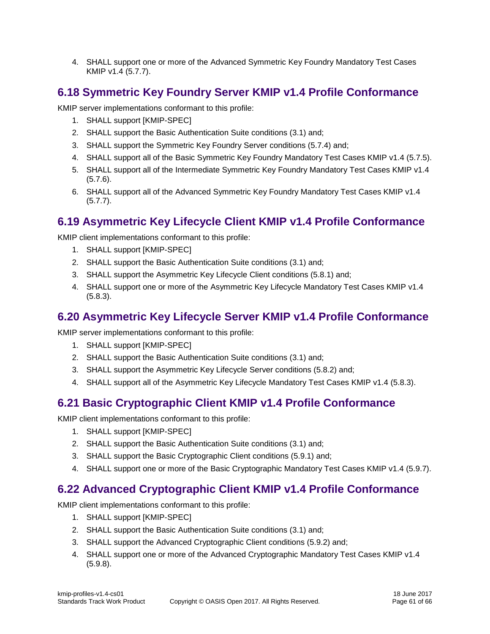4. SHALL support one or more of the [Advanced Symmetric Key Foundry Mandatory Test Cases](#page-38-0)  [KMIP v1.4](#page-38-0) [\(5.7.7\)](#page-38-0).

## <span id="page-60-0"></span>**6.18 Symmetric Key Foundry Server KMIP v1.4 Profile Conformance**

KMIP server implementations conformant to this profile:

- 1. SHALL support [KMIP-SPEC]
- 2. SHALL support the [Basic Authentication](#page-12-1) Suite conditions [\(3.1\)](#page-12-1) and;
- 3. SHALL support the [Symmetric Key Foundry Server](#page-36-4) conditions [\(5.7.4\)](#page-36-4) and;
- 4. SHALL support all of the [Basic Symmetric Key Foundry Mandatory Test Cases KMIP v1.4](#page-37-0) [\(5.7.5\)](#page-37-0).
- 5. SHALL support all of the [Intermediate Symmetric Key Foundry Mandatory Test Cases KMIP v1.4](#page-37-5) [\(5.7.6\)](#page-37-5).
- 6. SHALL support all of the [Advanced Symmetric Key Foundry Mandatory Test Cases KMIP v1.4](#page-38-0) [\(5.7.7\)](#page-38-0).

## <span id="page-60-1"></span>**6.19 Asymmetric Key Lifecycle Client KMIP v1.4 Profile Conformance**

KMIP client implementations conformant to this profile:

- 1. SHALL support [KMIP-SPEC]
- 2. SHALL support the [Basic Authentication](#page-12-1) Suite conditions [\(3.1\)](#page-12-1) and;
- 3. SHALL support the [Asymmetric Key Lifecycle](#page-38-6) Client conditions [\(5.8.1\)](#page-38-6) and;
- 4. SHALL support one or more of the Asymmetric Key Lifecycle [Mandatory Test Cases KMIP v1.4](#page-39-0) [\(5.8.3\)](#page-39-0).

## <span id="page-60-2"></span>**6.20 Asymmetric Key Lifecycle Server KMIP v1.4 Profile Conformance**

KMIP server implementations conformant to this profile:

- 1. SHALL support [KMIP-SPEC]
- 2. SHALL support the [Basic Authentication](#page-12-1) Suite conditions [\(3.1\)](#page-12-1) and;
- 3. SHALL support the [Asymmetric Key Lifecycle](#page-38-7) Server conditions [\(5.8.2\)](#page-38-7) and;
- 4. SHALL support all of the Asymmetric Key Lifecycle [Mandatory Test Cases KMIP v1.4](#page-39-0) [\(5.8.3\)](#page-39-0).

## <span id="page-60-3"></span>**6.21 Basic Cryptographic Client KMIP v1.4 Profile Conformance**

KMIP client implementations conformant to this profile:

- 1. SHALL support [KMIP-SPEC]
- 2. SHALL support the [Basic Authentication](#page-12-1) Suite conditions [\(3.1\)](#page-12-1) and;
- 3. SHALL support the Basic [Cryptographic Client](#page-39-7) conditions [\(5.9.1\)](#page-39-7) and;
- 4. SHALL support one or more of the [Basic Cryptographic Mandatory Test Cases KMIP v1.4](#page-41-1) [\(5.9.7\)](#page-41-1).

## <span id="page-60-4"></span>**6.22 Advanced Cryptographic Client KMIP v1.4 Profile Conformance**

KMIP client implementations conformant to this profile:

- 1. SHALL support [KMIP-SPEC]
- 2. SHALL support the [Basic Authentication](#page-12-1) Suite conditions [\(3.1\)](#page-12-1) and;
- 3. SHALL support the Advanced [Cryptographic Client](#page-40-0) conditions [\(5.9.2\)](#page-40-0) and;
- 4. SHALL support one or more of the [Advanced Cryptographic Mandatory Test Cases KMIP v1.4](#page-42-11) [\(5.9.8\)](#page-42-11).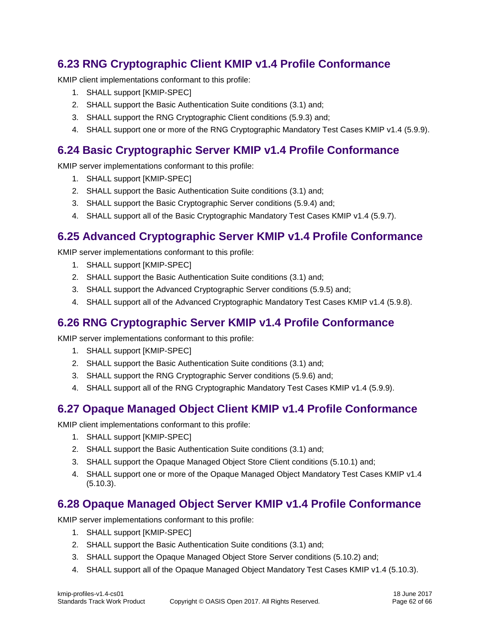## <span id="page-61-0"></span>**6.23 RNG Cryptographic Client KMIP v1.4 Profile Conformance**

KMIP client implementations conformant to this profile:

- 1. SHALL support [KMIP-SPEC]
- 2. SHALL support the [Basic Authentication](#page-12-1) Suite conditions [\(3.1\)](#page-12-1) and;
- 3. SHALL support the RNG [Cryptographic Client](#page-40-1) conditions [\(5.9.3\)](#page-40-1) and;
- 4. SHALL support one or more of the [RNG Cryptographic Mandatory Test Cases KMIP v1.4](#page-44-0) [\(5.9.9\)](#page-44-0).

## <span id="page-61-1"></span>**6.24 Basic Cryptographic Server KMIP v1.4 Profile Conformance**

KMIP server implementations conformant to this profile:

- 1. SHALL support [KMIP-SPEC]
- 2. SHALL support the [Basic Authentication](#page-12-1) Suite conditions [\(3.1\)](#page-12-1) and;
- 3. SHALL support the Basic [Cryptographic Server](#page-40-2) conditions [\(5.9.4\)](#page-40-2) and;
- 4. SHALL support all of the [Basic Cryptographic Mandatory Test Cases KMIP v1.4](#page-41-1) [\(5.9.7\)](#page-41-1).

## <span id="page-61-2"></span>**6.25 Advanced Cryptographic Server KMIP v1.4 Profile Conformance**

KMIP server implementations conformant to this profile:

- 1. SHALL support [KMIP-SPEC]
- 2. SHALL support the [Basic Authentication](#page-12-1) Suite conditions [\(3.1\)](#page-12-1) and;
- 3. SHALL support the Advanced [Cryptographic Server](#page-40-3) conditions [\(5.9.5\)](#page-40-3) and;
- 4. SHALL support all of the [Advanced Cryptographic Mandatory Test Cases KMIP v1.4](#page-42-11) [\(5.9.8\)](#page-42-11).

## <span id="page-61-3"></span>**6.26 RNG Cryptographic Server KMIP v1.4 Profile Conformance**

KMIP server implementations conformant to this profile:

- 1. SHALL support [KMIP-SPEC]
- 2. SHALL support the [Basic Authentication](#page-12-1) Suite conditions [\(3.1\)](#page-12-1) and;
- 3. SHALL support the RNG [Cryptographic Server](#page-41-0) conditions [\(5.9.6\)](#page-41-0) and;
- 4. SHALL support all of the [RNG Cryptographic Mandatory Test Cases KMIP v1.4](#page-44-0) [\(5.9.9\)](#page-44-0).

## <span id="page-61-4"></span>**6.27 Opaque Managed Object Client KMIP v1.4 Profile Conformance**

KMIP client implementations conformant to this profile:

- 1. SHALL support [KMIP-SPEC]
- 2. SHALL support the [Basic Authentication](#page-12-1) Suite conditions [\(3.1\)](#page-12-1) and;
- 3. SHALL support the [Opaque Managed Object Store](#page-44-8) Client conditions [\(5.10.1\)](#page-44-8) and;
- 4. SHALL support one or more of the Opaque Managed Object [Mandatory Test Cases KMIP v1.4](#page-45-0) [\(5.10.3\)](#page-45-0).

## <span id="page-61-5"></span>**6.28 Opaque Managed Object Server KMIP v1.4 Profile Conformance**

KMIP server implementations conformant to this profile:

- 1. SHALL support [KMIP-SPEC]
- 2. SHALL support the [Basic Authentication](#page-12-1) Suite conditions [\(3.1\)](#page-12-1) and;
- 3. SHALL support the [Opaque Managed Object Store](#page-44-9) Server conditions [\(5.10.2\)](#page-44-9) and;
- 4. SHALL support all of the Opaque Managed Object [Mandatory Test Cases KMIP v1.4](#page-45-0) [\(5.10.3\)](#page-45-0).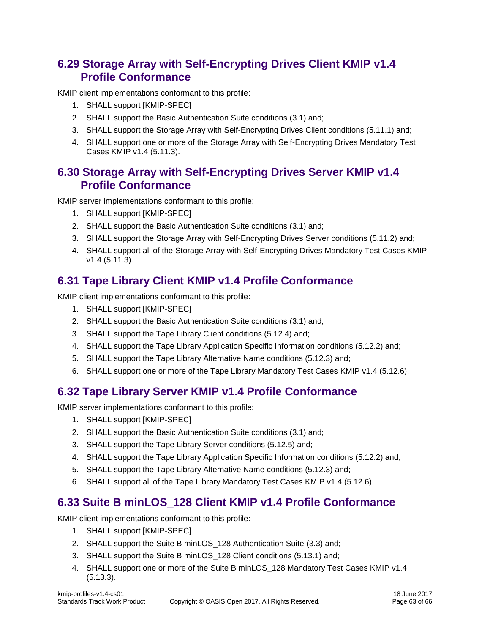## <span id="page-62-0"></span>**6.29 Storage Array with Self-Encrypting Drives Client KMIP v1.4 Profile Conformance**

KMIP client implementations conformant to this profile:

- 1. SHALL support [KMIP-SPEC]
- 2. SHALL support the [Basic Authentication](#page-12-1) Suite conditions [\(3.1\)](#page-12-1) and;
- 3. SHALL support the [Storage Array with Self-Encrypting Drives Client](#page-45-5) conditions [\(5.11.1\)](#page-45-5) and;
- 4. SHALL support one or more of the [Storage Array with Self-Encrypting Drives Mandatory Test](#page-46-0)  [Cases KMIP v1.4](#page-46-0) [\(5.11.3\)](#page-46-0).

## <span id="page-62-1"></span>**6.30 Storage Array with Self-Encrypting Drives Server KMIP v1.4 Profile Conformance**

KMIP server implementations conformant to this profile:

- 1. SHALL support [KMIP-SPEC]
- 2. SHALL support the [Basic Authentication](#page-12-1) Suite conditions [\(3.1\)](#page-12-1) and;
- 3. SHALL support the [Storage Array with Self-Encrypting Drives Server](#page-45-6) conditions [\(5.11.2\)](#page-45-6) and;
- 4. SHALL support all of the [Storage Array with Self-Encrypting Drives Mandatory Test Cases KMIP](#page-46-0)  [v1.4](#page-46-0) [\(5.11.3\)](#page-46-0).

## <span id="page-62-2"></span>**6.31 Tape Library Client KMIP v1.4 Profile Conformance**

KMIP client implementations conformant to this profile:

- 1. SHALL support [KMIP-SPEC]
- 2. SHALL support the [Basic Authentication](#page-12-1) Suite conditions [\(3.1\)](#page-12-1) and;
- 3. SHALL support the [Tape Library Client](#page-48-1) conditions [\(5.12.4\)](#page-48-1) and;
- 4. SHALL support the [Tape Library Application Specific Information](#page-47-0) conditions [\(5.12.2\)](#page-47-0) and;
- 5. SHALL support the [Tape Library Alternative Name](#page-48-0) conditions [\(5.12.3\)](#page-48-0) and;
- 6. SHALL support one or more of the [Tape Library Mandatory Test Cases KMIP v1.4](#page-50-0) [\(5.12.6\)](#page-50-0).

## <span id="page-62-3"></span>**6.32 Tape Library Server KMIP v1.4 Profile Conformance**

KMIP server implementations conformant to this profile:

- 1. SHALL support [KMIP-SPEC]
- 2. SHALL support the [Basic Authentication](#page-12-1) Suite conditions [\(3.1\)](#page-12-1) and;
- 3. SHALL support the [Tape Library Server](#page-49-0) conditions [\(5.12.5\)](#page-49-0) and;
- 4. SHALL support the [Tape Library Application Specific Information](#page-47-0) conditions [\(5.12.2\)](#page-47-0) and;
- 5. SHALL support the [Tape Library Alternative Name](#page-48-0) conditions [\(5.12.3\)](#page-48-0) and;
- 6. SHALL support all of the [Tape Library Mandatory Test Cases KMIP v1.4](#page-50-0) [\(5.12.6\)](#page-50-0).

## <span id="page-62-4"></span>**6.33 Suite B minLOS\_128 Client KMIP v1.4 Profile Conformance**

KMIP client implementations conformant to this profile:

- 1. SHALL support [KMIP-SPEC]
- 2. SHALL support the [Suite B minLOS\\_128 Authentication Suite](#page-14-3) [\(3.3\)](#page-14-3) and;
- 3. SHALL support the [Suite B minLOS\\_128 Client](#page-52-0) conditions [\(5.13.1\)](#page-52-0) and;
- 4. SHALL support one or more of the [Suite B minLOS\\_128 Mandatory Test Cases KMIP v1.4](#page-54-0) [\(5.13.3\)](#page-54-0).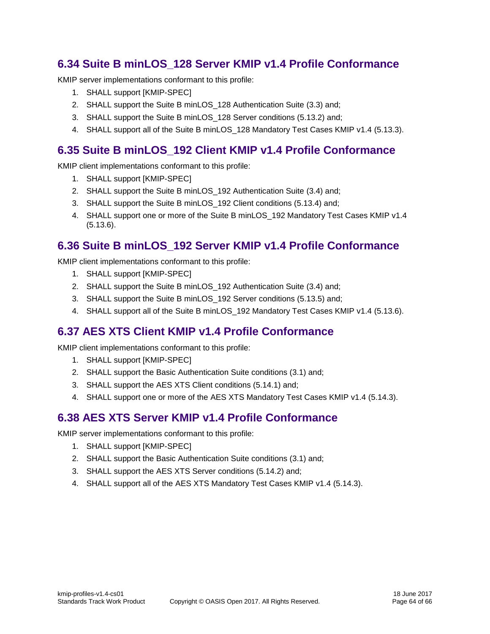## <span id="page-63-0"></span>**6.34 Suite B minLOS\_128 Server KMIP v1.4 Profile Conformance**

KMIP server implementations conformant to this profile:

- 1. SHALL support [KMIP-SPEC]
- 2. SHALL support the [Suite B minLOS\\_128 Authentication Suite](#page-14-3) [\(3.3\)](#page-14-3) and;
- 3. SHALL support the [Suite B minLOS\\_128 Server](#page-52-1) conditions [\(5.13.2\)](#page-52-1) and;
- 4. SHALL support all of the [Suite B minLOS\\_128 Mandatory Test Cases KMIP v1.4](#page-54-0) [\(5.13.3\)](#page-54-0).

## <span id="page-63-1"></span>**6.35 Suite B minLOS\_192 Client KMIP v1.4 Profile Conformance**

KMIP client implementations conformant to this profile:

- 1. SHALL support [KMIP-SPEC]
- 2. SHALL support the [Suite B minLOS\\_192 Authentication Suite](#page-14-8) [\(3.4\)](#page-14-8) and;
- 3. SHALL support the [Suite B minLOS\\_192](#page-54-2) Client conditions [\(5.13.4\)](#page-54-2) and;
- 4. SHALL support one or more of the Suite B minLOS 192 Mandatory Test Cases KMIP v1.4 [\(5.13.6\)](#page-55-0).

## <span id="page-63-2"></span>**6.36 Suite B minLOS\_192 Server KMIP v1.4 Profile Conformance**

KMIP client implementations conformant to this profile:

- 1. SHALL support [KMIP-SPEC]
- 2. SHALL support the [Suite B minLOS\\_192 Authentication Suite](#page-14-8) [\(3.4\)](#page-14-8) and;
- 3. SHALL support the [Suite B minLOS\\_192](#page-54-3) Server conditions [\(5.13.5\)](#page-54-3) and;
- 4. SHALL support all of the [Suite B minLOS\\_192 Mandatory Test Cases KMIP v1.4](#page-55-0) [\(5.13.6\)](#page-55-0).

## <span id="page-63-3"></span>**6.37 AES XTS Client KMIP v1.4 Profile Conformance**

KMIP client implementations conformant to this profile:

- 1. SHALL support [KMIP-SPEC]
- 2. SHALL support the [Basic Authentication](#page-12-1) Suite conditions [\(3.1\)](#page-12-1) and;
- 3. SHALL support the [AES XTS Client](#page-56-0) conditions [\(5.14.1\)](#page-56-0) and;
- 4. SHALL support one or more of the [AES XTS Mandatory Test Cases KMIP v1.4](#page-56-2) [\(5.14.3\)](#page-56-2).

## <span id="page-63-4"></span>**6.38 AES XTS Server KMIP v1.4 Profile Conformance**

KMIP server implementations conformant to this profile:

- 1. SHALL support [KMIP-SPEC]
- 2. SHALL support the [Basic Authentication](#page-12-1) Suite conditions [\(3.1\)](#page-12-1) and;
- 3. SHALL support the [AES XTS Server](#page-56-1) conditions [\(5.14.2\)](#page-56-1) and;
- 4. SHALL support all of the [AES XTS Mandatory Test Cases KMIP v1.4](#page-56-2) [\(5.14.3\)](#page-56-2).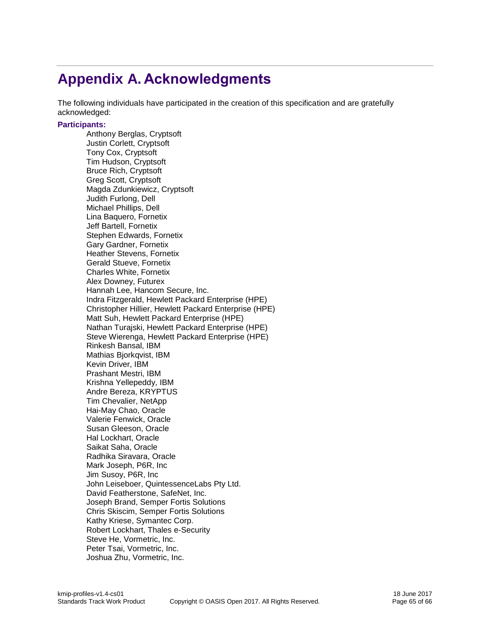## <span id="page-64-0"></span>**Appendix A. Acknowledgments**

The following individuals have participated in the creation of this specification and are gratefully acknowledged:

#### **Participants:**

Anthony Berglas, Cryptsoft Justin Corlett, Cryptsoft Tony Cox, Cryptsoft Tim Hudson, Cryptsoft Bruce Rich, Cryptsoft Greg Scott, Cryptsoft Magda Zdunkiewicz, Cryptsoft Judith Furlong, Dell Michael Phillips, Dell Lina Baquero, Fornetix Jeff Bartell, Fornetix Stephen Edwards, Fornetix Gary Gardner, Fornetix Heather Stevens, Fornetix Gerald Stueve, Fornetix Charles White, Fornetix Alex Downey, Futurex Hannah Lee, Hancom Secure, Inc. Indra Fitzgerald, Hewlett Packard Enterprise (HPE) Christopher Hillier, Hewlett Packard Enterprise (HPE) Matt Suh, Hewlett Packard Enterprise (HPE) Nathan Turajski, Hewlett Packard Enterprise (HPE) Steve Wierenga, Hewlett Packard Enterprise (HPE) Rinkesh Bansal, IBM Mathias Bjorkqvist, IBM Kevin Driver, IBM Prashant Mestri, IBM Krishna Yellepeddy, IBM Andre Bereza, KRYPTUS Tim Chevalier, NetApp Hai-May Chao, Oracle Valerie Fenwick, Oracle Susan Gleeson, Oracle Hal Lockhart, Oracle Saikat Saha, Oracle Radhika Siravara, Oracle Mark Joseph, P6R, Inc Jim Susoy, P6R, Inc John Leiseboer, QuintessenceLabs Pty Ltd. David Featherstone, SafeNet, Inc. Joseph Brand, Semper Fortis Solutions Chris Skiscim, Semper Fortis Solutions Kathy Kriese, Symantec Corp. Robert Lockhart, Thales e-Security Steve He, Vormetric, Inc. Peter Tsai, Vormetric, Inc. Joshua Zhu, Vormetric, Inc.